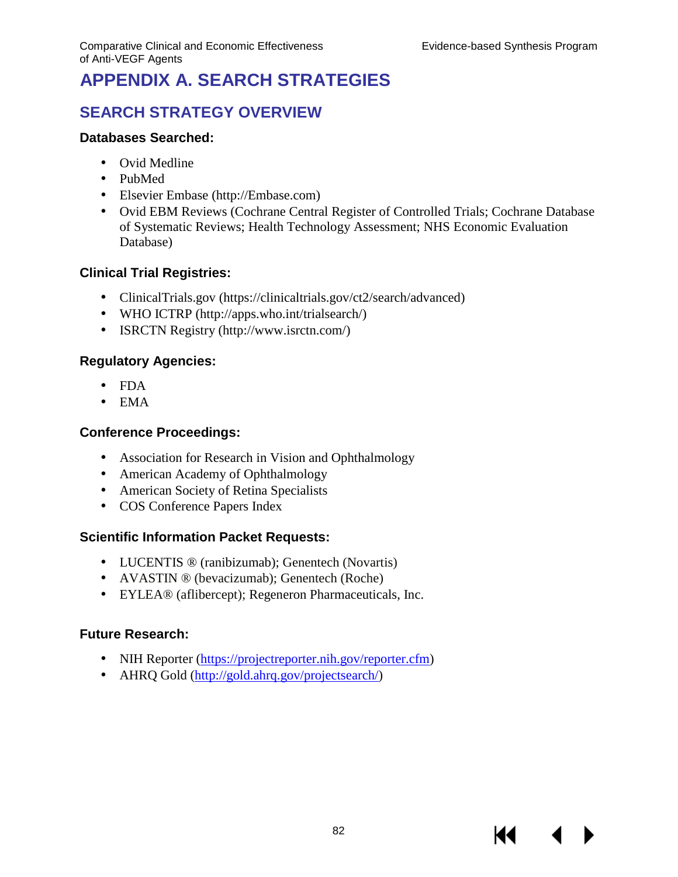# **APPENDIX A. SEARCH STRATEGIES**

# **SEARCH STRATEGY OVERVIEW**

### **Databases Searched:**

- Ovid Medline
- PubMed
- Elsevier Embase (http://Embase.com)
- Ovid EBM Reviews (Cochrane Central Register of Controlled Trials; Cochrane Database of Systematic Reviews; Health Technology Assessment; NHS Economic Evaluation Database)

## **Clinical Trial Registries:**

- ClinicalTrials.gov (https://clinicaltrials.gov/ct2/search/advanced)
- WHO ICTRP (http://apps.who.int/trialsearch/)
- ISRCTN Registry (http://www.isrctn.com/)

## **Regulatory Agencies:**

- FDA
- . **EMA**

## **Conference Proceedings:**

- Association for Research in Vision and Ophthalmology
- American Academy of Ophthalmology
- American Society of Retina Specialists
- COS Conference Papers Index

## **Scientific Information Packet Requests:**

- LUCENTIS ® (ranibizumab); Genentech (Novartis)
- AVASTIN ® (bevacizumab); Genentech (Roche)
- EYLEA® (aflibercept); Regeneron Pharmaceuticals, Inc.

## **Future Research:**

- NIH Reporter [\(https://projectreporter.nih.gov/reporter.cfm\)](https://projectreporter.nih.gov/reporter.cfm)
- AHRQ Gold [\(http://gold.ahrq.gov/projectsearch/\)](http://gold.ahrq.gov/projectsearch/)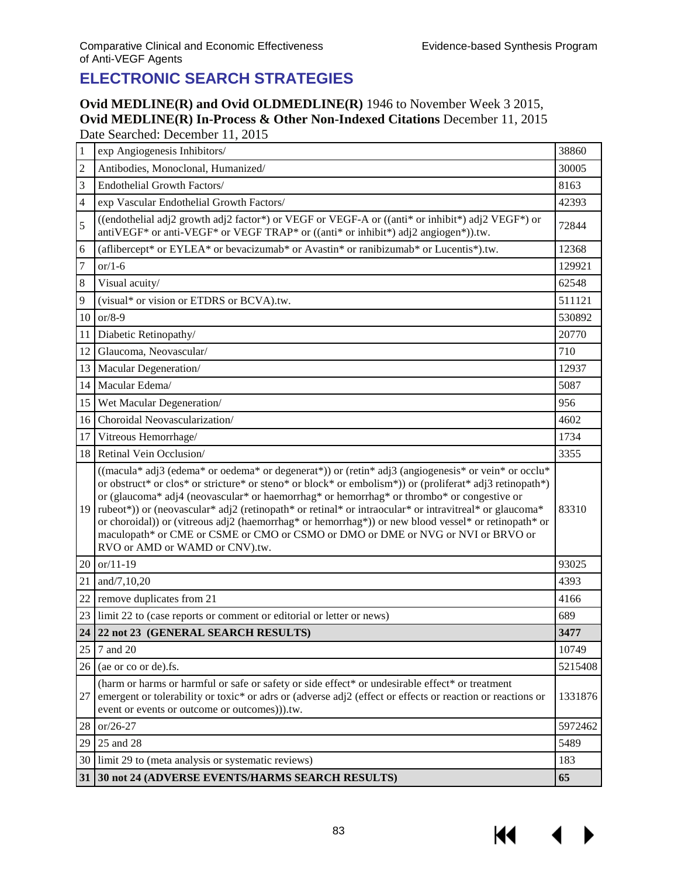# **ELECTRONIC SEARCH STRATEGIES**

**Ovid MEDLINE(R) and Ovid OLDMEDLINE(R)** 1946 to November Week 3 2015, **Ovid MEDLINE(R) In-Process & Other Non-Indexed Citations** December 11, 2015 Date Searched: December 11, 2015

| 1               | exp Angiogenesis Inhibitors/                                                                                                                                                                                                                                                                                                                                                                                                                                                                                                                                                                                                                              | 38860   |
|-----------------|-----------------------------------------------------------------------------------------------------------------------------------------------------------------------------------------------------------------------------------------------------------------------------------------------------------------------------------------------------------------------------------------------------------------------------------------------------------------------------------------------------------------------------------------------------------------------------------------------------------------------------------------------------------|---------|
| $\overline{c}$  | Antibodies, Monoclonal, Humanized/                                                                                                                                                                                                                                                                                                                                                                                                                                                                                                                                                                                                                        | 30005   |
| 3               | Endothelial Growth Factors/<br>8163                                                                                                                                                                                                                                                                                                                                                                                                                                                                                                                                                                                                                       |         |
| 4               | exp Vascular Endothelial Growth Factors/                                                                                                                                                                                                                                                                                                                                                                                                                                                                                                                                                                                                                  | 42393   |
| 5               | ((endothelial adj2 growth adj2 factor*) or VEGF or VEGF-A or ((anti* or inhibit*) adj2 VEGF*) or<br>antiVEGF* or anti-VEGF* or VEGF TRAP* or ((anti* or inhibit*) adj2 angiogen*)).tw.                                                                                                                                                                                                                                                                                                                                                                                                                                                                    | 72844   |
| 6               | (aflibercept* or EYLEA* or bevacizumab* or Avastin* or ranibizumab* or Lucentis*).tw.                                                                                                                                                                                                                                                                                                                                                                                                                                                                                                                                                                     | 12368   |
| 7               | $or/1-6$                                                                                                                                                                                                                                                                                                                                                                                                                                                                                                                                                                                                                                                  | 129921  |
| 8               | Visual acuity/                                                                                                                                                                                                                                                                                                                                                                                                                                                                                                                                                                                                                                            | 62548   |
| 9               | (visual* or vision or ETDRS or BCVA).tw.                                                                                                                                                                                                                                                                                                                                                                                                                                                                                                                                                                                                                  | 511121  |
| 10              | $or/8-9$                                                                                                                                                                                                                                                                                                                                                                                                                                                                                                                                                                                                                                                  | 530892  |
| 11              | Diabetic Retinopathy/                                                                                                                                                                                                                                                                                                                                                                                                                                                                                                                                                                                                                                     | 20770   |
| 12              | Glaucoma, Neovascular/                                                                                                                                                                                                                                                                                                                                                                                                                                                                                                                                                                                                                                    | 710     |
|                 | 13 Macular Degeneration/                                                                                                                                                                                                                                                                                                                                                                                                                                                                                                                                                                                                                                  | 12937   |
| 14              | Macular Edema/                                                                                                                                                                                                                                                                                                                                                                                                                                                                                                                                                                                                                                            | 5087    |
| 15              | Wet Macular Degeneration/                                                                                                                                                                                                                                                                                                                                                                                                                                                                                                                                                                                                                                 | 956     |
| 16 <sup>1</sup> | Choroidal Neovascularization/                                                                                                                                                                                                                                                                                                                                                                                                                                                                                                                                                                                                                             | 4602    |
| 17              | Vitreous Hemorrhage/                                                                                                                                                                                                                                                                                                                                                                                                                                                                                                                                                                                                                                      | 1734    |
|                 | 18 Retinal Vein Occlusion/                                                                                                                                                                                                                                                                                                                                                                                                                                                                                                                                                                                                                                | 3355    |
|                 | ((macula* adj3 (edema* or oedema* or degenerat*)) or (retin* adj3 (angiogenesis* or vein* or occlu*<br>or obstruct* or clos* or stricture* or steno* or block* or embolism*)) or (proliferat* adj3 retinopath*)<br>or (glaucoma* adj4 (neovascular* or haemorrhag* or hemorrhag* or thrombo* or congestive or<br>19   rubeot*) or (neovascular* adj2 (retinopath* or retinal* or intraocular* or intravitreal* or glaucoma*<br>or choroidal)) or (vitreous adj2 (haemorrhag* or hemorrhag*)) or new blood vessel* or retinopath* or<br>maculopath* or CME or CSME or CMO or CSMO or DMO or DME or NVG or NVI or BRVO or<br>RVO or AMD or WAMD or CNV).tw. | 83310   |
| 20 <sub>1</sub> | $or/11-19$                                                                                                                                                                                                                                                                                                                                                                                                                                                                                                                                                                                                                                                | 93025   |
| 21              | and/7,10,20                                                                                                                                                                                                                                                                                                                                                                                                                                                                                                                                                                                                                                               | 4393    |
| 22              | remove duplicates from 21                                                                                                                                                                                                                                                                                                                                                                                                                                                                                                                                                                                                                                 | 4166    |
| 23              | limit 22 to (case reports or comment or editorial or letter or news)                                                                                                                                                                                                                                                                                                                                                                                                                                                                                                                                                                                      | 689     |
|                 | 24 22 not 23 (GENERAL SEARCH RESULTS)                                                                                                                                                                                                                                                                                                                                                                                                                                                                                                                                                                                                                     | 3477    |
| 25              | 7 and 20                                                                                                                                                                                                                                                                                                                                                                                                                                                                                                                                                                                                                                                  | 10749   |
| 26              | (ae or co or de).fs.                                                                                                                                                                                                                                                                                                                                                                                                                                                                                                                                                                                                                                      | 5215408 |
| 27              | (harm or harms or harmful or safe or safety or side effect* or undesirable effect* or treatment<br>emergent or tolerability or toxic* or adrs or (adverse adj2 (effect or effects or reaction or reactions or<br>event or events or outcome or outcomes))).tw.                                                                                                                                                                                                                                                                                                                                                                                            | 1331876 |
| 28              | $or/26-27$                                                                                                                                                                                                                                                                                                                                                                                                                                                                                                                                                                                                                                                | 5972462 |
| 29              | 25 and 28                                                                                                                                                                                                                                                                                                                                                                                                                                                                                                                                                                                                                                                 | 5489    |
|                 | 30 limit 29 to (meta analysis or systematic reviews)                                                                                                                                                                                                                                                                                                                                                                                                                                                                                                                                                                                                      | 183     |
|                 |                                                                                                                                                                                                                                                                                                                                                                                                                                                                                                                                                                                                                                                           |         |

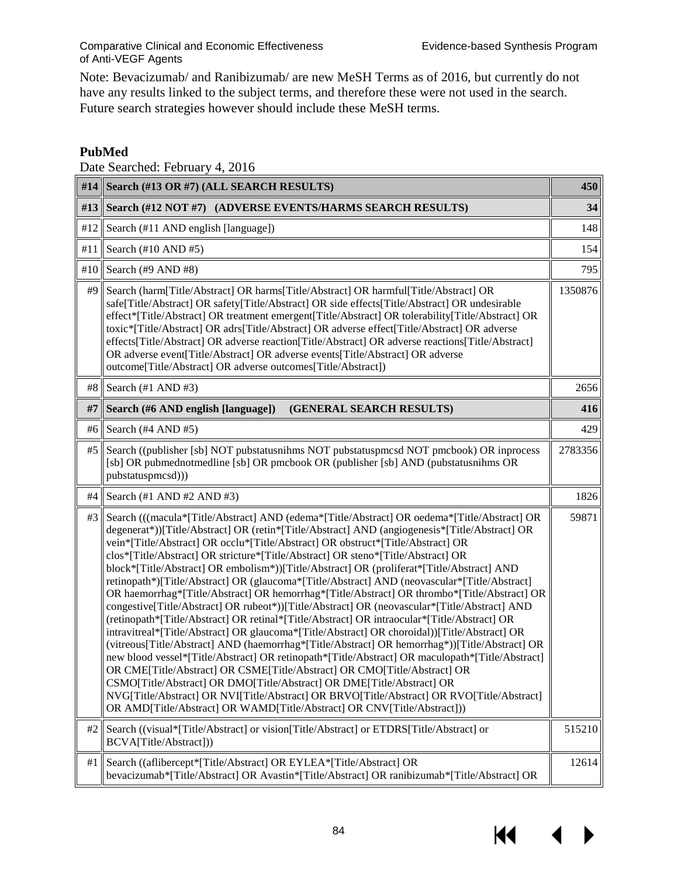Note: Bevacizumab/ and Ranibizumab/ are new MeSH Terms as of 2016, but currently do not have any results linked to the subject terms, and therefore these were not used in the search. Future search strategies however should include these MeSH terms.

#### **PubMed**

Date Searched: February 4, 2016

|     | #14 Search (#13 OR #7) (ALL SEARCH RESULTS)                                                                                                                                                                                                                                                                                                                                                                                                                                                                                                                                                                                                                                                                                                                                                                                                                                                                                                                                                                                                                                                                                                                                                                                                                                                                                                                                                                                                                                                     | 450     |
|-----|-------------------------------------------------------------------------------------------------------------------------------------------------------------------------------------------------------------------------------------------------------------------------------------------------------------------------------------------------------------------------------------------------------------------------------------------------------------------------------------------------------------------------------------------------------------------------------------------------------------------------------------------------------------------------------------------------------------------------------------------------------------------------------------------------------------------------------------------------------------------------------------------------------------------------------------------------------------------------------------------------------------------------------------------------------------------------------------------------------------------------------------------------------------------------------------------------------------------------------------------------------------------------------------------------------------------------------------------------------------------------------------------------------------------------------------------------------------------------------------------------|---------|
|     | #13 Search (#12 NOT #7) (ADVERSE EVENTS/HARMS SEARCH RESULTS)                                                                                                                                                                                                                                                                                                                                                                                                                                                                                                                                                                                                                                                                                                                                                                                                                                                                                                                                                                                                                                                                                                                                                                                                                                                                                                                                                                                                                                   | 34      |
| #12 | Search (#11 AND english [language])                                                                                                                                                                                                                                                                                                                                                                                                                                                                                                                                                                                                                                                                                                                                                                                                                                                                                                                                                                                                                                                                                                                                                                                                                                                                                                                                                                                                                                                             | 148     |
| #11 | Search (#10 AND #5)                                                                                                                                                                                                                                                                                                                                                                                                                                                                                                                                                                                                                                                                                                                                                                                                                                                                                                                                                                                                                                                                                                                                                                                                                                                                                                                                                                                                                                                                             | 154     |
| #10 | Search (#9 AND #8)                                                                                                                                                                                                                                                                                                                                                                                                                                                                                                                                                                                                                                                                                                                                                                                                                                                                                                                                                                                                                                                                                                                                                                                                                                                                                                                                                                                                                                                                              | 795     |
| #9  | Search (harm[Title/Abstract] OR harms[Title/Abstract] OR harmful[Title/Abstract] OR<br>safe[Title/Abstract] OR safety[Title/Abstract] OR side effects[Title/Abstract] OR undesirable<br>effect*[Title/Abstract] OR treatment emergent[Title/Abstract] OR tolerability[Title/Abstract] OR<br>toxic*[Title/Abstract] OR adrs[Title/Abstract] OR adverse effect[Title/Abstract] OR adverse<br>effects[Title/Abstract] OR adverse reaction[Title/Abstract] OR adverse reactions[Title/Abstract]<br>OR adverse event[Title/Abstract] OR adverse events[Title/Abstract] OR adverse<br>outcome[Title/Abstract] OR adverse outcomes[Title/Abstract])                                                                                                                                                                                                                                                                                                                                                                                                                                                                                                                                                                                                                                                                                                                                                                                                                                                    | 1350876 |
| #8  | Search (#1 AND #3)                                                                                                                                                                                                                                                                                                                                                                                                                                                                                                                                                                                                                                                                                                                                                                                                                                                                                                                                                                                                                                                                                                                                                                                                                                                                                                                                                                                                                                                                              | 2656    |
| #7  | Search (#6 AND english [language])<br>(GENERAL SEARCH RESULTS)                                                                                                                                                                                                                                                                                                                                                                                                                                                                                                                                                                                                                                                                                                                                                                                                                                                                                                                                                                                                                                                                                                                                                                                                                                                                                                                                                                                                                                  | 416     |
| #6  | Search (#4 AND #5)                                                                                                                                                                                                                                                                                                                                                                                                                                                                                                                                                                                                                                                                                                                                                                                                                                                                                                                                                                                                                                                                                                                                                                                                                                                                                                                                                                                                                                                                              | 429     |
| #5  | Search ((publisher [sb] NOT pubstatusnihms NOT pubstatuspmcsd NOT pmcbook) OR inprocess<br>[sb] OR pubmednotmedline [sb] OR pmcbook OR (publisher [sb] AND (pubstatusnihms OR<br>pubstatuspmcsd)))                                                                                                                                                                                                                                                                                                                                                                                                                                                                                                                                                                                                                                                                                                                                                                                                                                                                                                                                                                                                                                                                                                                                                                                                                                                                                              | 2783356 |
| #4  | Search (#1 AND #2 AND #3)                                                                                                                                                                                                                                                                                                                                                                                                                                                                                                                                                                                                                                                                                                                                                                                                                                                                                                                                                                                                                                                                                                                                                                                                                                                                                                                                                                                                                                                                       | 1826    |
| #3  | Search (((macula*[Title/Abstract] AND (edema*[Title/Abstract] OR oedema*[Title/Abstract] OR<br>degenerat*))[Title/Abstract] OR (retin*[Title/Abstract] AND (angiogenesis*[Title/Abstract] OR<br>vein*[Title/Abstract] OR occlu*[Title/Abstract] OR obstruct*[Title/Abstract] OR<br>clos*[Title/Abstract] OR stricture*[Title/Abstract] OR steno*[Title/Abstract] OR<br>block*[Title/Abstract] OR embolism*))[Title/Abstract] OR (proliferat*[Title/Abstract] AND<br>retinopath*)[Title/Abstract] OR (glaucoma*[Title/Abstract] AND (neovascular*[Title/Abstract]<br>OR haemorrhag*[Title/Abstract] OR hemorrhag*[Title/Abstract] OR thrombo*[Title/Abstract] OR<br>congestive[Title/Abstract] OR rubeot*))[Title/Abstract] OR (neovascular*[Title/Abstract] AND<br>(retinopath*[Title/Abstract] OR retinal*[Title/Abstract] OR intraocular*[Title/Abstract] OR<br>intravitreal*[Title/Abstract] OR glaucoma*[Title/Abstract] OR choroidal)][Title/Abstract] OR<br>(vitreous[Title/Abstract] AND (haemorrhag*[Title/Abstract] OR hemorrhag*)][Title/Abstract] OR<br>new blood vessel*[Title/Abstract] OR retinopath*[Title/Abstract] OR maculopath*[Title/Abstract]<br>OR CME[Title/Abstract] OR CSME[Title/Abstract] OR CMO[Title/Abstract] OR<br>CSMO[Title/Abstract] OR DMO[Title/Abstract] OR DME[Title/Abstract] OR<br>NVG[Title/Abstract] OR NVI[Title/Abstract] OR BRVO[Title/Abstract] OR RVO[Title/Abstract]<br>OR AMD[Title/Abstract] OR WAMD[Title/Abstract] OR CNV[Title/Abstract])) | 59871   |
| #2  | Search ((visual*[Title/Abstract] or vision[Title/Abstract] or ETDRS[Title/Abstract] or<br>BCVA[Title/Abstract]))                                                                                                                                                                                                                                                                                                                                                                                                                                                                                                                                                                                                                                                                                                                                                                                                                                                                                                                                                                                                                                                                                                                                                                                                                                                                                                                                                                                | 515210  |
| #1  | Search ((aflibercept*[Title/Abstract] OR EYLEA*[Title/Abstract] OR<br>bevacizumab*[Title/Abstract] OR Avastin*[Title/Abstract] OR ranibizumab*[Title/Abstract] OR                                                                                                                                                                                                                                                                                                                                                                                                                                                                                                                                                                                                                                                                                                                                                                                                                                                                                                                                                                                                                                                                                                                                                                                                                                                                                                                               | 12614   |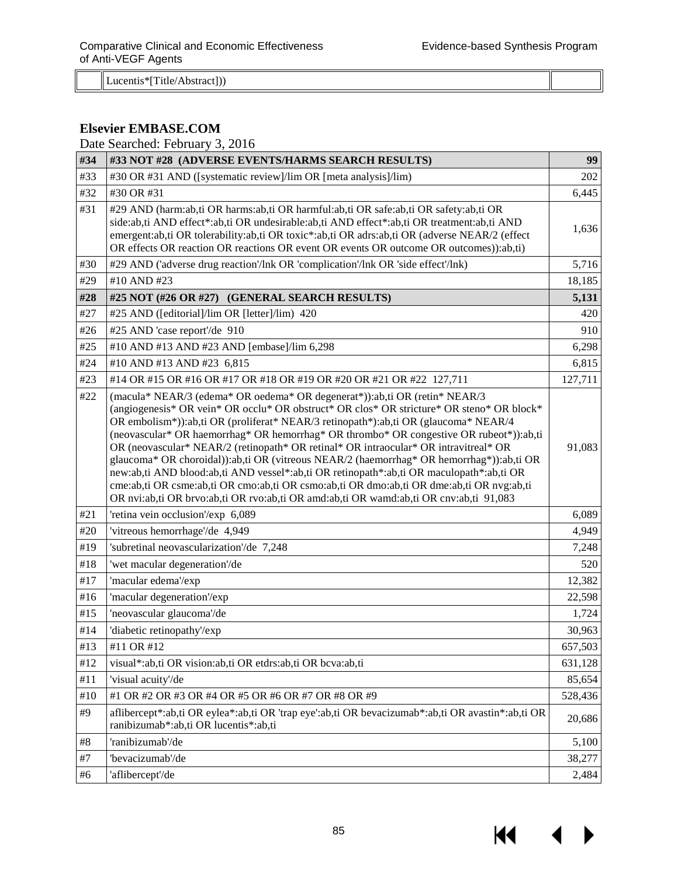$\top$ 

Lucentis\*[Title/Abstract]))

# **Elsevier EMBASE.COM**

Date Searched: February 3, 2016

| #34   | #33 NOT #28 (ADVERSE EVENTS/HARMS SEARCH RESULTS)                                                                                                                                                                                                                                                                                                                                                                                                                                                                                                                                                                                                                                                                                                                                                                                | 99      |
|-------|----------------------------------------------------------------------------------------------------------------------------------------------------------------------------------------------------------------------------------------------------------------------------------------------------------------------------------------------------------------------------------------------------------------------------------------------------------------------------------------------------------------------------------------------------------------------------------------------------------------------------------------------------------------------------------------------------------------------------------------------------------------------------------------------------------------------------------|---------|
| #33   | #30 OR #31 AND ([systematic review]/lim OR [meta analysis]/lim)                                                                                                                                                                                                                                                                                                                                                                                                                                                                                                                                                                                                                                                                                                                                                                  | 202     |
| #32   | #30 OR #31                                                                                                                                                                                                                                                                                                                                                                                                                                                                                                                                                                                                                                                                                                                                                                                                                       | 6,445   |
| #31   | #29 AND (harm:ab,ti OR harms:ab,ti OR harmful:ab,ti OR safe:ab,ti OR safety:ab,ti OR<br>side:ab,ti AND effect*:ab,ti OR undesirable:ab,ti AND effect*:ab,ti OR treatment:ab,ti AND<br>emergent:ab,ti OR tolerability:ab,ti OR toxic*:ab,ti OR adrs:ab,ti OR (adverse NEAR/2 (effect<br>OR effects OR reaction OR reactions OR event OR events OR outcome OR outcomes)):ab,ti)                                                                                                                                                                                                                                                                                                                                                                                                                                                    | 1,636   |
| #30   | #29 AND ('adverse drug reaction'/lnk OR 'complication'/lnk OR 'side effect'/lnk)                                                                                                                                                                                                                                                                                                                                                                                                                                                                                                                                                                                                                                                                                                                                                 | 5,716   |
| #29   | #10 AND #23                                                                                                                                                                                                                                                                                                                                                                                                                                                                                                                                                                                                                                                                                                                                                                                                                      | 18,185  |
| #28   | #25 NOT (#26 OR #27) (GENERAL SEARCH RESULTS)                                                                                                                                                                                                                                                                                                                                                                                                                                                                                                                                                                                                                                                                                                                                                                                    | 5,131   |
| #27   | #25 AND ([editorial]/lim OR [letter]/lim) 420                                                                                                                                                                                                                                                                                                                                                                                                                                                                                                                                                                                                                                                                                                                                                                                    | 420     |
| #26   | #25 AND 'case report'/de 910                                                                                                                                                                                                                                                                                                                                                                                                                                                                                                                                                                                                                                                                                                                                                                                                     | 910     |
| #25   | #10 AND #13 AND #23 AND [embase]/lim 6,298                                                                                                                                                                                                                                                                                                                                                                                                                                                                                                                                                                                                                                                                                                                                                                                       | 6,298   |
| #24   | #10 AND #13 AND #23 6,815                                                                                                                                                                                                                                                                                                                                                                                                                                                                                                                                                                                                                                                                                                                                                                                                        | 6,815   |
| #23   | #14 OR #15 OR #16 OR #17 OR #18 OR #19 OR #20 OR #21 OR #22 127,711                                                                                                                                                                                                                                                                                                                                                                                                                                                                                                                                                                                                                                                                                                                                                              | 127,711 |
| #22   | (macula* NEAR/3 (edema* OR oedema* OR degenerat*)):ab,ti OR (retin* NEAR/3<br>(angiogenesis* OR vein* OR occlu* OR obstruct* OR clos* OR stricture* OR steno* OR block*<br>OR embolism*)):ab,ti OR (proliferat* NEAR/3 retinopath*):ab,ti OR (glaucoma* NEAR/4<br>(neovascular* OR haemorrhag* OR hemorrhag* OR thrombo* OR congestive OR rubeot*)):ab,ti<br>OR (neovascular* NEAR/2 (retinopath* OR retinal* OR intraocular* OR intravitreal* OR<br>glaucoma* OR choroidal)):ab,ti OR (vitreous NEAR/2 (haemorrhag* OR hemorrhag*)):ab,ti OR<br>new:ab,ti AND blood:ab,ti AND vessel*:ab,ti OR retinopath*:ab,ti OR maculopath*:ab,ti OR<br>cme:ab,ti OR csme:ab,ti OR cmo:ab,ti OR csmo:ab,ti OR dmo:ab,ti OR dme:ab,ti OR nvg:ab,ti<br>OR nvi:ab,ti OR brvo:ab,ti OR rvo:ab,ti OR amd:ab,ti OR wamd:ab,ti OR cnv:ab,ti 91,083 | 91,083  |
| #21   | 'retina vein occlusion'/exp 6,089                                                                                                                                                                                                                                                                                                                                                                                                                                                                                                                                                                                                                                                                                                                                                                                                | 6,089   |
| #20   | 'vitreous hemorrhage'/de 4,949                                                                                                                                                                                                                                                                                                                                                                                                                                                                                                                                                                                                                                                                                                                                                                                                   | 4,949   |
| #19   | 'subretinal neovascularization'/de 7,248                                                                                                                                                                                                                                                                                                                                                                                                                                                                                                                                                                                                                                                                                                                                                                                         | 7,248   |
| #18   | wet macular degeneration'/de                                                                                                                                                                                                                                                                                                                                                                                                                                                                                                                                                                                                                                                                                                                                                                                                     | 520     |
| #17   | 'macular edema'/exp                                                                                                                                                                                                                                                                                                                                                                                                                                                                                                                                                                                                                                                                                                                                                                                                              | 12,382  |
| #16   | 'macular degeneration'/exp                                                                                                                                                                                                                                                                                                                                                                                                                                                                                                                                                                                                                                                                                                                                                                                                       | 22,598  |
| #15   | 'neovascular glaucoma'/de                                                                                                                                                                                                                                                                                                                                                                                                                                                                                                                                                                                                                                                                                                                                                                                                        | 1,724   |
| #14   | 'diabetic retinopathy'/exp                                                                                                                                                                                                                                                                                                                                                                                                                                                                                                                                                                                                                                                                                                                                                                                                       | 30,963  |
| #13   | #11 OR #12                                                                                                                                                                                                                                                                                                                                                                                                                                                                                                                                                                                                                                                                                                                                                                                                                       | 657,503 |
| #12   | visual*:ab,ti OR vision:ab,ti OR etdrs:ab,ti OR bcva:ab,ti                                                                                                                                                                                                                                                                                                                                                                                                                                                                                                                                                                                                                                                                                                                                                                       | 631,128 |
| #11   | 'visual acuity'/de                                                                                                                                                                                                                                                                                                                                                                                                                                                                                                                                                                                                                                                                                                                                                                                                               | 85,654  |
| #10   | #1 OR #2 OR #3 OR #4 OR #5 OR #6 OR #7 OR #8 OR #9                                                                                                                                                                                                                                                                                                                                                                                                                                                                                                                                                                                                                                                                                                                                                                               | 528,436 |
| #9    | aflibercept*:ab,ti OR eylea*:ab,ti OR 'trap eye':ab,ti OR bevacizumab*:ab,ti OR avastin*:ab,ti OR<br>ranibizumab*:ab,ti OR lucentis*:ab,ti                                                                                                                                                                                                                                                                                                                                                                                                                                                                                                                                                                                                                                                                                       | 20,686  |
| $\#8$ | 'ranibizumab'/de                                                                                                                                                                                                                                                                                                                                                                                                                                                                                                                                                                                                                                                                                                                                                                                                                 | 5,100   |
| $\#7$ | 'bevacizumab'/de                                                                                                                                                                                                                                                                                                                                                                                                                                                                                                                                                                                                                                                                                                                                                                                                                 | 38,277  |
| #6    | 'aflibercept'/de                                                                                                                                                                                                                                                                                                                                                                                                                                                                                                                                                                                                                                                                                                                                                                                                                 | 2,484   |

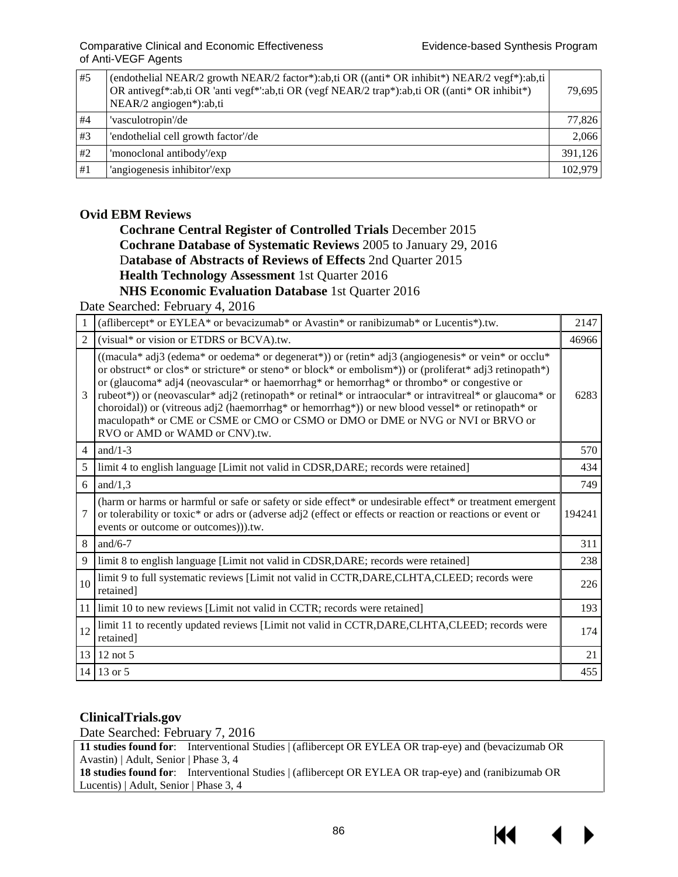К€

| #5 | (endothelial NEAR/2 growth NEAR/2 factor*):ab,ti OR ((anti* OR inhibit*) NEAR/2 vegf*):ab,ti<br>OR antivegf*:ab,ti OR 'anti vegf*':ab,ti OR (vegf NEAR/2 trap*):ab,ti OR ((anti* OR inhibit*)<br>NEAR/2 angiogen*):ab,ti | 79.695  |
|----|--------------------------------------------------------------------------------------------------------------------------------------------------------------------------------------------------------------------------|---------|
| #4 | 'vasculotropin'/de                                                                                                                                                                                                       | 77.826  |
| #3 | 'endothelial cell growth factor'/de                                                                                                                                                                                      | 2.066   |
| #2 | 'monoclonal antibody'/exp                                                                                                                                                                                                | 391,126 |
| #1 | 'angiogenesis inhibitor'/exp                                                                                                                                                                                             | 102,979 |

#### **Ovid EBM Reviews**

# **Cochrane Central Register of Controlled Trials** December 2015 **Cochrane Database of Systematic Reviews** 2005 to January 29, 2016 D**atabase of Abstracts of Reviews of Effects** 2nd Quarter 2015 **Health Technology Assessment** 1st Quarter 2016 **NHS Economic Evaluation Database** 1st Quarter 2016

Date Searched: February 4, 2016

|                | (aflibercept* or EYLEA* or bevacizumab* or Avastin* or ranibizumab* or Lucentis*).tw.                                                                                                                                                                                                                                                                                                                                                                                                                                                                                                                                                               |        |  |
|----------------|-----------------------------------------------------------------------------------------------------------------------------------------------------------------------------------------------------------------------------------------------------------------------------------------------------------------------------------------------------------------------------------------------------------------------------------------------------------------------------------------------------------------------------------------------------------------------------------------------------------------------------------------------------|--------|--|
| $\overline{2}$ | (visual* or vision or ETDRS or BCVA).tw.                                                                                                                                                                                                                                                                                                                                                                                                                                                                                                                                                                                                            | 46966  |  |
| 3              | ((macula* adj3 (edema* or oedema* or degenerat*)) or (retin* adj3 (angiogenesis* or vein* or occlu*<br>or obstruct* or clos* or stricture* or steno* or block* or embolism*)) or (proliferat* adj3 retinopath*)<br>or (glaucoma* adj4 (neovascular* or haemorrhag* or hemorrhag* or thrombo* or congestive or<br>rubeot*) or (neovascular* adj2 (retinopath* or retinal* or intraocular* or intravitreal* or glaucoma* or<br>choroidal) or (vitreous adj2 (haemorrhag* or hemorrhag*)) or new blood vessel* or retinopath* or<br>maculopath* or CME or CSME or CMO or CSMO or DMO or DME or NVG or NVI or BRVO or<br>RVO or AMD or WAMD or CNV).tw. | 6283   |  |
| 4              | and/1-3                                                                                                                                                                                                                                                                                                                                                                                                                                                                                                                                                                                                                                             | 570    |  |
| 5              | limit 4 to english language [Limit not valid in CDSR, DARE; records were retained]                                                                                                                                                                                                                                                                                                                                                                                                                                                                                                                                                                  | 434    |  |
| 6              | and $/1,3$                                                                                                                                                                                                                                                                                                                                                                                                                                                                                                                                                                                                                                          | 749    |  |
| $\overline{7}$ | (harm or harms or harmful or safe or safety or side effect* or undesirable effect* or treatment emergent<br>or tolerability or toxic* or adrs or (adverse adj2 (effect or effects or reaction or reactions or event or<br>events or outcome or outcomes))).tw.                                                                                                                                                                                                                                                                                                                                                                                      | 194241 |  |
| 8              | and/ $6-7$                                                                                                                                                                                                                                                                                                                                                                                                                                                                                                                                                                                                                                          | 311    |  |
| 9              | limit 8 to english language [Limit not valid in CDSR, DARE; records were retained]                                                                                                                                                                                                                                                                                                                                                                                                                                                                                                                                                                  | 238    |  |
| 10             | limit 9 to full systematic reviews [Limit not valid in CCTR, DARE, CLHTA, CLEED; records were<br>retained]                                                                                                                                                                                                                                                                                                                                                                                                                                                                                                                                          | 226    |  |
| 11             | limit 10 to new reviews [Limit not valid in CCTR; records were retained]                                                                                                                                                                                                                                                                                                                                                                                                                                                                                                                                                                            | 193    |  |
| 12             | limit 11 to recently updated reviews [Limit not valid in CCTR, DARE, CLHTA, CLEED; records were<br>retained]                                                                                                                                                                                                                                                                                                                                                                                                                                                                                                                                        | 174    |  |
|                | 13 12 not 5                                                                                                                                                                                                                                                                                                                                                                                                                                                                                                                                                                                                                                         | 21     |  |
|                | 14 13 or 5                                                                                                                                                                                                                                                                                                                                                                                                                                                                                                                                                                                                                                          | 455    |  |

#### **ClinicalTrials.gov**

Date Searched: February 7, 2016

**11 studies found for**: Interventional Studies | (aflibercept OR EYLEA OR trap-eye) and (bevacizumab OR Avastin) | Adult, Senior | Phase 3, 4 **18 studies found for**: Interventional Studies | (aflibercept OR EYLEA OR trap-eye) and (ranibizumab OR Lucentis) | Adult, Senior | Phase 3, 4

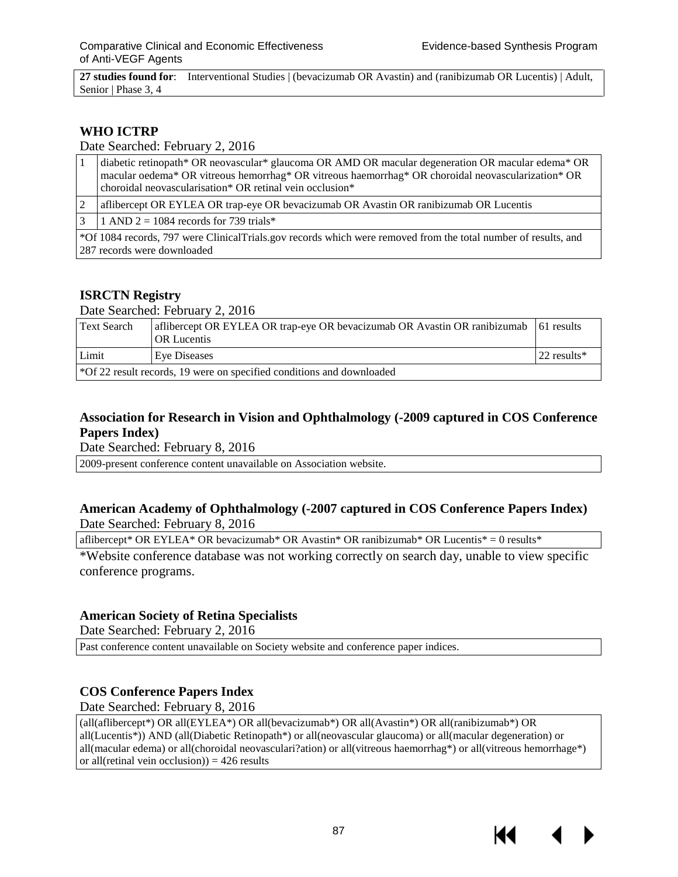**27 studies found for**: Interventional Studies | (bevacizumab OR Avastin) and (ranibizumab OR Lucentis) | Adult, Senior | Phase 3, 4

#### **WHO ICTRP**

Date Searched: February 2, 2016

|                | diabetic retinopath* OR neovascular* glaucoma OR AMD OR macular degeneration OR macular edema* OR<br>macular oedema* OR vitreous hemorrhag* OR vitreous haemorrhag* OR choroidal neovascularization* OR<br>choroidal neovascularisation* OR retinal vein occlusion* |  |
|----------------|---------------------------------------------------------------------------------------------------------------------------------------------------------------------------------------------------------------------------------------------------------------------|--|
| $\mathfrak{D}$ | aflibercept OR EYLEA OR trap-eye OR bevacizumab OR Avastin OR ranibizumab OR Lucentis                                                                                                                                                                               |  |
| $\mathcal{R}$  | 1 AND 2 = 1084 records for 739 trials*                                                                                                                                                                                                                              |  |
|                | *Of 1084 records, 797 were ClinicalTrials.gov records which were removed from the total number of results, and<br>287 records were downloaded                                                                                                                       |  |

#### **ISRCTN Registry**

Date Searched: February 2, 2016

| Text Search                                                           | $\alpha$ affibercept OR EYLEA OR trap-eye OR bevacizumab OR Avastin OR ranibizumab $\alpha$ 61 results<br><b>OR</b> Lucentis |                |  |
|-----------------------------------------------------------------------|------------------------------------------------------------------------------------------------------------------------------|----------------|--|
| Limit                                                                 | Eye Diseases                                                                                                                 | $122$ results* |  |
| *Of 22 result records, 19 were on specified conditions and downloaded |                                                                                                                              |                |  |

## **Association for Research in Vision and Ophthalmology (-2009 captured in COS Conference Papers Index)**

Date Searched: February 8, 2016

2009-present conference content unavailable on Association website.

#### **American Academy of Ophthalmology (-2007 captured in COS Conference Papers Index)** Date Searched: February 8, 2016

aflibercept\* OR EYLEA\* OR bevacizumab\* OR Avastin\* OR ranibizumab\* OR Lucentis\* = 0 results\*

\*Website conference database was not working correctly on search day, unable to view specific conference programs.

#### **American Society of Retina Specialists**

Date Searched: February 2, 2016

Past conference content unavailable on Society website and conference paper indices.

## **COS Conference Papers Index**

Date Searched: February 8, 2016

(all(aflibercept\*) OR all(EYLEA\*) OR all(bevacizumab\*) OR all(Avastin\*) OR all(ranibizumab\*) OR all(Lucentis\*)) AND (all(Diabetic Retinopath\*) or all(neovascular glaucoma) or all(macular degeneration) or all(macular edema) or all(choroidal neovasculari?ation) or all(vitreous haemorrhag\*) or all(vitreous hemorrhage\*) or all(retinal vein occlusion)) =  $426$  results



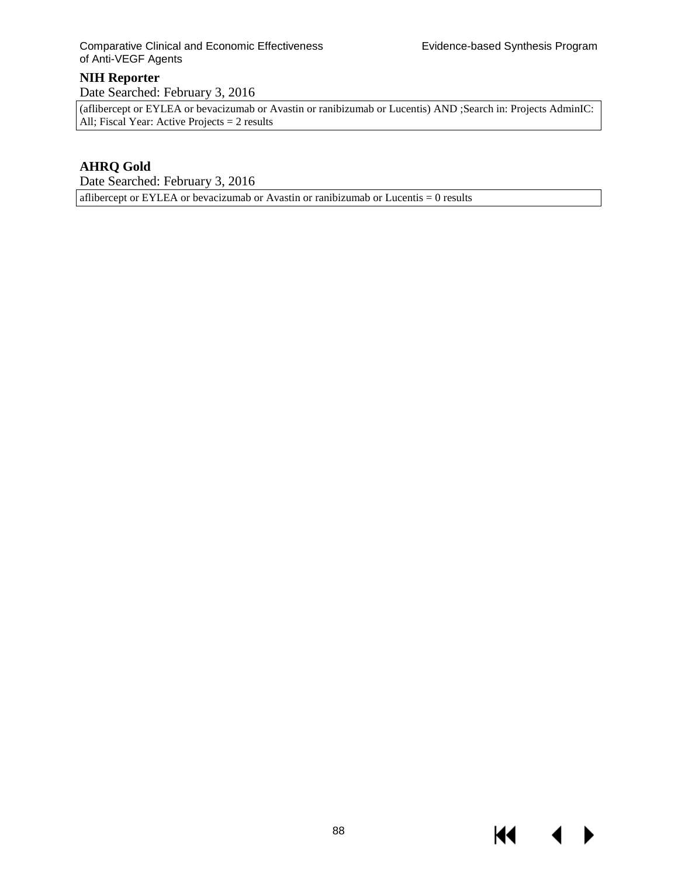**KK** 

#### **NIH Reporter**

Date Searched: February 3, 2016

(aflibercept or EYLEA or bevacizumab or Avastin or ranibizumab or Lucentis) AND ;Search in: Projects AdminIC: All; Fiscal Year: Active Projects = 2 results

# **AHRQ Gold**

Date Searched: February 3, 2016

aflibercept or EYLEA or bevacizumab or Avastin or ranibizumab or Lucentis = 0 results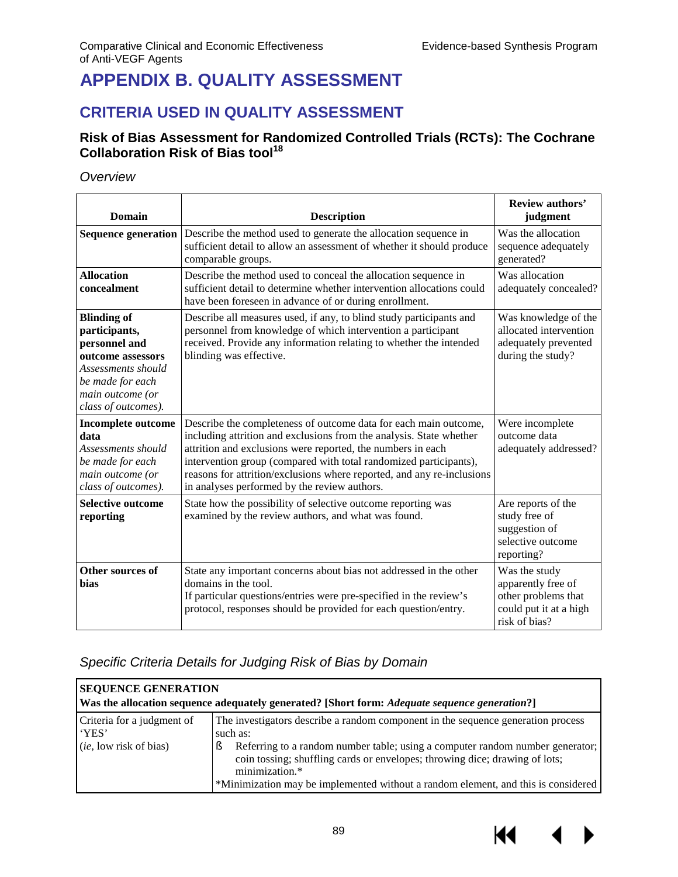# **APPENDIX B. QUALITY ASSESSMENT**

# **CRITERIA USED IN QUALITY ASSESSMENT**

# **Risk of Bias Assessment for Randomized Controlled Trials (RCTs): The Cochrane Collaboration Risk of Bias tool<sup>18</sup>**

#### *Overview*

| <b>Domain</b>                                                                                                                                                  | <b>Description</b>                                                                                                                                                                                                                                                                                                                                                                                    | Review authors'<br>judgment                                                                           |
|----------------------------------------------------------------------------------------------------------------------------------------------------------------|-------------------------------------------------------------------------------------------------------------------------------------------------------------------------------------------------------------------------------------------------------------------------------------------------------------------------------------------------------------------------------------------------------|-------------------------------------------------------------------------------------------------------|
| <b>Sequence generation</b>                                                                                                                                     | Describe the method used to generate the allocation sequence in<br>sufficient detail to allow an assessment of whether it should produce<br>comparable groups.                                                                                                                                                                                                                                        | Was the allocation<br>sequence adequately<br>generated?                                               |
| <b>Allocation</b><br>concealment                                                                                                                               | Describe the method used to conceal the allocation sequence in<br>sufficient detail to determine whether intervention allocations could<br>have been foreseen in advance of or during enrollment.                                                                                                                                                                                                     | Was allocation<br>adequately concealed?                                                               |
| <b>Blinding of</b><br>participants,<br>personnel and<br>outcome assessors<br>Assessments should<br>be made for each<br>main outcome (or<br>class of outcomes). | Describe all measures used, if any, to blind study participants and<br>personnel from knowledge of which intervention a participant<br>received. Provide any information relating to whether the intended<br>blinding was effective.                                                                                                                                                                  | Was knowledge of the<br>allocated intervention<br>adequately prevented<br>during the study?           |
| <b>Incomplete outcome</b><br>data<br>Assessments should<br>be made for each<br>main outcome (or<br>class of outcomes).                                         | Describe the completeness of outcome data for each main outcome,<br>including attrition and exclusions from the analysis. State whether<br>attrition and exclusions were reported, the numbers in each<br>intervention group (compared with total randomized participants),<br>reasons for attrition/exclusions where reported, and any re-inclusions<br>in analyses performed by the review authors. | Were incomplete<br>outcome data<br>adequately addressed?                                              |
| <b>Selective outcome</b><br>reporting                                                                                                                          | State how the possibility of selective outcome reporting was<br>examined by the review authors, and what was found.                                                                                                                                                                                                                                                                                   | Are reports of the<br>study free of<br>suggestion of<br>selective outcome<br>reporting?               |
| Other sources of<br>hias                                                                                                                                       | State any important concerns about bias not addressed in the other<br>domains in the tool.<br>If particular questions/entries were pre-specified in the review's<br>protocol, responses should be provided for each question/entry.                                                                                                                                                                   | Was the study<br>apparently free of<br>other problems that<br>could put it at a high<br>risk of bias? |

## *Specific Criteria Details for Judging Risk of Bias by Domain*

| <b>SEQUENCE GENERATION</b><br>Was the allocation sequence adequately generated? [Short form: Adequate sequence generation?] |                                                                                                                                                                                                                                                                                                                                                                     |  |
|-----------------------------------------------------------------------------------------------------------------------------|---------------------------------------------------------------------------------------------------------------------------------------------------------------------------------------------------------------------------------------------------------------------------------------------------------------------------------------------------------------------|--|
| Criteria for a judgment of<br>'YES'<br><i>(ie, low risk of bias)</i>                                                        | The investigators describe a random component in the sequence generation process<br>such as:<br>Referring to a random number table; using a computer random number generator;<br>coin tossing; shuffling cards or envelopes; throwing dice; drawing of lots;<br>minimization.*<br>*Minimization may be implemented without a random element, and this is considered |  |

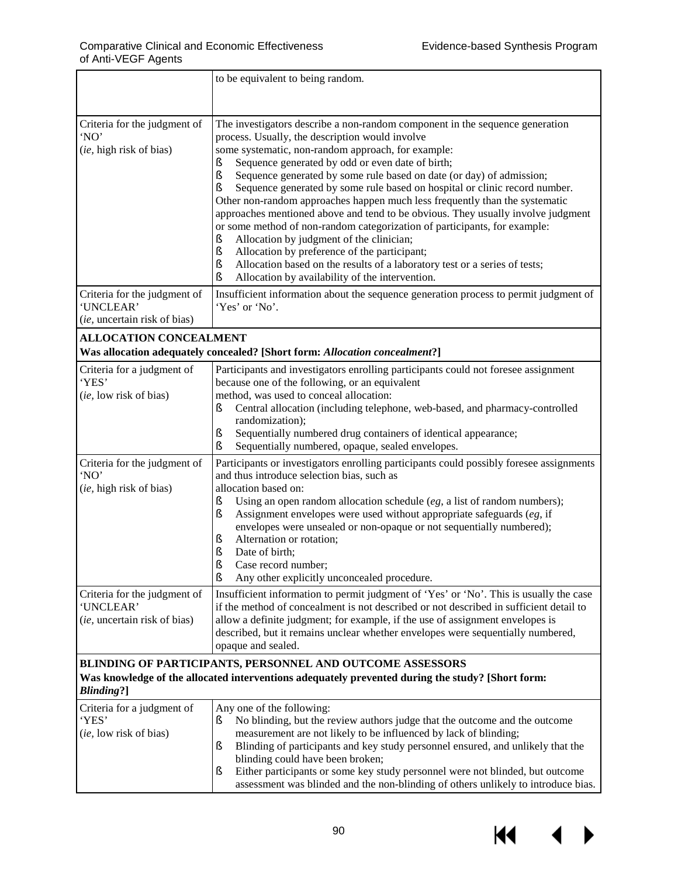|                                                                           | to be equivalent to being random.                                                                                                                                                                                                                                                                                                                                                                                                                                                                                                                                                                                                                                                                                                                                                                                                                                                                               |
|---------------------------------------------------------------------------|-----------------------------------------------------------------------------------------------------------------------------------------------------------------------------------------------------------------------------------------------------------------------------------------------------------------------------------------------------------------------------------------------------------------------------------------------------------------------------------------------------------------------------------------------------------------------------------------------------------------------------------------------------------------------------------------------------------------------------------------------------------------------------------------------------------------------------------------------------------------------------------------------------------------|
|                                                                           |                                                                                                                                                                                                                                                                                                                                                                                                                                                                                                                                                                                                                                                                                                                                                                                                                                                                                                                 |
| Criteria for the judgment of<br>'NO'<br>(ie, high risk of bias)           | The investigators describe a non-random component in the sequence generation<br>process. Usually, the description would involve<br>some systematic, non-random approach, for example:<br>Sequence generated by odd or even date of birth;<br>ş<br>ş<br>Sequence generated by some rule based on date (or day) of admission;<br>ş<br>Sequence generated by some rule based on hospital or clinic record number.<br>Other non-random approaches happen much less frequently than the systematic<br>approaches mentioned above and tend to be obvious. They usually involve judgment<br>or some method of non-random categorization of participants, for example:<br>Allocation by judgment of the clinician;<br>ş<br>Allocation by preference of the participant;<br>ş<br>Allocation based on the results of a laboratory test or a series of tests;<br>ş<br>Allocation by availability of the intervention.<br>ş |
| Criteria for the judgment of<br>'UNCLEAR'<br>(ie, uncertain risk of bias) | Insufficient information about the sequence generation process to permit judgment of<br>'Yes' or 'No'.                                                                                                                                                                                                                                                                                                                                                                                                                                                                                                                                                                                                                                                                                                                                                                                                          |
| <b>ALLOCATION CONCEALMENT</b>                                             |                                                                                                                                                                                                                                                                                                                                                                                                                                                                                                                                                                                                                                                                                                                                                                                                                                                                                                                 |
|                                                                           | Was allocation adequately concealed? [Short form: Allocation concealment?]                                                                                                                                                                                                                                                                                                                                                                                                                                                                                                                                                                                                                                                                                                                                                                                                                                      |
| Criteria for a judgment of<br>'YES'<br>(ie, low risk of bias)             | Participants and investigators enrolling participants could not foresee assignment<br>because one of the following, or an equivalent<br>method, was used to conceal allocation:<br>Central allocation (including telephone, web-based, and pharmacy-controlled<br>ş<br>randomization);<br>Sequentially numbered drug containers of identical appearance;<br>ş<br>Sequentially numbered, opaque, sealed envelopes.<br>ş                                                                                                                                                                                                                                                                                                                                                                                                                                                                                          |
| Criteria for the judgment of<br>'NO'<br>(ie, high risk of bias)           | Participants or investigators enrolling participants could possibly foresee assignments<br>and thus introduce selection bias, such as<br>allocation based on:<br>Using an open random allocation schedule $(eg, a list of random numbers);$<br>ş<br>ş<br>Assignment envelopes were used without appropriate safeguards $(eg, if)$<br>envelopes were unsealed or non-opaque or not sequentially numbered);<br>Alternation or rotation;<br>ş<br>Date of birth;<br>Case record number;<br>Any other explicitly unconcealed procedure.<br>ş                                                                                                                                                                                                                                                                                                                                                                         |
| Criteria for the judgment of<br>'UNCLEAR'<br>(ie, uncertain risk of bias) | Insufficient information to permit judgment of 'Yes' or 'No'. This is usually the case<br>if the method of concealment is not described or not described in sufficient detail to<br>allow a definite judgment; for example, if the use of assignment envelopes is<br>described, but it remains unclear whether envelopes were sequentially numbered,<br>opaque and sealed.                                                                                                                                                                                                                                                                                                                                                                                                                                                                                                                                      |
| <b>Blinding?</b> ]                                                        | BLINDING OF PARTICIPANTS, PERSONNEL AND OUTCOME ASSESSORS<br>Was knowledge of the allocated interventions adequately prevented during the study? [Short form:                                                                                                                                                                                                                                                                                                                                                                                                                                                                                                                                                                                                                                                                                                                                                   |
| Criteria for a judgment of<br>'YES'<br>(ie, low risk of bias)             | Any one of the following:<br>No blinding, but the review authors judge that the outcome and the outcome<br>ş<br>measurement are not likely to be influenced by lack of blinding;<br>Blinding of participants and key study personnel ensured, and unlikely that the<br>ş<br>blinding could have been broken;<br>Either participants or some key study personnel were not blinded, but outcome<br>ş<br>assessment was blinded and the non-blinding of others unlikely to introduce bias.                                                                                                                                                                                                                                                                                                                                                                                                                         |

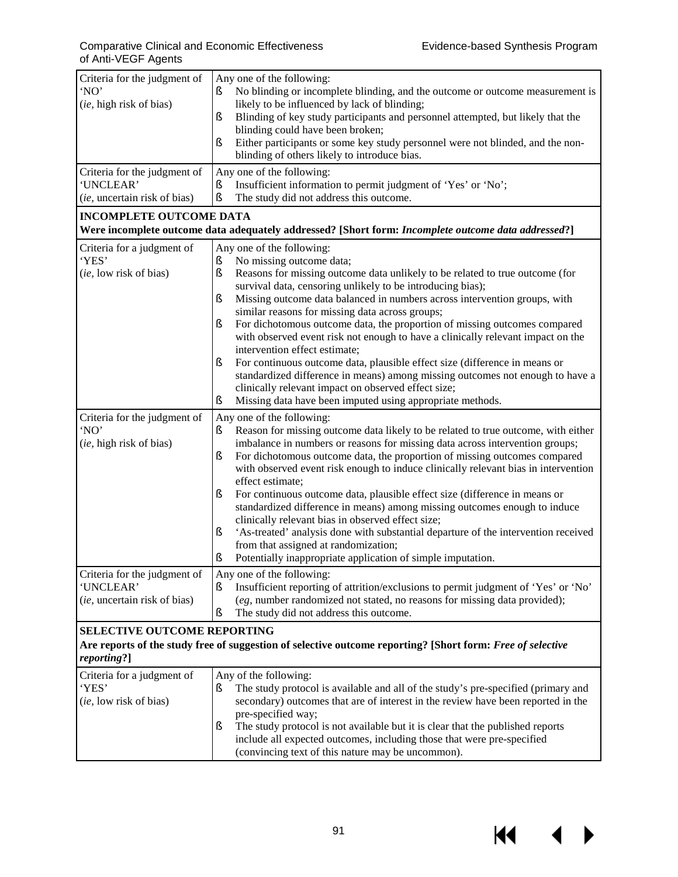$M \cdot 1$ 

 $\blacktriangleright$ 

| Criteria for the judgment of<br>'NO'<br>(ie, high risk of bias)<br>Criteria for the judgment of<br>'UNCLEAR'<br>(ie, uncertain risk of bias)<br><b>INCOMPLETE OUTCOME DATA</b> | Any one of the following:<br>No blinding or incomplete blinding, and the outcome or outcome measurement is<br>ş<br>likely to be influenced by lack of blinding;<br>Blinding of key study participants and personnel attempted, but likely that the<br>ş<br>blinding could have been broken;<br>Either participants or some key study personnel were not blinded, and the non-<br>ş<br>blinding of others likely to introduce bias.<br>Any one of the following:<br>Insufficient information to permit judgment of 'Yes' or 'No';<br>ş<br>ş<br>The study did not address this outcome.                                                                                                                                                                                                                                                                 |  |
|--------------------------------------------------------------------------------------------------------------------------------------------------------------------------------|-------------------------------------------------------------------------------------------------------------------------------------------------------------------------------------------------------------------------------------------------------------------------------------------------------------------------------------------------------------------------------------------------------------------------------------------------------------------------------------------------------------------------------------------------------------------------------------------------------------------------------------------------------------------------------------------------------------------------------------------------------------------------------------------------------------------------------------------------------|--|
|                                                                                                                                                                                | Were incomplete outcome data adequately addressed? [Short form: Incomplete outcome data addressed?]                                                                                                                                                                                                                                                                                                                                                                                                                                                                                                                                                                                                                                                                                                                                                   |  |
| Criteria for a judgment of<br>'YES'<br>(ie, low risk of bias)                                                                                                                  | Any one of the following:<br>No missing outcome data;<br>ş<br>Reasons for missing outcome data unlikely to be related to true outcome (for<br>ş<br>survival data, censoring unlikely to be introducing bias);<br>Missing outcome data balanced in numbers across intervention groups, with<br>ş<br>similar reasons for missing data across groups;<br>For dichotomous outcome data, the proportion of missing outcomes compared<br>ş<br>with observed event risk not enough to have a clinically relevant impact on the<br>intervention effect estimate;<br>For continuous outcome data, plausible effect size (difference in means or<br>ş<br>standardized difference in means) among missing outcomes not enough to have a<br>clinically relevant impact on observed effect size;<br>Missing data have been imputed using appropriate methods.<br>ş |  |
| Criteria for the judgment of<br>'NO'<br>(ie, high risk of bias)                                                                                                                | Any one of the following:<br>Reason for missing outcome data likely to be related to true outcome, with either<br>ş<br>imbalance in numbers or reasons for missing data across intervention groups;<br>For dichotomous outcome data, the proportion of missing outcomes compared<br>ş<br>with observed event risk enough to induce clinically relevant bias in intervention<br>effect estimate;<br>For continuous outcome data, plausible effect size (difference in means or<br>ş<br>standardized difference in means) among missing outcomes enough to induce<br>clinically relevant bias in observed effect size;<br>'As-treated' analysis done with substantial departure of the intervention received<br>ş<br>from that assigned at randomization;<br>Potentially inappropriate application of simple imputation.<br>ş                           |  |
| Criteria for the judgment of<br>'UNCLEAR'<br>(ie, uncertain risk of bias)                                                                                                      | Any one of the following:<br>Insufficient reporting of attrition/exclusions to permit judgment of 'Yes' or 'No'<br>ş<br>(eg, number randomized not stated, no reasons for missing data provided);<br>ş<br>The study did not address this outcome.                                                                                                                                                                                                                                                                                                                                                                                                                                                                                                                                                                                                     |  |
| SELECTIVE OUTCOME REPORTING<br>Are reports of the study free of suggestion of selective outcome reporting? [Short form: Free of selective<br>reporting?]                       |                                                                                                                                                                                                                                                                                                                                                                                                                                                                                                                                                                                                                                                                                                                                                                                                                                                       |  |
| Criteria for a judgment of<br>'YES'<br>(ie, low risk of bias)                                                                                                                  | Any of the following:<br>The study protocol is available and all of the study's pre-specified (primary and<br>ş<br>secondary) outcomes that are of interest in the review have been reported in the<br>pre-specified way;<br>ş<br>The study protocol is not available but it is clear that the published reports<br>include all expected outcomes, including those that were pre-specified<br>(convincing text of this nature may be uncommon).                                                                                                                                                                                                                                                                                                                                                                                                       |  |

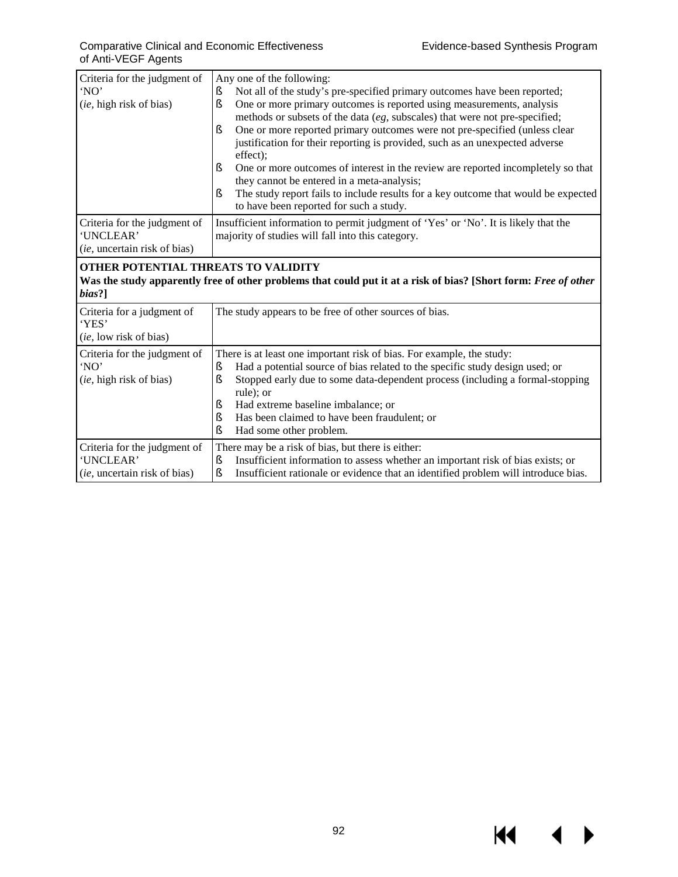$M \cdot 1$ 

 $\blacktriangleright$ 

| Criteria for the judgment of<br>'NO'<br>(ie, high risk of bias)           | Any one of the following:<br>Not all of the study's pre-specified primary outcomes have been reported;<br>ş<br>ş<br>One or more primary outcomes is reported using measurements, analysis<br>methods or subsets of the data (eg, subscales) that were not pre-specified;<br>ş<br>One or more reported primary outcomes were not pre-specified (unless clear<br>justification for their reporting is provided, such as an unexpected adverse<br>effect);<br>One or more outcomes of interest in the review are reported incompletely so that<br>ş<br>they cannot be entered in a meta-analysis;<br>The study report fails to include results for a key outcome that would be expected<br>ş<br>to have been reported for such a study. |
|---------------------------------------------------------------------------|--------------------------------------------------------------------------------------------------------------------------------------------------------------------------------------------------------------------------------------------------------------------------------------------------------------------------------------------------------------------------------------------------------------------------------------------------------------------------------------------------------------------------------------------------------------------------------------------------------------------------------------------------------------------------------------------------------------------------------------|
| Criteria for the judgment of<br>'UNCLEAR'<br>(ie, uncertain risk of bias) | Insufficient information to permit judgment of 'Yes' or 'No'. It is likely that the<br>majority of studies will fall into this category.                                                                                                                                                                                                                                                                                                                                                                                                                                                                                                                                                                                             |
| <b>OTHER POTENTIAL THREATS TO VALIDITY</b><br>bias?]                      | Was the study apparently free of other problems that could put it at a risk of bias? [Short form: Free of other                                                                                                                                                                                                                                                                                                                                                                                                                                                                                                                                                                                                                      |
| Criteria for a judgment of<br>'YES'<br>(ie, low risk of bias)             | The study appears to be free of other sources of bias.                                                                                                                                                                                                                                                                                                                                                                                                                                                                                                                                                                                                                                                                               |
| Criteria for the judgment of<br>'NO'<br>(ie, high risk of bias)           | There is at least one important risk of bias. For example, the study:<br>Had a potential source of bias related to the specific study design used; or<br>ş<br>Stopped early due to some data-dependent process (including a formal-stopping<br>ş<br>rule); or<br>Had extreme baseline imbalance; or<br>ş<br>Has been claimed to have been fraudulent; or<br>ş<br>ş<br>Had some other problem.                                                                                                                                                                                                                                                                                                                                        |
| Criteria for the judgment of<br>'UNCLEAR'<br>(ie, uncertain risk of bias) | There may be a risk of bias, but there is either:<br>ş<br>Insufficient information to assess whether an important risk of bias exists; or<br>ş<br>Insufficient rationale or evidence that an identified problem will introduce bias.                                                                                                                                                                                                                                                                                                                                                                                                                                                                                                 |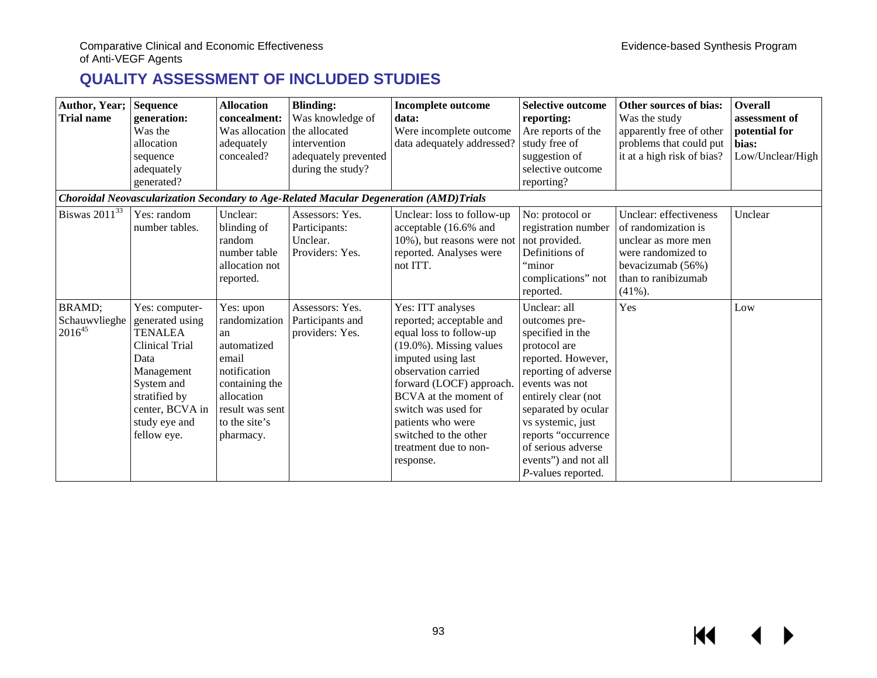# **QUALITY ASSESSMENT OF INCLUDED STUDIES**

| Author, Year;<br><b>Trial name</b>     | <b>Sequence</b><br>generation:<br>Was the<br>allocation<br>sequence<br>adequately<br>generated?                                                                               | <b>Allocation</b><br>concealment:<br>Was allocation<br>adequately<br>concealed?                                                                           | <b>Blinding:</b><br>Was knowledge of<br>the allocated<br>intervention<br>adequately prevented<br>during the study? | <b>Incomplete outcome</b><br>data:<br>Were incomplete outcome<br>data adequately addressed?                                                                                                                                                                                                                          | <b>Selective outcome</b><br>reporting:<br>Are reports of the<br>study free of<br>suggestion of<br>selective outcome<br>reporting?                                                                                                                                                               | Other sources of bias:<br>Was the study<br>apparently free of other<br>problems that could put<br>it at a high risk of bias?                         | <b>Overall</b><br>assessment of<br>potential for<br>bias:<br>Low/Unclear/High |
|----------------------------------------|-------------------------------------------------------------------------------------------------------------------------------------------------------------------------------|-----------------------------------------------------------------------------------------------------------------------------------------------------------|--------------------------------------------------------------------------------------------------------------------|----------------------------------------------------------------------------------------------------------------------------------------------------------------------------------------------------------------------------------------------------------------------------------------------------------------------|-------------------------------------------------------------------------------------------------------------------------------------------------------------------------------------------------------------------------------------------------------------------------------------------------|------------------------------------------------------------------------------------------------------------------------------------------------------|-------------------------------------------------------------------------------|
|                                        |                                                                                                                                                                               |                                                                                                                                                           | Choroidal Neovascularization Secondary to Age-Related Macular Degeneration (AMD)Trials                             |                                                                                                                                                                                                                                                                                                                      |                                                                                                                                                                                                                                                                                                 |                                                                                                                                                      |                                                                               |
| Biswas $2011^{33}$                     | Yes: random<br>number tables.                                                                                                                                                 | Unclear:<br>blinding of<br>random<br>number table<br>allocation not<br>reported.                                                                          | Assessors: Yes.<br>Participants:<br>Unclear.<br>Providers: Yes.                                                    | Unclear: loss to follow-up<br>acceptable (16.6% and<br>10%), but reasons were not<br>reported. Analyses were<br>not ITT.                                                                                                                                                                                             | No: protocol or<br>registration number<br>not provided.<br>Definitions of<br>"minor<br>complications" not<br>reported.                                                                                                                                                                          | Unclear: effectiveness<br>of randomization is<br>unclear as more men<br>were randomized to<br>bevacizumab (56%)<br>than to ranibizumab<br>$(41\%)$ . | Unclear                                                                       |
| BRAMD;<br>Schauwvlieghe<br>$2016^{45}$ | Yes: computer-<br>generated using<br><b>TENALEA</b><br>Clinical Trial<br>Data<br>Management<br>System and<br>stratified by<br>center, BCVA in<br>study eye and<br>fellow eye. | Yes: upon<br>randomization<br>an<br>automatized<br>email<br>notification<br>containing the<br>allocation<br>result was sent<br>to the site's<br>pharmacy. | Assessors: Yes.<br>Participants and<br>providers: Yes.                                                             | Yes: ITT analyses<br>reported; acceptable and<br>equal loss to follow-up<br>$(19.0\%)$ . Missing values<br>imputed using last<br>observation carried<br>forward (LOCF) approach.<br>BCVA at the moment of<br>switch was used for<br>patients who were<br>switched to the other<br>treatment due to non-<br>response. | Unclear: all<br>outcomes pre-<br>specified in the<br>protocol are<br>reported. However,<br>reporting of adverse<br>events was not<br>entirely clear (not<br>separated by ocular<br>vs systemic, just<br>reports "occurrence<br>of serious adverse<br>events") and not all<br>P-values reported. | Yes                                                                                                                                                  | Low                                                                           |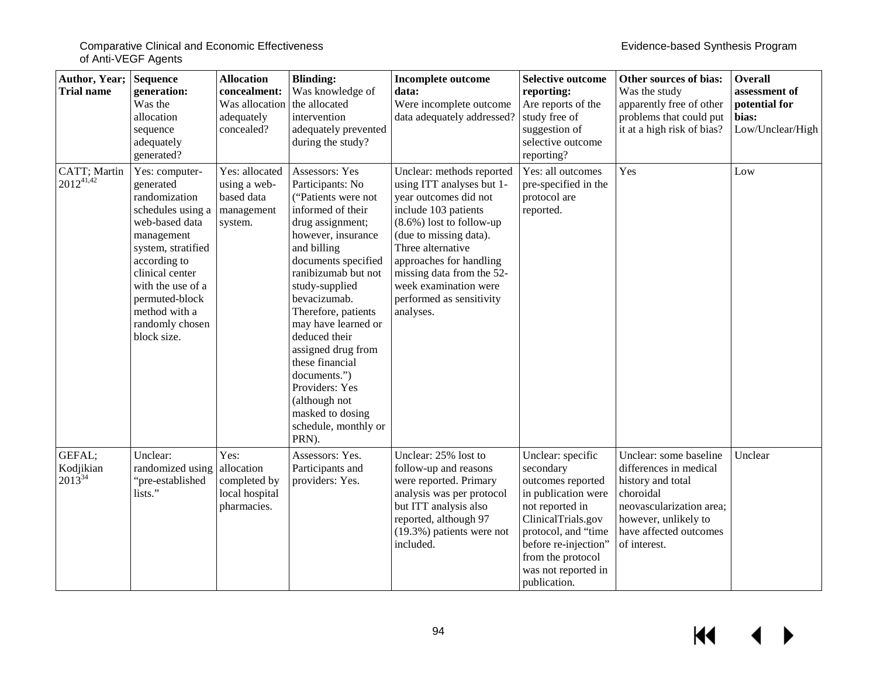| <b>Author, Year;</b><br><b>Trial name</b> | <b>Sequence</b><br>generation:<br>Was the<br>allocation<br>sequence<br>adequately<br>generated?                                                                                                                                                      | <b>Allocation</b><br>concealment:<br>Was allocation<br>adequately<br>concealed? | <b>Blinding:</b><br>Was knowledge of<br>the allocated<br>intervention<br>adequately prevented<br>during the study?                                                                                                                                                                                                                                                                                                                      | <b>Incomplete outcome</b><br>data:<br>Were incomplete outcome<br>data adequately addressed?                                                                                                                                                                                                                     | <b>Selective outcome</b><br>reporting:<br>Are reports of the<br>study free of<br>suggestion of<br>selective outcome<br>reporting?                                                                                              | Other sources of bias:<br>Was the study<br>apparently free of other<br>problems that could put<br>it at a high risk of bias?                                                     | <b>Overall</b><br>assessment of<br>potential for<br>bias:<br>Low/Unclear/High |
|-------------------------------------------|------------------------------------------------------------------------------------------------------------------------------------------------------------------------------------------------------------------------------------------------------|---------------------------------------------------------------------------------|-----------------------------------------------------------------------------------------------------------------------------------------------------------------------------------------------------------------------------------------------------------------------------------------------------------------------------------------------------------------------------------------------------------------------------------------|-----------------------------------------------------------------------------------------------------------------------------------------------------------------------------------------------------------------------------------------------------------------------------------------------------------------|--------------------------------------------------------------------------------------------------------------------------------------------------------------------------------------------------------------------------------|----------------------------------------------------------------------------------------------------------------------------------------------------------------------------------|-------------------------------------------------------------------------------|
| CATT; Martin<br>$2012^{41,42}$            | Yes: computer-<br>generated<br>randomization<br>schedules using a<br>web-based data<br>management<br>system, stratified<br>according to<br>clinical center<br>with the use of a<br>permuted-block<br>method with a<br>randomly chosen<br>block size. | Yes: allocated<br>using a web-<br>based data<br>management<br>system.           | Assessors: Yes<br>Participants: No<br>("Patients were not<br>informed of their<br>drug assignment;<br>however, insurance<br>and billing<br>documents specified<br>ranibizumab but not<br>study-supplied<br>bevacizumab.<br>Therefore, patients<br>may have learned or<br>deduced their<br>assigned drug from<br>these financial<br>documents.")<br>Providers: Yes<br>(although not<br>masked to dosing<br>schedule, monthly or<br>PRN). | Unclear: methods reported<br>using ITT analyses but 1-<br>year outcomes did not<br>include 103 patients<br>$(8.6\%)$ lost to follow-up<br>(due to missing data).<br>Three alternative<br>approaches for handling<br>missing data from the 52-<br>week examination were<br>performed as sensitivity<br>analyses. | Yes: all outcomes<br>pre-specified in the<br>protocol are<br>reported.                                                                                                                                                         | Yes                                                                                                                                                                              | Low                                                                           |
| GEFAL;<br>Kodjikian<br>$2013^{34}$        | Unclear:<br>randomized using<br>"pre-established<br>lists."                                                                                                                                                                                          | Yes:<br>allocation<br>completed by<br>local hospital<br>pharmacies.             | Assessors: Yes.<br>Participants and<br>providers: Yes.                                                                                                                                                                                                                                                                                                                                                                                  | Unclear: 25% lost to<br>follow-up and reasons<br>were reported. Primary<br>analysis was per protocol<br>but ITT analysis also<br>reported, although 97<br>$(19.3\%)$ patients were not<br>included.                                                                                                             | Unclear: specific<br>secondary<br>outcomes reported<br>in publication were<br>not reported in<br>ClinicalTrials.gov<br>protocol, and "time<br>before re-injection"<br>from the protocol<br>was not reported in<br>publication. | Unclear: some baseline<br>differences in medical<br>history and total<br>choroidal<br>neovascularization area;<br>however, unlikely to<br>have affected outcomes<br>of interest. | Unclear                                                                       |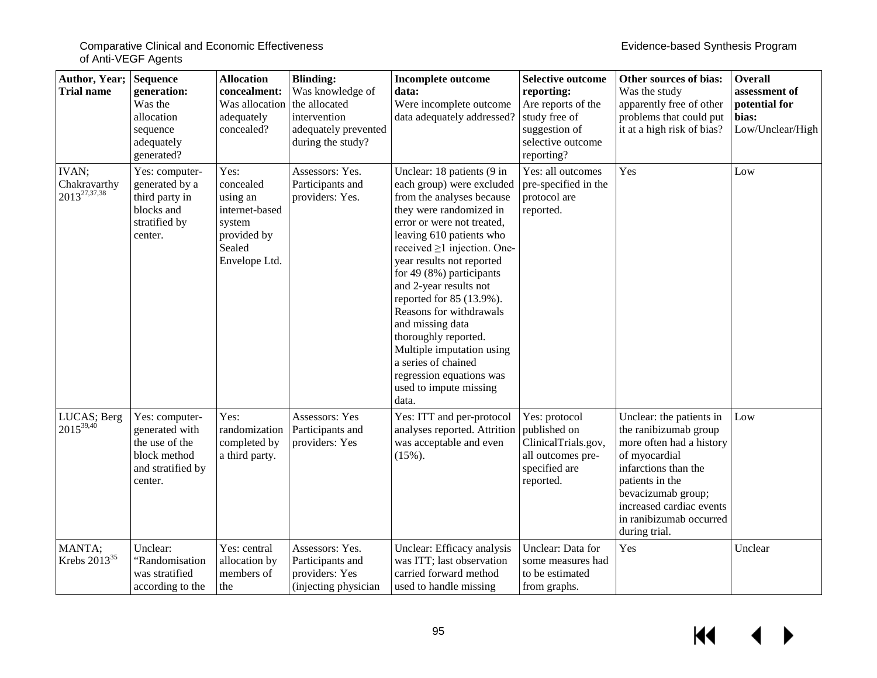| Author, Year;<br><b>Trial name</b>                | Sequence<br>generation:<br>Was the<br>allocation<br>sequence<br>adequately<br>generated?           | <b>Allocation</b><br>concealment:<br>Was allocation<br>adequately<br>concealed?                     | <b>Blinding:</b><br>Was knowledge of<br>the allocated<br>intervention<br>adequately prevented<br>during the study? | <b>Incomplete outcome</b><br>data:<br>Were incomplete outcome<br>data adequately addressed?                                                                                                                                                                                                                                                                                                                                                                                                                               | <b>Selective outcome</b><br>reporting:<br>Are reports of the<br>study free of<br>suggestion of<br>selective outcome<br>reporting? | Other sources of bias:<br>Was the study<br>apparently free of other<br>problems that could put<br>it at a high risk of bias?                                                                                                            | <b>Overall</b><br>assessment of<br>potential for<br>bias:<br>Low/Unclear/High |
|---------------------------------------------------|----------------------------------------------------------------------------------------------------|-----------------------------------------------------------------------------------------------------|--------------------------------------------------------------------------------------------------------------------|---------------------------------------------------------------------------------------------------------------------------------------------------------------------------------------------------------------------------------------------------------------------------------------------------------------------------------------------------------------------------------------------------------------------------------------------------------------------------------------------------------------------------|-----------------------------------------------------------------------------------------------------------------------------------|-----------------------------------------------------------------------------------------------------------------------------------------------------------------------------------------------------------------------------------------|-------------------------------------------------------------------------------|
| IVAN;<br>Chakravarthy<br>2013 <sup>27,37,38</sup> | Yes: computer-<br>generated by a<br>third party in<br>blocks and<br>stratified by<br>center.       | Yes:<br>concealed<br>using an<br>internet-based<br>system<br>provided by<br>Sealed<br>Envelope Ltd. | Assessors: Yes.<br>Participants and<br>providers: Yes.                                                             | Unclear: 18 patients (9 in<br>each group) were excluded<br>from the analyses because<br>they were randomized in<br>error or were not treated,<br>leaving 610 patients who<br>received $\geq 1$ injection. One-<br>year results not reported<br>for 49 $(8%)$ participants<br>and 2-year results not<br>reported for 85 (13.9%).<br>Reasons for withdrawals<br>and missing data<br>thoroughly reported.<br>Multiple imputation using<br>a series of chained<br>regression equations was<br>used to impute missing<br>data. | Yes: all outcomes<br>pre-specified in the<br>protocol are<br>reported.                                                            | Yes                                                                                                                                                                                                                                     | Low                                                                           |
| LUCAS; Berg<br>$2015^{39,40}$                     | Yes: computer-<br>generated with<br>the use of the<br>block method<br>and stratified by<br>center. | Yes:<br>randomization<br>completed by<br>a third party.                                             | Assessors: Yes<br>Participants and<br>providers: Yes                                                               | Yes: ITT and per-protocol<br>analyses reported. Attrition<br>was acceptable and even<br>$(15\%)$ .                                                                                                                                                                                                                                                                                                                                                                                                                        | Yes: protocol<br>published on<br>ClinicalTrials.gov,<br>all outcomes pre-<br>specified are<br>reported.                           | Unclear: the patients in<br>the ranibizumab group<br>more often had a history<br>of myocardial<br>infarctions than the<br>patients in the<br>bevacizumab group;<br>increased cardiac events<br>in ranibizumab occurred<br>during trial. | Low                                                                           |
| MANTA;<br>Krebs 2013 <sup>35</sup>                | Unclear:<br>"Randomisation<br>was stratified<br>according to the                                   | Yes: central<br>allocation by<br>members of<br>the                                                  | Assessors: Yes.<br>Participants and<br>providers: Yes<br>(injecting physician                                      | Unclear: Efficacy analysis<br>was ITT; last observation<br>carried forward method<br>used to handle missing                                                                                                                                                                                                                                                                                                                                                                                                               | Unclear: Data for<br>some measures had<br>to be estimated<br>from graphs.                                                         | Yes                                                                                                                                                                                                                                     | Unclear                                                                       |

### $\overline{\mathbf{M}}$ ▶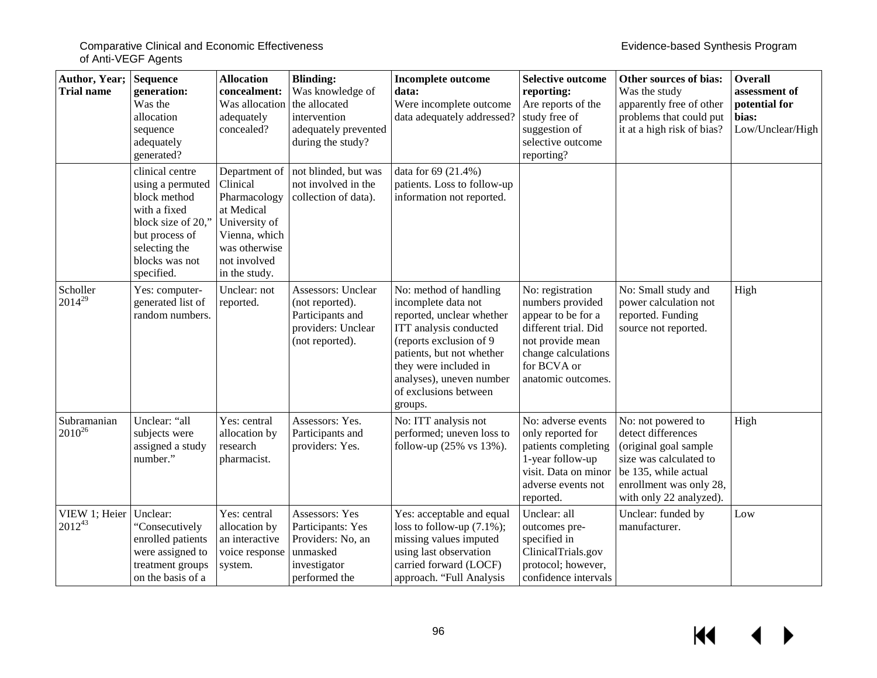| <b>Author, Year;</b><br><b>Trial name</b> | <b>Sequence</b><br>generation:<br>Was the<br>allocation<br>sequence<br>adequately<br>generated?                                                              | <b>Allocation</b><br>concealment:<br>Was allocation<br>adequately<br>concealed?                                            | <b>Blinding:</b><br>Was knowledge of<br>the allocated<br>intervention<br>adequately prevented<br>during the study? | Incomplete outcome<br>data:<br>Were incomplete outcome<br>data adequately addressed?                                                                                                                                                                  | <b>Selective outcome</b><br>reporting:<br>Are reports of the<br>study free of<br>suggestion of<br>selective outcome<br>reporting?                                  | Other sources of bias:<br>Was the study<br>apparently free of other<br>problems that could put<br>it at a high risk of bias?                                              | <b>Overall</b><br>assessment of<br>potential for<br>bias:<br>Low/Unclear/High |
|-------------------------------------------|--------------------------------------------------------------------------------------------------------------------------------------------------------------|----------------------------------------------------------------------------------------------------------------------------|--------------------------------------------------------------------------------------------------------------------|-------------------------------------------------------------------------------------------------------------------------------------------------------------------------------------------------------------------------------------------------------|--------------------------------------------------------------------------------------------------------------------------------------------------------------------|---------------------------------------------------------------------------------------------------------------------------------------------------------------------------|-------------------------------------------------------------------------------|
|                                           | clinical centre<br>using a permuted<br>block method<br>with a fixed<br>block size of 20,"<br>but process of<br>selecting the<br>blocks was not<br>specified. | Clinical<br>Pharmacology<br>at Medical<br>University of<br>Vienna, which<br>was otherwise<br>not involved<br>in the study. | Department of   not blinded, but was<br>not involved in the<br>collection of data).                                | data for 69 (21.4%)<br>patients. Loss to follow-up<br>information not reported.                                                                                                                                                                       |                                                                                                                                                                    |                                                                                                                                                                           |                                                                               |
| Scholler<br>$2014^{29}$                   | Yes: computer-<br>generated list of<br>random numbers.                                                                                                       | Unclear: not<br>reported.                                                                                                  | Assessors: Unclear<br>(not reported).<br>Participants and<br>providers: Unclear<br>(not reported).                 | No: method of handling<br>incomplete data not<br>reported, unclear whether<br>ITT analysis conducted<br>(reports exclusion of 9<br>patients, but not whether<br>they were included in<br>analyses), uneven number<br>of exclusions between<br>groups. | No: registration<br>numbers provided<br>appear to be for a<br>different trial. Did<br>not provide mean<br>change calculations<br>for BCVA or<br>anatomic outcomes. | No: Small study and<br>power calculation not<br>reported. Funding<br>source not reported.                                                                                 | High                                                                          |
| Subramanian<br>$2010^{26}$                | Unclear: "all<br>subjects were<br>assigned a study<br>number."                                                                                               | Yes: central<br>allocation by<br>research<br>pharmacist.                                                                   | Assessors: Yes.<br>Participants and<br>providers: Yes.                                                             | No: ITT analysis not<br>performed; uneven loss to<br>follow-up $(25\% \text{ vs } 13\%).$                                                                                                                                                             | No: adverse events<br>only reported for<br>patients completing<br>1-year follow-up<br>visit. Data on minor<br>adverse events not<br>reported.                      | No: not powered to<br>detect differences<br>(original goal sample<br>size was calculated to<br>be 135, while actual<br>enrollment was only 28,<br>with only 22 analyzed). | High                                                                          |
| VIEW 1; Heier<br>$2012^{43}$              | Unclear:<br>"Consecutively<br>enrolled patients<br>were assigned to<br>treatment groups<br>on the basis of a                                                 | Yes: central<br>allocation by<br>an interactive<br>voice response<br>system.                                               | Assessors: Yes<br>Participants: Yes<br>Providers: No, an<br>unmasked<br>investigator<br>performed the              | Yes: acceptable and equal<br>loss to follow-up $(7.1\%)$ ;<br>missing values imputed<br>using last observation<br>carried forward (LOCF)<br>approach. "Full Analysis                                                                                  | Unclear: all<br>outcomes pre-<br>specified in<br>ClinicalTrials.gov<br>protocol; however,<br>confidence intervals                                                  | Unclear: funded by<br>manufacturer.                                                                                                                                       | Low                                                                           |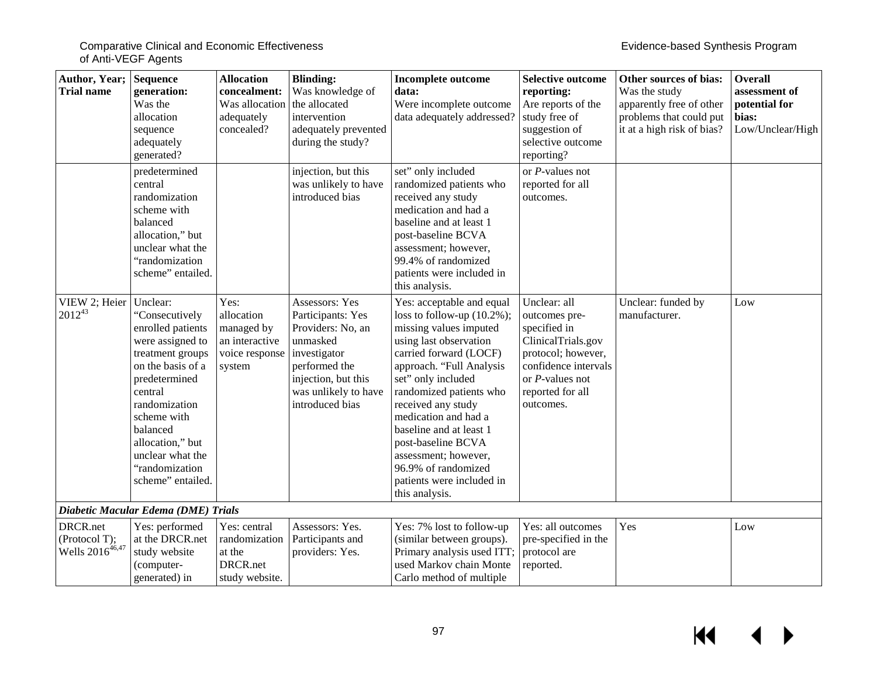| Author, Year;<br><b>Trial name</b>                | <b>Sequence</b><br>generation:<br>Was the<br>allocation<br>sequence<br>adequately<br>generated?                                                                                                                                                                     | <b>Allocation</b><br>concealment:<br>Was allocation<br>adequately<br>concealed? | <b>Blinding:</b><br>Was knowledge of<br>the allocated<br>intervention<br>adequately prevented<br>during the study?                                                      | Incomplete outcome<br>data:<br>Were incomplete outcome<br>data adequately addressed?                                                                                                                                                                                                                                                                                                                                | <b>Selective outcome</b><br>reporting:<br>Are reports of the<br>study free of<br>suggestion of<br>selective outcome<br>reporting?                                        | Other sources of bias:<br>Was the study<br>apparently free of other<br>problems that could put<br>it at a high risk of bias? | <b>Overall</b><br>assessment of<br>potential for<br>bias:<br>Low/Unclear/High |
|---------------------------------------------------|---------------------------------------------------------------------------------------------------------------------------------------------------------------------------------------------------------------------------------------------------------------------|---------------------------------------------------------------------------------|-------------------------------------------------------------------------------------------------------------------------------------------------------------------------|---------------------------------------------------------------------------------------------------------------------------------------------------------------------------------------------------------------------------------------------------------------------------------------------------------------------------------------------------------------------------------------------------------------------|--------------------------------------------------------------------------------------------------------------------------------------------------------------------------|------------------------------------------------------------------------------------------------------------------------------|-------------------------------------------------------------------------------|
|                                                   | predetermined<br>central<br>randomization<br>scheme with<br>balanced<br>allocation," but<br>unclear what the<br>"randomization<br>scheme" entailed.                                                                                                                 |                                                                                 | injection, but this<br>was unlikely to have<br>introduced bias                                                                                                          | set" only included<br>randomized patients who<br>received any study<br>medication and had a<br>baseline and at least 1<br>post-baseline BCVA<br>assessment; however,<br>99.4% of randomized<br>patients were included in<br>this analysis.                                                                                                                                                                          | or $P$ -values not<br>reported for all<br>outcomes.                                                                                                                      |                                                                                                                              |                                                                               |
| VIEW 2; Heier<br>$2012^{43}$                      | Unclear:<br>"Consecutively<br>enrolled patients<br>were assigned to<br>treatment groups<br>on the basis of a<br>predetermined<br>central<br>randomization<br>scheme with<br>balanced<br>allocation," but<br>unclear what the<br>'randomization<br>scheme" entailed. | Yes:<br>allocation<br>managed by<br>an interactive<br>voice response<br>system  | Assessors: Yes<br>Participants: Yes<br>Providers: No, an<br>unmasked<br>investigator<br>performed the<br>injection, but this<br>was unlikely to have<br>introduced bias | Yes: acceptable and equal<br>loss to follow-up $(10.2\%)$ ;<br>missing values imputed<br>using last observation<br>carried forward (LOCF)<br>approach. "Full Analysis<br>set" only included<br>randomized patients who<br>received any study<br>medication and had a<br>baseline and at least 1<br>post-baseline BCVA<br>assessment; however,<br>96.9% of randomized<br>patients were included in<br>this analysis. | Unclear: all<br>outcomes pre-<br>specified in<br>ClinicalTrials.gov<br>protocol; however,<br>confidence intervals<br>or $P$ -values not<br>reported for all<br>outcomes. | Unclear: funded by<br>manufacturer.                                                                                          | Low                                                                           |
|                                                   | Diabetic Macular Edema (DME) Trials                                                                                                                                                                                                                                 |                                                                                 |                                                                                                                                                                         |                                                                                                                                                                                                                                                                                                                                                                                                                     |                                                                                                                                                                          |                                                                                                                              |                                                                               |
| DRCR.net<br>(Protocol T);<br>Wells $2016^{46,47}$ | Yes: performed<br>at the DRCR.net<br>study website<br>(computer-<br>generated) in                                                                                                                                                                                   | Yes: central<br>randomization<br>at the<br>DRCR.net<br>study website.           | Assessors: Yes.<br>Participants and<br>providers: Yes.                                                                                                                  | Yes: 7% lost to follow-up<br>(similar between groups).<br>Primary analysis used ITT;<br>used Markov chain Monte<br>Carlo method of multiple                                                                                                                                                                                                                                                                         | Yes: all outcomes<br>pre-specified in the<br>protocol are<br>reported.                                                                                                   | Yes                                                                                                                          | Low                                                                           |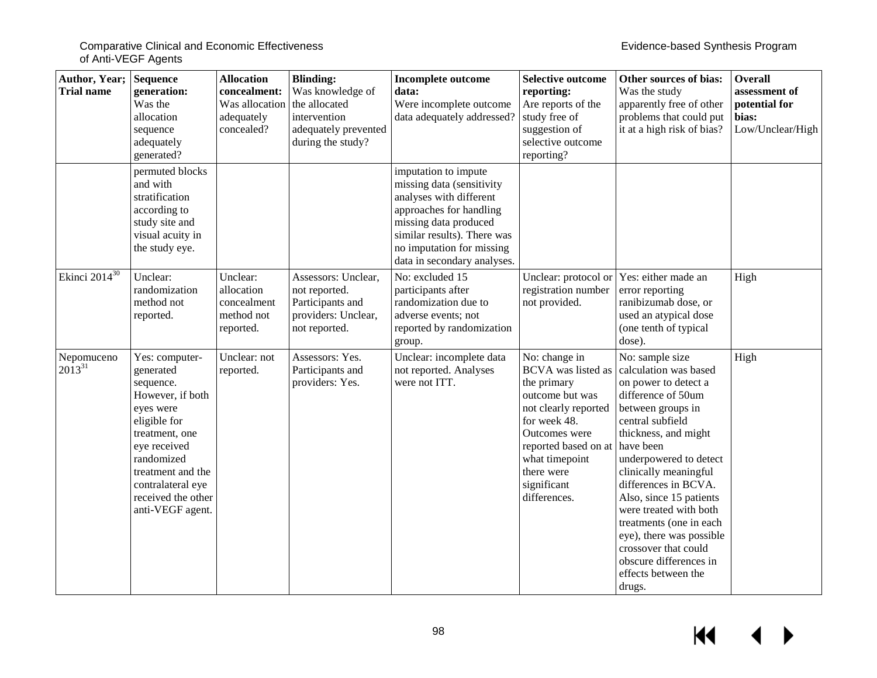| <b>Author, Year;</b><br><b>Trial name</b> | <b>Sequence</b><br>generation:<br>Was the<br>allocation<br>sequence<br>adequately<br>generated?                                                                                                                               | <b>Allocation</b><br>concealment:<br>Was allocation<br>adequately<br>concealed? | <b>Blinding:</b><br>Was knowledge of<br>the allocated<br>intervention<br>adequately prevented<br>during the study? | Incomplete outcome<br>data:<br>Were incomplete outcome<br>data adequately addressed?                                                                                                                                        | <b>Selective outcome</b><br>reporting:<br>Are reports of the<br>study free of<br>suggestion of<br>selective outcome<br>reporting?                                                                                            | Other sources of bias:<br>Was the study<br>apparently free of other<br>problems that could put<br>it at a high risk of bias?                                                                                                                                                                                                                                                                                                                   | <b>Overall</b><br>assessment of<br>potential for<br>bias:<br>Low/Unclear/High |
|-------------------------------------------|-------------------------------------------------------------------------------------------------------------------------------------------------------------------------------------------------------------------------------|---------------------------------------------------------------------------------|--------------------------------------------------------------------------------------------------------------------|-----------------------------------------------------------------------------------------------------------------------------------------------------------------------------------------------------------------------------|------------------------------------------------------------------------------------------------------------------------------------------------------------------------------------------------------------------------------|------------------------------------------------------------------------------------------------------------------------------------------------------------------------------------------------------------------------------------------------------------------------------------------------------------------------------------------------------------------------------------------------------------------------------------------------|-------------------------------------------------------------------------------|
|                                           | permuted blocks<br>and with<br>stratification<br>according to<br>study site and<br>visual acuity in<br>the study eye.                                                                                                         |                                                                                 |                                                                                                                    | imputation to impute<br>missing data (sensitivity<br>analyses with different<br>approaches for handling<br>missing data produced<br>similar results). There was<br>no imputation for missing<br>data in secondary analyses. |                                                                                                                                                                                                                              |                                                                                                                                                                                                                                                                                                                                                                                                                                                |                                                                               |
| Ekinci 201 $\overline{4^{30}}$            | Unclear:<br>randomization<br>method not<br>reported.                                                                                                                                                                          | Unclear:<br>allocation<br>concealment<br>method not<br>reported.                | Assessors: Unclear,<br>not reported.<br>Participants and<br>providers: Unclear,<br>not reported.                   | No: excluded 15<br>participants after<br>randomization due to<br>adverse events; not<br>reported by randomization<br>group.                                                                                                 | registration number<br>not provided.                                                                                                                                                                                         | Unclear: protocol or Yes: either made an<br>error reporting<br>ranibizumab dose, or<br>used an atypical dose<br>(one tenth of typical<br>dose).                                                                                                                                                                                                                                                                                                | High                                                                          |
| Nepomuceno<br>$20\overline{1}3^{31}$      | Yes: computer-<br>generated<br>sequence.<br>However, if both<br>eyes were<br>eligible for<br>treatment, one<br>eye received<br>randomized<br>treatment and the<br>contralateral eye<br>received the other<br>anti-VEGF agent. | Unclear: not<br>reported.                                                       | Assessors: Yes.<br>Participants and<br>providers: Yes.                                                             | Unclear: incomplete data<br>not reported. Analyses<br>were not ITT.                                                                                                                                                         | No: change in<br><b>BCVA</b> was listed as<br>the primary<br>outcome but was<br>not clearly reported<br>for week 48.<br>Outcomes were<br>reported based on at<br>what timepoint<br>there were<br>significant<br>differences. | No: sample size<br>calculation was based<br>on power to detect a<br>difference of 50um<br>between groups in<br>central subfield<br>thickness, and might<br>have been<br>underpowered to detect<br>clinically meaningful<br>differences in BCVA.<br>Also, since 15 patients<br>were treated with both<br>treatments (one in each<br>eye), there was possible<br>crossover that could<br>obscure differences in<br>effects between the<br>drugs. | High                                                                          |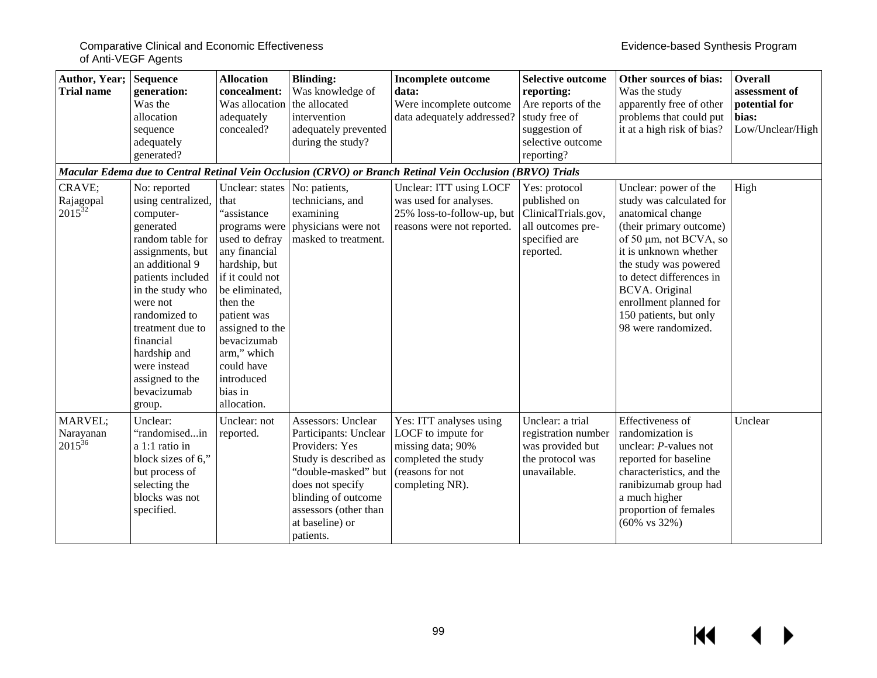| <b>Author, Year;</b><br><b>Trial name</b> | <b>Sequence</b><br>generation:<br>Was the<br>allocation<br>sequence<br>adequately<br>generated?                                                                                                                                                                                                            | <b>Allocation</b><br>concealment:<br>Was allocation the allocated<br>adequately<br>concealed?                                                                                                                                                                     | <b>Blinding:</b><br>Was knowledge of<br>intervention<br>adequately prevented<br>during the study?                                                                                                                                  | Incomplete outcome<br>data:<br>Were incomplete outcome<br>data adequately addressed?<br>Macular Edema due to Central Retinal Vein Occlusion (CRVO) or Branch Retinal Vein Occlusion (BRVO) Trials | <b>Selective outcome</b><br>reporting:<br>Are reports of the<br>study free of<br>suggestion of<br>selective outcome<br>reporting? | Other sources of bias:<br>Was the study<br>apparently free of other<br>problems that could put<br>it at a high risk of bias?                                                                                                                                                                                   | <b>Overall</b><br>assessment of<br>potential for<br>bias:<br>Low/Unclear/High |
|-------------------------------------------|------------------------------------------------------------------------------------------------------------------------------------------------------------------------------------------------------------------------------------------------------------------------------------------------------------|-------------------------------------------------------------------------------------------------------------------------------------------------------------------------------------------------------------------------------------------------------------------|------------------------------------------------------------------------------------------------------------------------------------------------------------------------------------------------------------------------------------|---------------------------------------------------------------------------------------------------------------------------------------------------------------------------------------------------|-----------------------------------------------------------------------------------------------------------------------------------|----------------------------------------------------------------------------------------------------------------------------------------------------------------------------------------------------------------------------------------------------------------------------------------------------------------|-------------------------------------------------------------------------------|
| CRAVE;<br>Rajagopal<br>2015 <sup>32</sup> | No: reported<br>using centralized,<br>computer-<br>generated<br>random table for<br>assignments, but<br>an additional 9<br>patients included<br>in the study who<br>were not<br>randomized to<br>treatment due to<br>financial<br>hardship and<br>were instead<br>assigned to the<br>bevacizumab<br>group. | Unclear: states<br>that<br>"assistance<br>used to defray<br>any financial<br>hardship, but<br>if it could not<br>be eliminated,<br>then the<br>patient was<br>assigned to the<br>bevacizumab<br>arm," which<br>could have<br>introduced<br>bias in<br>allocation. | No: patients,<br>technicians, and<br>examining<br>programs were physicians were not<br>masked to treatment.                                                                                                                        | Unclear: ITT using LOCF<br>was used for analyses.<br>25% loss-to-follow-up, but<br>reasons were not reported.                                                                                     | Yes: protocol<br>published on<br>ClinicalTrials.gov,<br>all outcomes pre-<br>specified are<br>reported.                           | Unclear: power of the<br>study was calculated for<br>anatomical change<br>(their primary outcome)<br>of 50 µm, not BCVA, so<br>it is unknown whether<br>the study was powered<br>to detect differences in<br><b>BCVA</b> . Original<br>enrollment planned for<br>150 patients, but only<br>98 were randomized. | High                                                                          |
| MARVEL;<br>Narayanan<br>$2015^{36}$       | Unclear:<br>"randomisedin<br>a 1:1 ratio in<br>block sizes of 6,"<br>but process of<br>selecting the<br>blocks was not<br>specified.                                                                                                                                                                       | Unclear: not<br>reported.                                                                                                                                                                                                                                         | Assessors: Unclear<br>Participants: Unclear<br>Providers: Yes<br>Study is described as<br>"double-masked" but (reasons for not<br>does not specify<br>blinding of outcome<br>assessors (other than<br>at baseline) or<br>patients. | Yes: ITT analyses using<br>LOCF to impute for<br>missing data; 90%<br>completed the study<br>completing NR).                                                                                      | Unclear: a trial<br>registration number<br>was provided but<br>the protocol was<br>unavailable.                                   | <b>Effectiveness of</b><br>randomization is<br>unclear: $P$ -values not<br>reported for baseline<br>characteristics, and the<br>ranibizumab group had<br>a much higher<br>proportion of females<br>$(60\% \text{ vs } 32\%)$                                                                                   | Unclear                                                                       |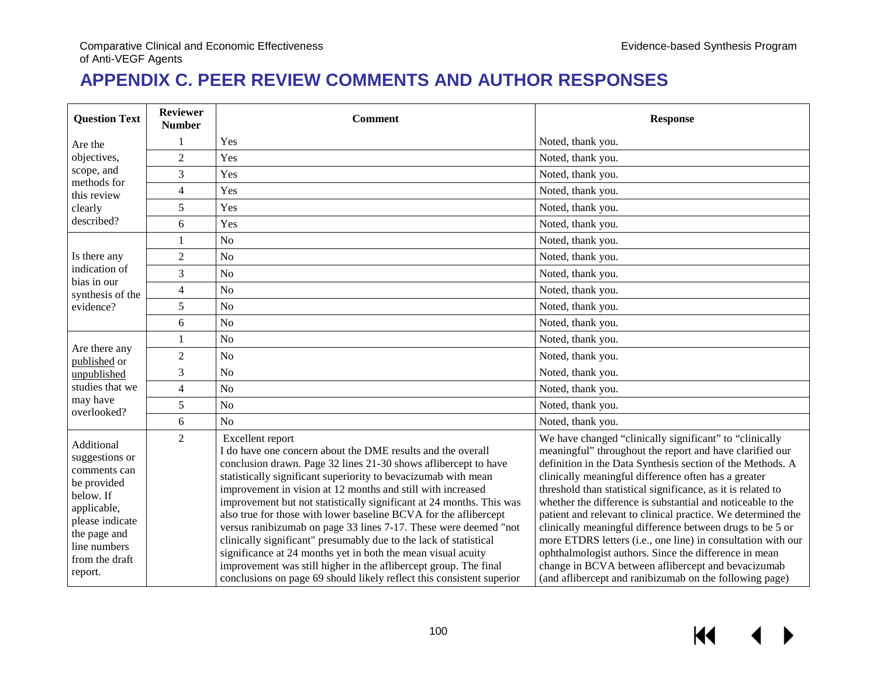# **APPENDIX C. PEER REVIEW COMMENTS AND AUTHOR RESPONSES**

| <b>Question Text</b>                                                                                                                                                    | <b>Reviewer</b><br><b>Number</b> | <b>Comment</b>                                                                                                                                                                                                                                                                                                                                                                                                                                                                                                                                                                                                                                                                                                                                                                        | <b>Response</b>                                                                                                                                                                                                                                                                                                                                                                                                                                                                                                                                                                                                                                                                                                                                 |
|-------------------------------------------------------------------------------------------------------------------------------------------------------------------------|----------------------------------|---------------------------------------------------------------------------------------------------------------------------------------------------------------------------------------------------------------------------------------------------------------------------------------------------------------------------------------------------------------------------------------------------------------------------------------------------------------------------------------------------------------------------------------------------------------------------------------------------------------------------------------------------------------------------------------------------------------------------------------------------------------------------------------|-------------------------------------------------------------------------------------------------------------------------------------------------------------------------------------------------------------------------------------------------------------------------------------------------------------------------------------------------------------------------------------------------------------------------------------------------------------------------------------------------------------------------------------------------------------------------------------------------------------------------------------------------------------------------------------------------------------------------------------------------|
| Are the                                                                                                                                                                 |                                  | Yes                                                                                                                                                                                                                                                                                                                                                                                                                                                                                                                                                                                                                                                                                                                                                                                   | Noted, thank you.                                                                                                                                                                                                                                                                                                                                                                                                                                                                                                                                                                                                                                                                                                                               |
| objectives,                                                                                                                                                             | $\overline{2}$                   | Yes                                                                                                                                                                                                                                                                                                                                                                                                                                                                                                                                                                                                                                                                                                                                                                                   | Noted, thank you.                                                                                                                                                                                                                                                                                                                                                                                                                                                                                                                                                                                                                                                                                                                               |
| scope, and<br>methods for                                                                                                                                               | 3                                | Yes                                                                                                                                                                                                                                                                                                                                                                                                                                                                                                                                                                                                                                                                                                                                                                                   | Noted, thank you.                                                                                                                                                                                                                                                                                                                                                                                                                                                                                                                                                                                                                                                                                                                               |
| this review                                                                                                                                                             | $\overline{4}$                   | Yes                                                                                                                                                                                                                                                                                                                                                                                                                                                                                                                                                                                                                                                                                                                                                                                   | Noted, thank you.                                                                                                                                                                                                                                                                                                                                                                                                                                                                                                                                                                                                                                                                                                                               |
| clearly                                                                                                                                                                 | 5                                | Yes                                                                                                                                                                                                                                                                                                                                                                                                                                                                                                                                                                                                                                                                                                                                                                                   | Noted, thank you.                                                                                                                                                                                                                                                                                                                                                                                                                                                                                                                                                                                                                                                                                                                               |
| described?                                                                                                                                                              | 6                                | Yes                                                                                                                                                                                                                                                                                                                                                                                                                                                                                                                                                                                                                                                                                                                                                                                   | Noted, thank you.                                                                                                                                                                                                                                                                                                                                                                                                                                                                                                                                                                                                                                                                                                                               |
|                                                                                                                                                                         | 1                                | No                                                                                                                                                                                                                                                                                                                                                                                                                                                                                                                                                                                                                                                                                                                                                                                    | Noted, thank you.                                                                                                                                                                                                                                                                                                                                                                                                                                                                                                                                                                                                                                                                                                                               |
| Is there any                                                                                                                                                            | $\mathfrak{2}$                   | N <sub>o</sub>                                                                                                                                                                                                                                                                                                                                                                                                                                                                                                                                                                                                                                                                                                                                                                        | Noted, thank you.                                                                                                                                                                                                                                                                                                                                                                                                                                                                                                                                                                                                                                                                                                                               |
| indication of<br>bias in our                                                                                                                                            | 3                                | N <sub>o</sub>                                                                                                                                                                                                                                                                                                                                                                                                                                                                                                                                                                                                                                                                                                                                                                        | Noted, thank you.                                                                                                                                                                                                                                                                                                                                                                                                                                                                                                                                                                                                                                                                                                                               |
| synthesis of the                                                                                                                                                        | $\overline{4}$                   | N <sub>o</sub>                                                                                                                                                                                                                                                                                                                                                                                                                                                                                                                                                                                                                                                                                                                                                                        | Noted, thank you.                                                                                                                                                                                                                                                                                                                                                                                                                                                                                                                                                                                                                                                                                                                               |
| evidence?                                                                                                                                                               | 5                                | No                                                                                                                                                                                                                                                                                                                                                                                                                                                                                                                                                                                                                                                                                                                                                                                    | Noted, thank you.                                                                                                                                                                                                                                                                                                                                                                                                                                                                                                                                                                                                                                                                                                                               |
|                                                                                                                                                                         | 6                                | N <sub>o</sub>                                                                                                                                                                                                                                                                                                                                                                                                                                                                                                                                                                                                                                                                                                                                                                        | Noted, thank you.                                                                                                                                                                                                                                                                                                                                                                                                                                                                                                                                                                                                                                                                                                                               |
|                                                                                                                                                                         | 1                                | No                                                                                                                                                                                                                                                                                                                                                                                                                                                                                                                                                                                                                                                                                                                                                                                    | Noted, thank you.                                                                                                                                                                                                                                                                                                                                                                                                                                                                                                                                                                                                                                                                                                                               |
| Are there any<br>published or                                                                                                                                           | $\overline{2}$                   | N <sub>o</sub>                                                                                                                                                                                                                                                                                                                                                                                                                                                                                                                                                                                                                                                                                                                                                                        | Noted, thank you.                                                                                                                                                                                                                                                                                                                                                                                                                                                                                                                                                                                                                                                                                                                               |
| unpublished                                                                                                                                                             | 3                                | N <sub>o</sub>                                                                                                                                                                                                                                                                                                                                                                                                                                                                                                                                                                                                                                                                                                                                                                        | Noted, thank you.                                                                                                                                                                                                                                                                                                                                                                                                                                                                                                                                                                                                                                                                                                                               |
| studies that we                                                                                                                                                         | $\overline{4}$                   | N <sub>o</sub>                                                                                                                                                                                                                                                                                                                                                                                                                                                                                                                                                                                                                                                                                                                                                                        | Noted, thank you.                                                                                                                                                                                                                                                                                                                                                                                                                                                                                                                                                                                                                                                                                                                               |
| may have<br>overlooked?                                                                                                                                                 | 5                                | N <sub>o</sub>                                                                                                                                                                                                                                                                                                                                                                                                                                                                                                                                                                                                                                                                                                                                                                        | Noted, thank you.                                                                                                                                                                                                                                                                                                                                                                                                                                                                                                                                                                                                                                                                                                                               |
|                                                                                                                                                                         | 6                                | No                                                                                                                                                                                                                                                                                                                                                                                                                                                                                                                                                                                                                                                                                                                                                                                    | Noted, thank you.                                                                                                                                                                                                                                                                                                                                                                                                                                                                                                                                                                                                                                                                                                                               |
| Additional<br>suggestions or<br>comments can<br>be provided<br>below. If<br>applicable,<br>please indicate<br>the page and<br>line numbers<br>from the draft<br>report. | $\overline{2}$                   | Excellent report<br>I do have one concern about the DME results and the overall<br>conclusion drawn. Page 32 lines 21-30 shows aflibercept to have<br>statistically significant superiority to bevacizumab with mean<br>improvement in vision at 12 months and still with increased<br>improvement but not statistically significant at 24 months. This was<br>also true for those with lower baseline BCVA for the aflibercept<br>versus ranibizumab on page 33 lines 7-17. These were deemed "not<br>clinically significant" presumably due to the lack of statistical<br>significance at 24 months yet in both the mean visual acuity<br>improvement was still higher in the aflibercept group. The final<br>conclusions on page 69 should likely reflect this consistent superior | We have changed "clinically significant" to "clinically<br>meaningful" throughout the report and have clarified our<br>definition in the Data Synthesis section of the Methods. A<br>clinically meaningful difference often has a greater<br>threshold than statistical significance, as it is related to<br>whether the difference is substantial and noticeable to the<br>patient and relevant to clinical practice. We determined the<br>clinically meaningful difference between drugs to be 5 or<br>more ETDRS letters (i.e., one line) in consultation with our<br>ophthalmologist authors. Since the difference in mean<br>change in BCVA between aflibercept and bevacizumab<br>(and aflibercept and ranibizumab on the following page) |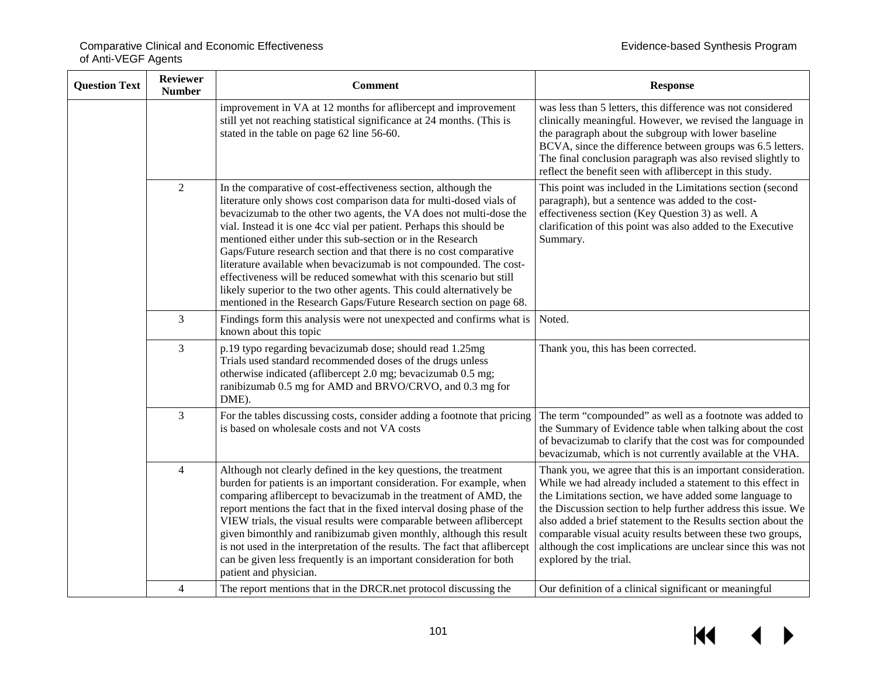| <b>Question Text</b> | <b>Reviewer</b><br><b>Comment</b><br><b>Response</b><br><b>Number</b> |                                                                                                                                                                                                                                                                                                                                                                                                                                                                                                                                                                                                                                                                                                                     |                                                                                                                                                                                                                                                                                                                                                                                                                                                                                   |
|----------------------|-----------------------------------------------------------------------|---------------------------------------------------------------------------------------------------------------------------------------------------------------------------------------------------------------------------------------------------------------------------------------------------------------------------------------------------------------------------------------------------------------------------------------------------------------------------------------------------------------------------------------------------------------------------------------------------------------------------------------------------------------------------------------------------------------------|-----------------------------------------------------------------------------------------------------------------------------------------------------------------------------------------------------------------------------------------------------------------------------------------------------------------------------------------------------------------------------------------------------------------------------------------------------------------------------------|
|                      |                                                                       | improvement in VA at 12 months for aflibercept and improvement<br>still yet not reaching statistical significance at 24 months. (This is<br>stated in the table on page 62 line 56-60.                                                                                                                                                                                                                                                                                                                                                                                                                                                                                                                              | was less than 5 letters, this difference was not considered<br>clinically meaningful. However, we revised the language in<br>the paragraph about the subgroup with lower baseline<br>BCVA, since the difference between groups was 6.5 letters.<br>The final conclusion paragraph was also revised slightly to<br>reflect the benefit seen with aflibercept in this study.                                                                                                        |
|                      | $\overline{2}$                                                        | In the comparative of cost-effectiveness section, although the<br>literature only shows cost comparison data for multi-dosed vials of<br>bevacizumab to the other two agents, the VA does not multi-dose the<br>vial. Instead it is one 4cc vial per patient. Perhaps this should be<br>mentioned either under this sub-section or in the Research<br>Gaps/Future research section and that there is no cost comparative<br>literature available when bevacizumab is not compounded. The cost-<br>effectiveness will be reduced somewhat with this scenario but still<br>likely superior to the two other agents. This could alternatively be<br>mentioned in the Research Gaps/Future Research section on page 68. | This point was included in the Limitations section (second<br>paragraph), but a sentence was added to the cost-<br>effectiveness section (Key Question 3) as well. A<br>clarification of this point was also added to the Executive<br>Summary.                                                                                                                                                                                                                                   |
|                      | $\mathfrak{Z}$                                                        | Findings form this analysis were not unexpected and confirms what is<br>known about this topic                                                                                                                                                                                                                                                                                                                                                                                                                                                                                                                                                                                                                      | Noted.                                                                                                                                                                                                                                                                                                                                                                                                                                                                            |
|                      | $\mathfrak{Z}$                                                        | p.19 typo regarding bevacizumab dose; should read 1.25mg<br>Trials used standard recommended doses of the drugs unless<br>otherwise indicated (aflibercept 2.0 mg; bevacizumab 0.5 mg;<br>ranibizumab 0.5 mg for AMD and BRVO/CRVO, and 0.3 mg for<br>DME).                                                                                                                                                                                                                                                                                                                                                                                                                                                         | Thank you, this has been corrected.                                                                                                                                                                                                                                                                                                                                                                                                                                               |
|                      | $\overline{3}$                                                        | For the tables discussing costs, consider adding a footnote that pricing<br>is based on wholesale costs and not VA costs                                                                                                                                                                                                                                                                                                                                                                                                                                                                                                                                                                                            | The term "compounded" as well as a footnote was added to<br>the Summary of Evidence table when talking about the cost<br>of bevacizumab to clarify that the cost was for compounded<br>bevacizumab, which is not currently available at the VHA.                                                                                                                                                                                                                                  |
|                      | $\overline{4}$                                                        | Although not clearly defined in the key questions, the treatment<br>burden for patients is an important consideration. For example, when<br>comparing aflibercept to bevacizumab in the treatment of AMD, the<br>report mentions the fact that in the fixed interval dosing phase of the<br>VIEW trials, the visual results were comparable between aflibercept<br>given bimonthly and ranibizumab given monthly, although this result<br>is not used in the interpretation of the results. The fact that aflibercept<br>can be given less frequently is an important consideration for both<br>patient and physician.                                                                                              | Thank you, we agree that this is an important consideration.<br>While we had already included a statement to this effect in<br>the Limitations section, we have added some language to<br>the Discussion section to help further address this issue. We<br>also added a brief statement to the Results section about the<br>comparable visual acuity results between these two groups,<br>although the cost implications are unclear since this was not<br>explored by the trial. |
|                      | 4                                                                     | The report mentions that in the DRCR net protocol discussing the                                                                                                                                                                                                                                                                                                                                                                                                                                                                                                                                                                                                                                                    | Our definition of a clinical significant or meaningful                                                                                                                                                                                                                                                                                                                                                                                                                            |

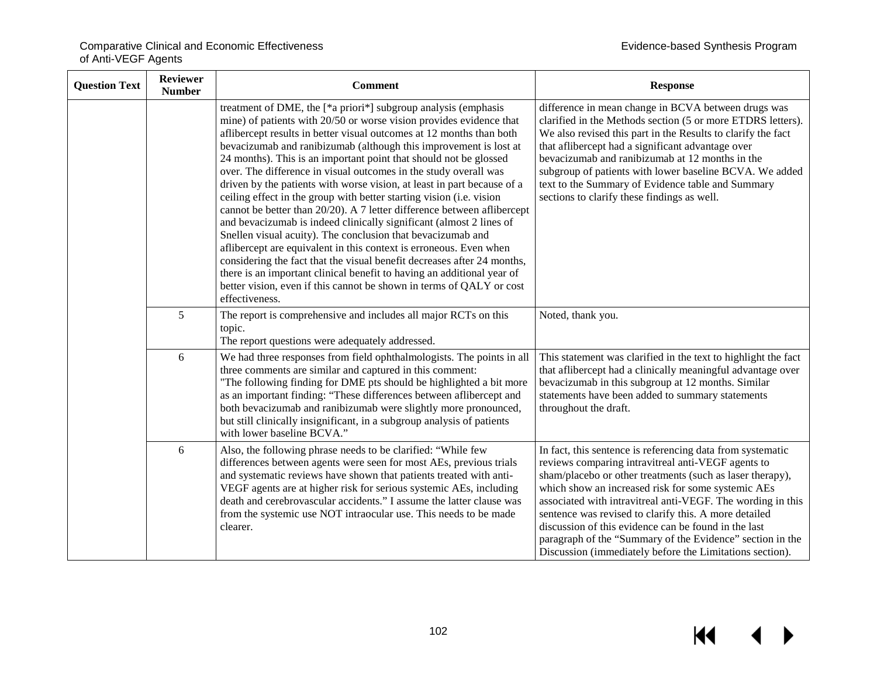| <b>Question Text</b> | <b>Reviewer</b><br><b>Number</b> | <b>Comment</b>                                                                                                                                                                                                                                                                                                                                                                                                                                                                                                                                                                                                                                                                                                                                                                                                                                                                                                                                                                                                                                                                                                       | <b>Response</b>                                                                                                                                                                                                                                                                                                                                                                                                                                                                                                                              |
|----------------------|----------------------------------|----------------------------------------------------------------------------------------------------------------------------------------------------------------------------------------------------------------------------------------------------------------------------------------------------------------------------------------------------------------------------------------------------------------------------------------------------------------------------------------------------------------------------------------------------------------------------------------------------------------------------------------------------------------------------------------------------------------------------------------------------------------------------------------------------------------------------------------------------------------------------------------------------------------------------------------------------------------------------------------------------------------------------------------------------------------------------------------------------------------------|----------------------------------------------------------------------------------------------------------------------------------------------------------------------------------------------------------------------------------------------------------------------------------------------------------------------------------------------------------------------------------------------------------------------------------------------------------------------------------------------------------------------------------------------|
|                      |                                  | treatment of DME, the [*a priori*] subgroup analysis (emphasis<br>mine) of patients with 20/50 or worse vision provides evidence that<br>aflibercept results in better visual outcomes at 12 months than both<br>bevacizumab and ranibizumab (although this improvement is lost at<br>24 months). This is an important point that should not be glossed<br>over. The difference in visual outcomes in the study overall was<br>driven by the patients with worse vision, at least in part because of a<br>ceiling effect in the group with better starting vision (i.e. vision<br>cannot be better than 20/20). A 7 letter difference between aflibercept<br>and bevacizumab is indeed clinically significant (almost 2 lines of<br>Snellen visual acuity). The conclusion that bevacizumab and<br>aflibercept are equivalent in this context is erroneous. Even when<br>considering the fact that the visual benefit decreases after 24 months,<br>there is an important clinical benefit to having an additional year of<br>better vision, even if this cannot be shown in terms of QALY or cost<br>effectiveness. | difference in mean change in BCVA between drugs was<br>clarified in the Methods section (5 or more ETDRS letters).<br>We also revised this part in the Results to clarify the fact<br>that aflibercept had a significant advantage over<br>bevacizumab and ranibizumab at 12 months in the<br>subgroup of patients with lower baseline BCVA. We added<br>text to the Summary of Evidence table and Summary<br>sections to clarify these findings as well.                                                                                    |
|                      | 5                                | The report is comprehensive and includes all major RCTs on this<br>topic.<br>The report questions were adequately addressed.                                                                                                                                                                                                                                                                                                                                                                                                                                                                                                                                                                                                                                                                                                                                                                                                                                                                                                                                                                                         | Noted, thank you.                                                                                                                                                                                                                                                                                                                                                                                                                                                                                                                            |
|                      | 6                                | We had three responses from field ophthalmologists. The points in all<br>three comments are similar and captured in this comment:<br>"The following finding for DME pts should be highlighted a bit more<br>as an important finding: "These differences between aflibercept and<br>both bevacizumab and ranibizumab were slightly more pronounced,<br>but still clinically insignificant, in a subgroup analysis of patients<br>with lower baseline BCVA."                                                                                                                                                                                                                                                                                                                                                                                                                                                                                                                                                                                                                                                           | This statement was clarified in the text to highlight the fact<br>that aflibercept had a clinically meaningful advantage over<br>bevacizumab in this subgroup at 12 months. Similar<br>statements have been added to summary statements<br>throughout the draft.                                                                                                                                                                                                                                                                             |
|                      | 6                                | Also, the following phrase needs to be clarified: "While few<br>differences between agents were seen for most AEs, previous trials<br>and systematic reviews have shown that patients treated with anti-<br>VEGF agents are at higher risk for serious systemic AEs, including<br>death and cerebrovascular accidents." I assume the latter clause was<br>from the systemic use NOT intraocular use. This needs to be made<br>clearer.                                                                                                                                                                                                                                                                                                                                                                                                                                                                                                                                                                                                                                                                               | In fact, this sentence is referencing data from systematic<br>reviews comparing intravitreal anti-VEGF agents to<br>sham/placebo or other treatments (such as laser therapy),<br>which show an increased risk for some systemic AEs<br>associated with intravitreal anti-VEGF. The wording in this<br>sentence was revised to clarify this. A more detailed<br>discussion of this evidence can be found in the last<br>paragraph of the "Summary of the Evidence" section in the<br>Discussion (immediately before the Limitations section). |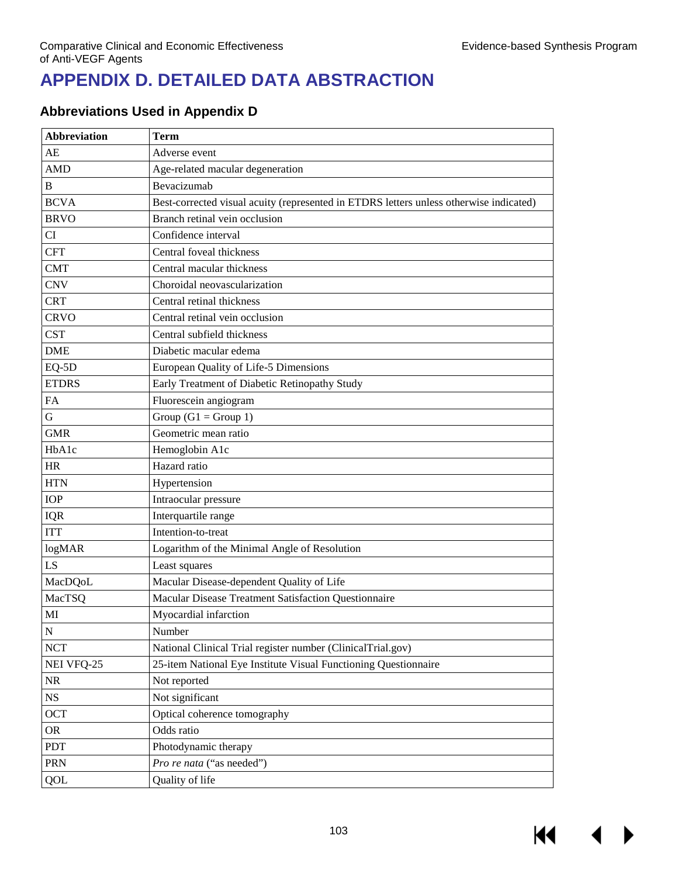# **APPENDIX D. DETAILED DATA ABSTRACTION**

# **Abbreviations Used in Appendix D**

| <b>Abbreviation</b> | Term                                                                                   |
|---------------------|----------------------------------------------------------------------------------------|
| AE                  | Adverse event                                                                          |
| <b>AMD</b>          | Age-related macular degeneration                                                       |
| B                   | Bevacizumab                                                                            |
| <b>BCVA</b>         | Best-corrected visual acuity (represented in ETDRS letters unless otherwise indicated) |
| <b>BRVO</b>         | Branch retinal vein occlusion                                                          |
| CI                  | Confidence interval                                                                    |
| <b>CFT</b>          | Central foveal thickness                                                               |
| <b>CMT</b>          | Central macular thickness                                                              |
| <b>CNV</b>          | Choroidal neovascularization                                                           |
| <b>CRT</b>          | Central retinal thickness                                                              |
| <b>CRVO</b>         | Central retinal vein occlusion                                                         |
| <b>CST</b>          | Central subfield thickness                                                             |
| <b>DME</b>          | Diabetic macular edema                                                                 |
| $EQ-5D$             | European Quality of Life-5 Dimensions                                                  |
| <b>ETDRS</b>        | Early Treatment of Diabetic Retinopathy Study                                          |
| FA                  | Fluorescein angiogram                                                                  |
| G                   | Group $(G1 = Group 1)$                                                                 |
| <b>GMR</b>          | Geometric mean ratio                                                                   |
| HbA1c               | Hemoglobin A1c                                                                         |
| <b>HR</b>           | Hazard ratio                                                                           |
| <b>HTN</b>          | Hypertension                                                                           |
| <b>IOP</b>          | Intraocular pressure                                                                   |
| <b>IQR</b>          | Interquartile range                                                                    |
| <b>ITT</b>          | Intention-to-treat                                                                     |
| logMAR              | Logarithm of the Minimal Angle of Resolution                                           |
| LS                  | Least squares                                                                          |
| MacDQoL             | Macular Disease-dependent Quality of Life                                              |
| MacTSQ              | Macular Disease Treatment Satisfaction Questionnaire                                   |
| MI                  | Myocardial infarction                                                                  |
| N                   | Number                                                                                 |
| <b>NCT</b>          | National Clinical Trial register number (ClinicalTrial.gov)                            |
| NEI VFQ-25          | 25-item National Eye Institute Visual Functioning Questionnaire                        |
| NR                  | Not reported                                                                           |
| <b>NS</b>           | Not significant                                                                        |
| <b>OCT</b>          | Optical coherence tomography                                                           |
| <b>OR</b>           | Odds ratio                                                                             |
| PDT                 | Photodynamic therapy                                                                   |
| PRN                 | Pro re nata ("as needed")                                                              |
| QOL                 | Quality of life                                                                        |

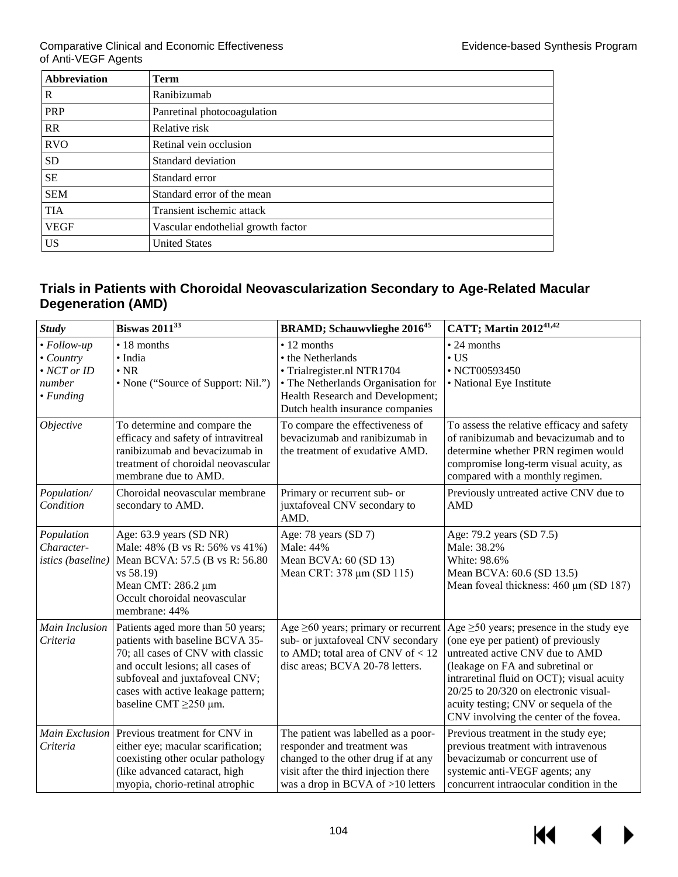| <b>Abbreviation</b> | <b>Term</b>                        |
|---------------------|------------------------------------|
| $\overline{R}$      | Ranibizumab                        |
| PRP                 | Panretinal photocoagulation        |
| <b>RR</b>           | Relative risk                      |
| <b>RVO</b>          | Retinal vein occlusion             |
| <b>SD</b>           | Standard deviation                 |
| <b>SE</b>           | Standard error                     |
| <b>SEM</b>          | Standard error of the mean         |
| <b>TIA</b>          | Transient ischemic attack          |
| <b>VEGF</b>         | Vascular endothelial growth factor |
| <b>US</b>           | <b>United States</b>               |

# **Trials in Patients with Choroidal Neovascularization Secondary to Age-Related Macular Degeneration (AMD)**

| <b>Study</b>                                                                       | Biswas $2011^{33}$                                                                                                                                                                                                                                   | <b>BRAMD; Schauwvlieghe 201645</b>                                                                                                                                                      | <b>CATT; Martin 201241,42</b>                                                                                                                                                                                                                                                                                                         |
|------------------------------------------------------------------------------------|------------------------------------------------------------------------------------------------------------------------------------------------------------------------------------------------------------------------------------------------------|-----------------------------------------------------------------------------------------------------------------------------------------------------------------------------------------|---------------------------------------------------------------------------------------------------------------------------------------------------------------------------------------------------------------------------------------------------------------------------------------------------------------------------------------|
| $\cdot$ Follow-up<br>• Country<br>$\bullet$ NCT or ID<br>number<br>$\cdot$ Funding | $\cdot$ 18 months<br>· India<br>$\cdot$ NR<br>• None ("Source of Support: Nil.")                                                                                                                                                                     | $\cdot$ 12 months<br>• the Netherlands<br>· Trialregister.nl NTR1704<br>• The Netherlands Organisation for<br>Health Research and Development;<br>Dutch health insurance companies      | $\cdot$ 24 months<br>$\cdot$ US<br>• NCT00593450<br>• National Eye Institute                                                                                                                                                                                                                                                          |
| Objective                                                                          | To determine and compare the<br>efficacy and safety of intravitreal<br>ranibizumab and bevacizumab in<br>treatment of choroidal neovascular<br>membrane due to AMD.                                                                                  | To compare the effectiveness of<br>bevacizumab and ranibizumab in<br>the treatment of exudative AMD.                                                                                    | To assess the relative efficacy and safety<br>of ranibizumab and bevacizumab and to<br>determine whether PRN regimen would<br>compromise long-term visual acuity, as<br>compared with a monthly regimen.                                                                                                                              |
| Population/<br>Condition                                                           | Choroidal neovascular membrane<br>secondary to AMD.                                                                                                                                                                                                  | Primary or recurrent sub- or<br>juxtafoveal CNV secondary to<br>AMD.                                                                                                                    | Previously untreated active CNV due to<br><b>AMD</b>                                                                                                                                                                                                                                                                                  |
| Population<br>Character-<br><i>istics</i> (baseline)                               | Age: 63.9 years (SD NR)<br>Male: 48% (B vs R: 56% vs 41%)<br>Mean BCVA: 57.5 (B vs R: 56.80)<br>vs 58.19)<br>Mean CMT: 286.2 μm<br>Occult choroidal neovascular<br>membrane: 44%                                                                     | Age: 78 years (SD 7)<br>Male: 44%<br>Mean BCVA: 60 (SD 13)<br>Mean CRT: 378 μm (SD 115)                                                                                                 | Age: 79.2 years (SD 7.5)<br>Male: 38.2%<br>White: 98.6%<br>Mean BCVA: 60.6 (SD 13.5)<br>Mean foveal thickness: 460 µm (SD 187)                                                                                                                                                                                                        |
| Main Inclusion<br>Criteria                                                         | Patients aged more than 50 years;<br>patients with baseline BCVA 35-<br>70; all cases of CNV with classic<br>and occult lesions; all cases of<br>subfoveal and juxtafoveal CNV;<br>cases with active leakage pattern;<br>baseline CMT $\geq$ 250 µm. | Age $\geq 60$ years; primary or recurrent<br>sub- or juxtafoveal CNV secondary<br>to AMD; total area of CNV of $< 12$<br>disc areas; BCVA 20-78 letters.                                | Age $\geq$ 50 years; presence in the study eye<br>(one eye per patient) of previously<br>untreated active CNV due to AMD<br>(leakage on FA and subretinal or<br>intraretinal fluid on OCT); visual acuity<br>20/25 to 20/320 on electronic visual-<br>acuity testing; CNV or sequela of the<br>CNV involving the center of the fovea. |
| Criteria                                                                           | Main Exclusion Previous treatment for CNV in<br>either eye; macular scarification;<br>coexisting other ocular pathology<br>(like advanced cataract, high<br>myopia, chorio-retinal atrophic                                                          | The patient was labelled as a poor-<br>responder and treatment was<br>changed to the other drug if at any<br>visit after the third injection there<br>was a drop in BCVA of >10 letters | Previous treatment in the study eye;<br>previous treatment with intravenous<br>bevacizumab or concurrent use of<br>systemic anti-VEGF agents; any<br>concurrent intraocular condition in the                                                                                                                                          |

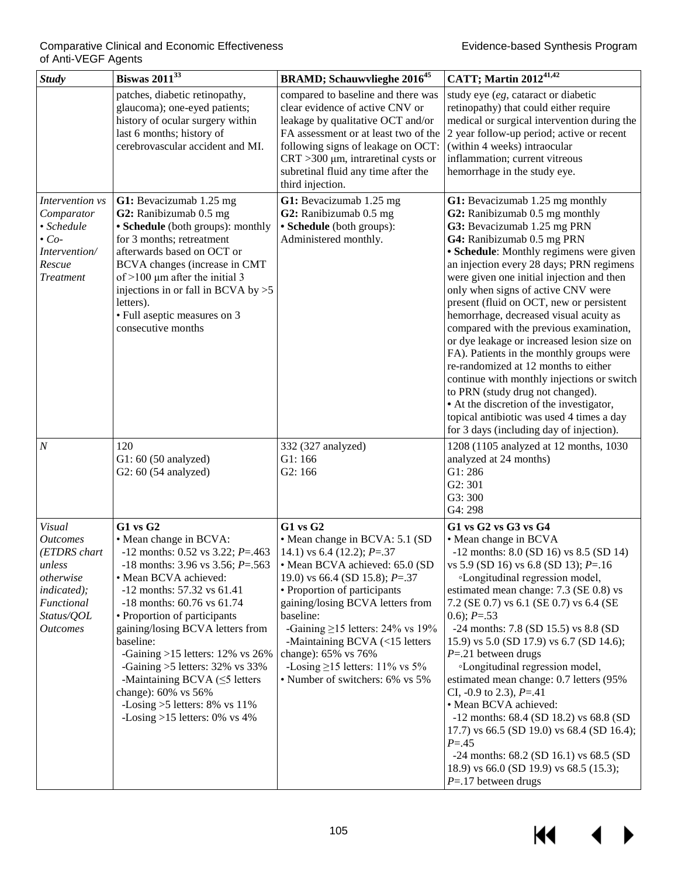| <b>Study</b>                                                                                                                   | Biswas $2011^{33}$                                                                                                                                                                                                                                                                                                                                                                                                                                                                                     | <b>BRAMD; Schauwvlieghe 201645</b>                                                                                                                                                                                                                                                                                                                                                                                   | CATT; Martin 2012 <sup>41,42</sup>                                                                                                                                                                                                                                                                                                                                                                                                                                                                                                                                                                                                                                                                                                                                                                 |
|--------------------------------------------------------------------------------------------------------------------------------|--------------------------------------------------------------------------------------------------------------------------------------------------------------------------------------------------------------------------------------------------------------------------------------------------------------------------------------------------------------------------------------------------------------------------------------------------------------------------------------------------------|----------------------------------------------------------------------------------------------------------------------------------------------------------------------------------------------------------------------------------------------------------------------------------------------------------------------------------------------------------------------------------------------------------------------|----------------------------------------------------------------------------------------------------------------------------------------------------------------------------------------------------------------------------------------------------------------------------------------------------------------------------------------------------------------------------------------------------------------------------------------------------------------------------------------------------------------------------------------------------------------------------------------------------------------------------------------------------------------------------------------------------------------------------------------------------------------------------------------------------|
|                                                                                                                                | patches, diabetic retinopathy,<br>glaucoma); one-eyed patients;<br>history of ocular surgery within<br>last 6 months; history of<br>cerebrovascular accident and MI.                                                                                                                                                                                                                                                                                                                                   | compared to baseline and there was<br>clear evidence of active CNV or<br>leakage by qualitative OCT and/or<br>FA assessment or at least two of the<br>following signs of leakage on OCT:<br>CRT > 300 $\mu$ m, intraretinal cysts or<br>subretinal fluid any time after the<br>third injection.                                                                                                                      | study eye (eg, cataract or diabetic<br>retinopathy) that could either require<br>medical or surgical intervention during the<br>2 year follow-up period; active or recent<br>(within 4 weeks) intraocular<br>inflammation; current vitreous<br>hemorrhage in the study eye.                                                                                                                                                                                                                                                                                                                                                                                                                                                                                                                        |
| Intervention vs<br>Comparator<br>• Schedule<br>$\cdot$ Co-<br>Intervention/<br>Rescue<br><b>Treatment</b>                      | G1: Bevacizumab 1.25 mg<br>G2: Ranibizumab 0.5 mg<br>• Schedule (both groups): monthly<br>for 3 months; retreatment<br>afterwards based on OCT or<br>BCVA changes (increase in CMT<br>of $>100 \mu m$ after the initial 3<br>injections in or fall in BCVA by $>5$<br>letters).<br>• Full aseptic measures on 3<br>consecutive months                                                                                                                                                                  | G1: Bevacizumab 1.25 mg<br>G2: Ranibizumab 0.5 mg<br>• Schedule (both groups):<br>Administered monthly.                                                                                                                                                                                                                                                                                                              | G1: Bevacizumab 1.25 mg monthly<br>G2: Ranibizumab 0.5 mg monthly<br>G3: Bevacizumab 1.25 mg PRN<br>G4: Ranibizumab 0.5 mg PRN<br>• Schedule: Monthly regimens were given<br>an injection every 28 days; PRN regimens<br>were given one initial injection and then<br>only when signs of active CNV were<br>present (fluid on OCT, new or persistent<br>hemorrhage, decreased visual acuity as<br>compared with the previous examination,<br>or dye leakage or increased lesion size on<br>FA). Patients in the monthly groups were<br>re-randomized at 12 months to either<br>continue with monthly injections or switch<br>to PRN (study drug not changed).<br>• At the discretion of the investigator,<br>topical antibiotic was used 4 times a day<br>for 3 days (including day of injection). |
| $\boldsymbol{N}$                                                                                                               | 120<br>G1: 60 (50 analyzed)<br>G2: 60 (54 analyzed)                                                                                                                                                                                                                                                                                                                                                                                                                                                    | 332 (327 analyzed)<br>G1:166<br>G2: 166                                                                                                                                                                                                                                                                                                                                                                              | 1208 (1105 analyzed at 12 months, 1030<br>analyzed at 24 months)<br>G1:286<br>G <sub>2</sub> : 301<br>G3: 300<br>G4: 298                                                                                                                                                                                                                                                                                                                                                                                                                                                                                                                                                                                                                                                                           |
| Visual<br><b>Outcomes</b><br>(ETDRS chart<br>unless<br>otherwise<br>indicated);<br>Functional<br>Status/QOL<br><b>Outcomes</b> | G1 vs G2<br>• Mean change in BCVA:<br>$-12$ months: 0.52 vs 3.22; P=.463<br>$-18$ months: 3.96 vs 3.56; P=.563<br>· Mean BCVA achieved:<br>$-12$ months: 57.32 vs 61.41<br>$-18$ months: 60.76 vs 61.74<br>• Proportion of participants<br>gaining/losing BCVA letters from<br>baseline:<br>-Gaining >15 letters: 12% vs 26%<br>-Gaining $>5$ letters: 32% vs 33%<br>-Maintaining BCVA $(\leq 5)$ letters<br>change): 60% vs 56%<br>-Losing $>5$ letters: 8% vs 11%<br>-Losing $>15$ letters: 0% vs 4% | $G1$ vs $G2$<br>• Mean change in BCVA: 5.1 (SD<br>14.1) vs 6.4 (12.2); $P=.37$<br>• Mean BCVA achieved: 65.0 (SD<br>19.0) vs 66.4 (SD 15.8); $P = 37$<br>• Proportion of participants<br>gaining/losing BCVA letters from<br>baseline:<br>-Gaining $\geq$ 15 letters: 24% vs 19%<br>-Maintaining BCVA (<15 letters<br>change): 65% vs 76%<br>-Losing $\geq$ 15 letters: 11% vs 5%<br>• Number of switchers: 6% vs 5% | G1 vs G2 vs G3 vs G4<br>• Mean change in BCVA<br>$-12$ months: 8.0 (SD 16) vs 8.5 (SD 14)<br>vs 5.9 (SD 16) vs 6.8 (SD 13); $P = 16$<br><i>•Longitudinal regression model,</i><br>estimated mean change: 7.3 (SE 0.8) vs<br>7.2 (SE 0.7) vs 6.1 (SE 0.7) vs 6.4 (SE<br>$(0.6)$ ; P=.53<br>-24 months: 7.8 (SD 15.5) vs 8.8 (SD<br>15.9) vs 5.0 (SD 17.9) vs 6.7 (SD 14.6);<br>$P = 21$ between drugs<br><i><b>•Longitudinal regression model,</b></i><br>estimated mean change: 0.7 letters (95%)<br>CI, -0.9 to 2.3), $P = .41$<br>• Mean BCVA achieved:<br>$-12$ months: 68.4 (SD 18.2) vs 68.8 (SD<br>17.7) vs 66.5 (SD 19.0) vs 68.4 (SD 16.4);<br>$P = .45$<br>$-24$ months: 68.2 (SD 16.1) vs 68.5 (SD<br>18.9) vs 66.0 (SD 19.9) vs 68.5 (15.3);<br>$P = 17$ between drugs                  |

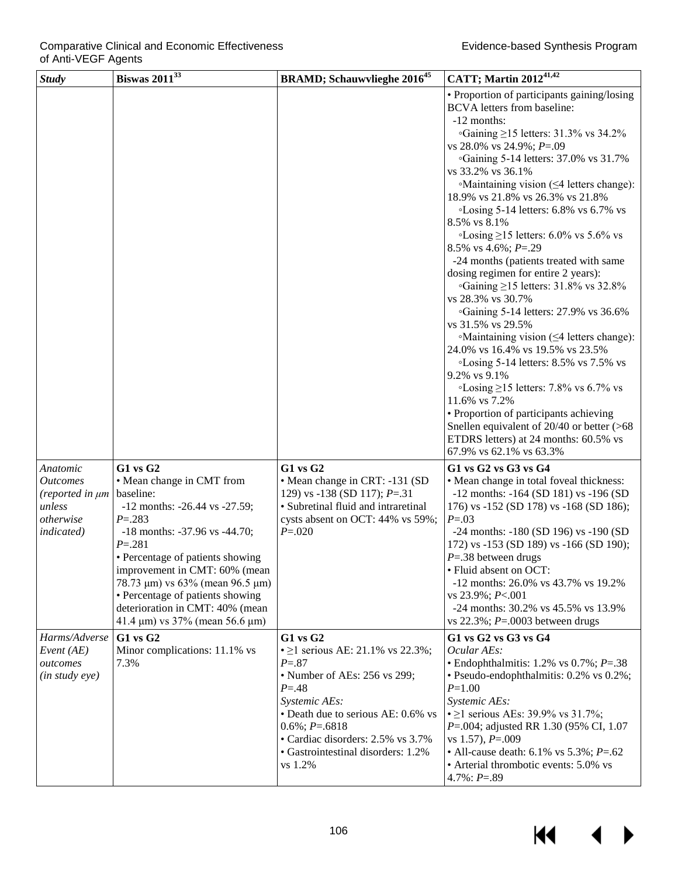| <b>Study</b>                                                                                     | Biswas $2011^{33}$                                                                                                                                                                                                                                                                                                                                                                                  | <b>BRAMD; Schauwvlieghe 201645</b>                                                                                                                                                                                                                                                | CATT; Martin 2012 <sup>41,42</sup>                                                                                                                                                                                                                                                                                                                                                                                                                                                                                                                                                                                                                                                                                                                                                                                                                                                                                                                                                                                                                              |
|--------------------------------------------------------------------------------------------------|-----------------------------------------------------------------------------------------------------------------------------------------------------------------------------------------------------------------------------------------------------------------------------------------------------------------------------------------------------------------------------------------------------|-----------------------------------------------------------------------------------------------------------------------------------------------------------------------------------------------------------------------------------------------------------------------------------|-----------------------------------------------------------------------------------------------------------------------------------------------------------------------------------------------------------------------------------------------------------------------------------------------------------------------------------------------------------------------------------------------------------------------------------------------------------------------------------------------------------------------------------------------------------------------------------------------------------------------------------------------------------------------------------------------------------------------------------------------------------------------------------------------------------------------------------------------------------------------------------------------------------------------------------------------------------------------------------------------------------------------------------------------------------------|
|                                                                                                  |                                                                                                                                                                                                                                                                                                                                                                                                     |                                                                                                                                                                                                                                                                                   | • Proportion of participants gaining/losing<br>BCVA letters from baseline:<br>$-12$ months:<br>∘Gaining ≥15 letters: $31.3\%$ vs $34.2\%$<br>vs 28.0% vs 24.9%; $P = .09$<br>∘Gaining 5-14 letters: 37.0% vs 31.7%<br>vs 33.2% vs 36.1%<br>∘Maintaining vision (≤4 letters change):<br>18.9% vs 21.8% vs 26.3% vs 21.8%<br>$\circ$ Losing 5-14 letters: 6.8% vs 6.7% vs<br>8.5% vs 8.1%<br>∘Losing ≥15 letters: 6.0% vs 5.6% vs<br>8.5% vs 4.6%; $P = .29$<br>-24 months (patients treated with same<br>dosing regimen for entire 2 years):<br>∘Gaining ≥15 letters: $31.8\%$ vs $32.8\%$<br>vs 28.3% vs 30.7%<br>∘Gaining 5-14 letters: 27.9% vs 36.6%<br>vs 31.5% vs 29.5%<br>$\circ$ Maintaining vision ( $\leq$ 4 letters change):<br>24.0% vs 16.4% vs 19.5% vs 23.5%<br>$\circ$ Losing 5-14 letters: 8.5% vs 7.5% vs<br>9.2% vs 9.1%<br>∘Losing ≥15 letters: 7.8% vs 6.7% vs<br>11.6% vs 7.2%<br>• Proportion of participants achieving<br>Snellen equivalent of 20/40 or better (>68<br>ETDRS letters) at 24 months: 60.5% vs<br>67.9% vs 62.1% vs 63.3% |
| Anatomic<br><b>Outcomes</b><br>(reported in $\mu$ m<br>unless<br>otherwise<br><i>indicated</i> ) | G1 vs G2<br>• Mean change in CMT from<br>baseline:<br>$-12$ months: $-26.44$ vs $-27.59$ ;<br>$P = .283$<br>$-18$ months: $-37.96$ vs $-44.70$ ;<br>$P = .281$<br>• Percentage of patients showing<br>improvement in CMT: 60% (mean<br>78.73 $\mu$ m) vs 63% (mean 96.5 $\mu$ m)<br>• Percentage of patients showing<br>deterioration in CMT: 40% (mean<br>41.4 $\mu$ m) vs 37% (mean 56.6 $\mu$ m) | G1 vs G2<br>• Mean change in CRT: -131 (SD<br>129) vs -138 (SD 117); $P = 31$<br>• Subretinal fluid and intraretinal<br>cysts absent on OCT: 44% vs 59%;<br>$P = 0.020$                                                                                                           | G1 vs G2 vs G3 vs G4<br>• Mean change in total foveal thickness:<br>$-12$ months: $-164$ (SD 181) vs $-196$ (SD<br>176) vs -152 (SD 178) vs -168 (SD 186);<br>$P = .03$<br>-24 months: -180 (SD 196) vs -190 (SD<br>172) vs -153 (SD 189) vs -166 (SD 190);<br>$P = 0.38$ between drugs<br>· Fluid absent on OCT:<br>$-12$ months: 26.0% vs 43.7% vs 19.2%<br>vs 23.9%; P<.001<br>-24 months: 30.2% vs 45.5% vs 13.9%<br>vs 22.3%; $P = 0.0003$ between drugs                                                                                                                                                                                                                                                                                                                                                                                                                                                                                                                                                                                                   |
| Harms/Adverse<br>Event $(AE)$<br>outcomes<br>$(in$ study $eye)$                                  | G1 vs G2<br>Minor complications: 11.1% vs<br>7.3%                                                                                                                                                                                                                                                                                                                                                   | $G1$ vs $G2$<br>• $\geq$ 1 serious AE: 21.1% vs 22.3%;<br>$P = .87$<br>• Number of AEs: 256 vs 299;<br>$P = .48$<br>Systemic AEs:<br>• Death due to serious AE: 0.6% vs<br>$0.6\%; P=.6818$<br>• Cardiac disorders: 2.5% vs 3.7%<br>• Gastrointestinal disorders: 1.2%<br>vs 1.2% | G1 vs G2 vs G3 vs G4<br>Ocular AEs:<br>• Endophthalmitis: 1.2% vs $0.7\%$ ; $P = .38$<br>• Pseudo-endophthalmitis: 0.2% vs 0.2%;<br>$P=1.00$<br>Systemic AEs:<br>• $\geq$ 1 serious AEs: 39.9% vs 31.7%;<br>$P = 0.004$ ; adjusted RR 1.30 (95% CI, 1.07)<br>vs $1.57$ ), $P = .009$<br>• All-cause death: 6.1% vs 5.3%; $P = .62$<br>• Arterial thrombotic events: 5.0% vs<br>$4.7\%: P = .89$                                                                                                                                                                                                                                                                                                                                                                                                                                                                                                                                                                                                                                                                 |

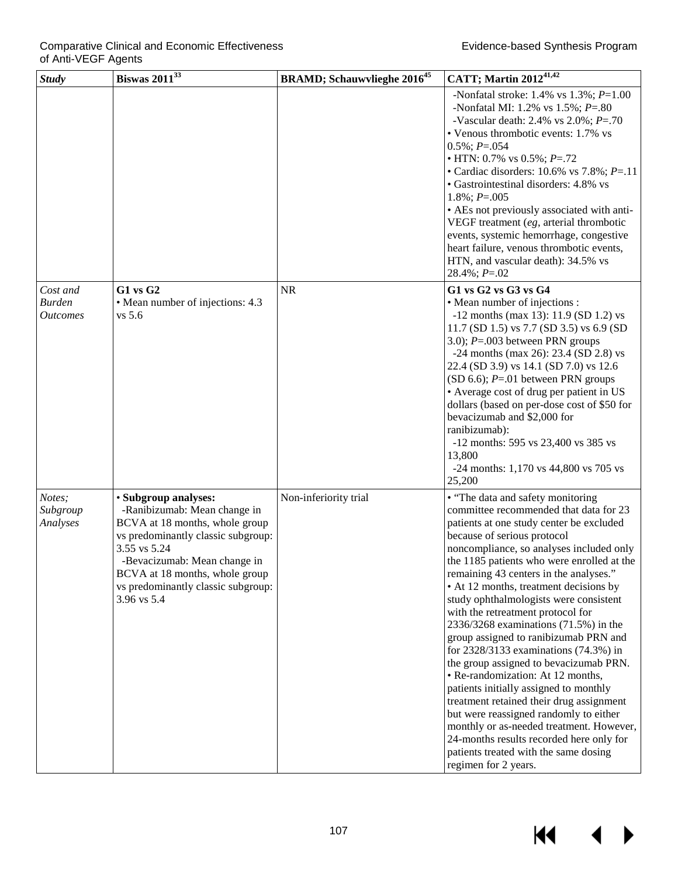| <b>Study</b>                                 | Biswas $2011^{33}$                                                                                                                                                                                                                                                  | <b>BRAMD; Schauwvlieghe 201645</b> | CATT; Martin 2012 <sup>41,42</sup>                                                                                                                                                                                                                                                                                                                                                                                                                                                                                                                                                                                                                                                                                                                                                                                                                                                                                       |
|----------------------------------------------|---------------------------------------------------------------------------------------------------------------------------------------------------------------------------------------------------------------------------------------------------------------------|------------------------------------|--------------------------------------------------------------------------------------------------------------------------------------------------------------------------------------------------------------------------------------------------------------------------------------------------------------------------------------------------------------------------------------------------------------------------------------------------------------------------------------------------------------------------------------------------------------------------------------------------------------------------------------------------------------------------------------------------------------------------------------------------------------------------------------------------------------------------------------------------------------------------------------------------------------------------|
|                                              |                                                                                                                                                                                                                                                                     |                                    | -Nonfatal stroke: 1.4% vs $1.3\%$ ; $P=1.00$<br>-Nonfatal MI: 1.2% vs $1.5\%$ ; $P = .80$<br>-Vascular death: 2.4% vs $2.0\%$ ; $P = .70$<br>• Venous thrombotic events: 1.7% vs<br>$0.5\%$ ; $P = .054$<br>• HTN: 0.7% vs 0.5%; $P = .72$<br>• Cardiac disorders: 10.6% vs 7.8%; $P = .11$<br>• Gastrointestinal disorders: 4.8% vs<br>$1.8\%$ ; $P=.005$<br>• AEs not previously associated with anti-<br>VEGF treatment $(eg, \arctan$ thrombotic<br>events, systemic hemorrhage, congestive<br>heart failure, venous thrombotic events,<br>HTN, and vascular death): 34.5% vs<br>$28.4\%$ ; $P=.02$                                                                                                                                                                                                                                                                                                                  |
| Cost and<br><b>Burden</b><br><b>Outcomes</b> | $G1$ vs $G2$<br>• Mean number of injections: 4.3<br>$vs$ 5.6                                                                                                                                                                                                        | <b>NR</b>                          | G1 vs G2 vs G3 vs G4<br>• Mean number of injections :<br>$-12$ months (max 13): 11.9 (SD 1.2) vs<br>11.7 (SD 1.5) vs 7.7 (SD 3.5) vs 6.9 (SD<br>3.0); $P = .003$ between PRN groups<br>$-24$ months (max 26): 23.4 (SD 2.8) vs<br>22.4 (SD 3.9) vs 14.1 (SD 7.0) vs 12.6<br>(SD 6.6); $P=.01$ between PRN groups<br>• Average cost of drug per patient in US<br>dollars (based on per-dose cost of \$50 for<br>bevacizumab and \$2,000 for<br>ranibizumab):<br>-12 months: 595 vs 23,400 vs 385 vs<br>13,800<br>-24 months: 1,170 vs 44,800 vs 705 vs<br>25,200                                                                                                                                                                                                                                                                                                                                                          |
| Notes;<br>Subgroup<br>Analyses               | · Subgroup analyses:<br>-Ranibizumab: Mean change in<br>BCVA at 18 months, whole group<br>vs predominantly classic subgroup:<br>3.55 vs 5.24<br>-Bevacizumab: Mean change in<br>BCVA at 18 months, whole group<br>vs predominantly classic subgroup:<br>3.96 vs 5.4 | Non-inferiority trial              | • "The data and safety monitoring<br>committee recommended that data for 23<br>patients at one study center be excluded<br>because of serious protocol<br>noncompliance, so analyses included only<br>the 1185 patients who were enrolled at the<br>remaining 43 centers in the analyses."<br>• At 12 months, treatment decisions by<br>study ophthalmologists were consistent<br>with the retreatment protocol for<br>2336/3268 examinations (71.5%) in the<br>group assigned to ranibizumab PRN and<br>for $2328/3133$ examinations (74.3%) in<br>the group assigned to bevacizumab PRN.<br>• Re-randomization: At 12 months,<br>patients initially assigned to monthly<br>treatment retained their drug assignment<br>but were reassigned randomly to either<br>monthly or as-needed treatment. However,<br>24-months results recorded here only for<br>patients treated with the same dosing<br>regimen for 2 years. |

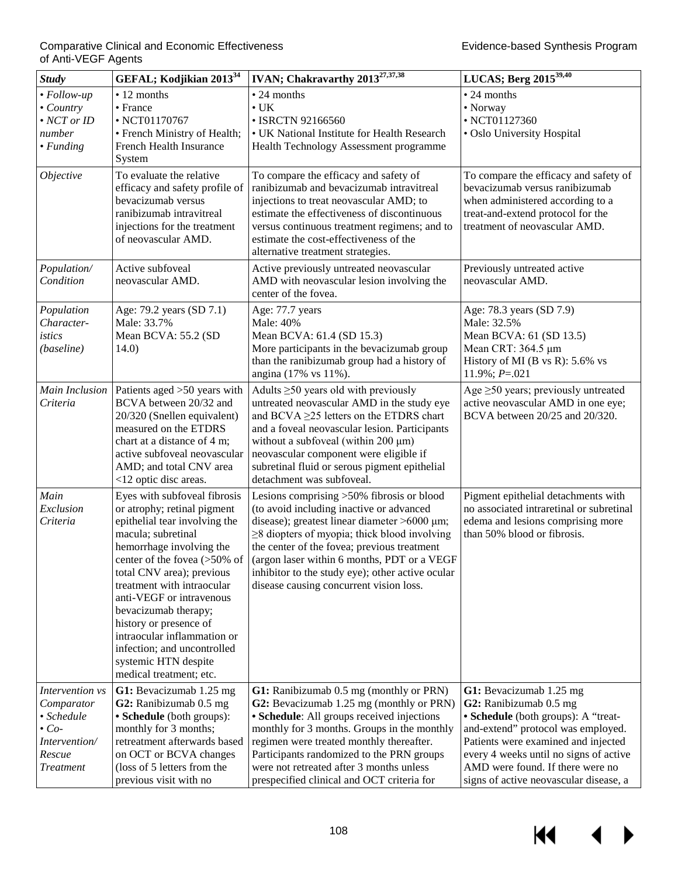| <b>Study</b>                                                                                              | GEFAL; Kodjikian 2013 <sup>34</sup>                                                                                                                                                                                                                                                                                                                                                                                                         | <b>IVAN</b> ; Chakravarthy $2\overline{013}^{27,37,38}$                                                                                                                                                                                                                                                                                                                                        | LUCAS; Berg 2015 <sup>39,40</sup>                                                                                                                                                                                                                                                             |
|-----------------------------------------------------------------------------------------------------------|---------------------------------------------------------------------------------------------------------------------------------------------------------------------------------------------------------------------------------------------------------------------------------------------------------------------------------------------------------------------------------------------------------------------------------------------|------------------------------------------------------------------------------------------------------------------------------------------------------------------------------------------------------------------------------------------------------------------------------------------------------------------------------------------------------------------------------------------------|-----------------------------------------------------------------------------------------------------------------------------------------------------------------------------------------------------------------------------------------------------------------------------------------------|
| $\cdot$ Follow-up<br>• Country<br>$\bullet$ NCT or ID<br>number<br>$\cdot$ Funding                        | $\cdot$ 12 months<br>• France<br>• NCT01170767<br>• French Ministry of Health;<br>French Health Insurance<br>System                                                                                                                                                                                                                                                                                                                         | $\cdot$ 24 months<br>$\bullet$ UK<br>• ISRCTN 92166560<br>• UK National Institute for Health Research<br>Health Technology Assessment programme                                                                                                                                                                                                                                                | $\cdot$ 24 months<br>• Norway<br>• NCT01127360<br>· Oslo University Hospital                                                                                                                                                                                                                  |
| Objective                                                                                                 | To evaluate the relative<br>efficacy and safety profile of<br>bevacizumab versus<br>ranibizumab intravitreal<br>injections for the treatment<br>of neovascular AMD.                                                                                                                                                                                                                                                                         | To compare the efficacy and safety of<br>ranibizumab and bevacizumab intravitreal<br>injections to treat neovascular AMD; to<br>estimate the effectiveness of discontinuous<br>versus continuous treatment regimens; and to<br>estimate the cost-effectiveness of the<br>alternative treatment strategies.                                                                                     | To compare the efficacy and safety of<br>bevacizumab versus ranibizumab<br>when administered according to a<br>treat-and-extend protocol for the<br>treatment of neovascular AMD.                                                                                                             |
| Population/<br>Condition                                                                                  | Active subfoveal<br>neovascular AMD.                                                                                                                                                                                                                                                                                                                                                                                                        | Active previously untreated neovascular<br>AMD with neovascular lesion involving the<br>center of the fovea.                                                                                                                                                                                                                                                                                   | Previously untreated active<br>neovascular AMD.                                                                                                                                                                                                                                               |
| Population<br>Character-<br>istics<br>(baseline)                                                          | Age: 79.2 years (SD 7.1)<br>Male: 33.7%<br>Mean BCVA: 55.2 (SD<br>14.0)                                                                                                                                                                                                                                                                                                                                                                     | Age: 77.7 years<br>Male: 40%<br>Mean BCVA: 61.4 (SD 15.3)<br>More participants in the bevacizumab group<br>than the ranibizumab group had a history of<br>angina (17% vs 11%).                                                                                                                                                                                                                 | Age: 78.3 years (SD 7.9)<br>Male: 32.5%<br>Mean BCVA: 61 (SD 13.5)<br>Mean CRT: 364.5 µm<br>History of MI (B vs R): $5.6\%$ vs<br>$11.9\%$ ; $P=.021$                                                                                                                                         |
| Main Inclusion<br>Criteria                                                                                | Patients aged >50 years with<br>BCVA between 20/32 and<br>20/320 (Snellen equivalent)<br>measured on the ETDRS<br>chart at a distance of 4 m;<br>active subfoveal neovascular<br>AMD; and total CNV area<br><12 optic disc areas.                                                                                                                                                                                                           | Adults $\geq 50$ years old with previously<br>untreated neovascular AMD in the study eye<br>and BCVA $\geq$ 25 letters on the ETDRS chart<br>and a foveal neovascular lesion. Participants<br>without a subfoveal (within 200 $\mu$ m)<br>neovascular component were eligible if<br>subretinal fluid or serous pigment epithelial<br>detachment was subfoveal.                                 | Age $\geq$ 50 years; previously untreated<br>active neovascular AMD in one eye;<br>BCVA between 20/25 and 20/320.                                                                                                                                                                             |
| Main<br>Exclusion<br>Criteria                                                                             | Eyes with subfoveal fibrosis<br>or atrophy; retinal pigment<br>epithelial tear involving the<br>macula; subretinal<br>hemorrhage involving the<br>center of the fovea $(>50\%$ of<br>total CNV area); previous<br>treatment with intraocular<br>anti-VEGF or intravenous<br>bevacizumab therapy;<br>history or presence of<br>intraocular inflammation or<br>infection; and uncontrolled<br>systemic HTN despite<br>medical treatment; etc. | Lesions comprising >50% fibrosis or blood<br>(to avoid including inactive or advanced<br>disease); greatest linear diameter $>6000 \mu m$ ;<br>$\geq$ 8 diopters of myopia; thick blood involving<br>the center of the fovea; previous treatment<br>(argon laser within 6 months, PDT or a VEGF<br>inhibitor to the study eye); other active ocular<br>disease causing concurrent vision loss. | Pigment epithelial detachments with<br>no associated intraretinal or subretinal<br>edema and lesions comprising more<br>than 50% blood or fibrosis.                                                                                                                                           |
| Intervention vs<br>Comparator<br>• Schedule<br>$\cdot$ Co-<br>Intervention/<br>Rescue<br><b>Treatment</b> | G1: Bevacizumab 1.25 mg<br>G2: Ranibizumab 0.5 mg<br>• Schedule (both groups):<br>monthly for 3 months;<br>retreatment afterwards based<br>on OCT or BCVA changes<br>(loss of 5 letters from the<br>previous visit with no                                                                                                                                                                                                                  | G1: Ranibizumab 0.5 mg (monthly or PRN)<br>G2: Bevacizumab 1.25 mg (monthly or PRN)<br>• Schedule: All groups received injections<br>monthly for 3 months. Groups in the monthly<br>regimen were treated monthly thereafter.<br>Participants randomized to the PRN groups<br>were not retreated after 3 months unless<br>prespecified clinical and OCT criteria for                            | G1: Bevacizumab 1.25 mg<br>G2: Ranibizumab 0.5 mg<br>• Schedule (both groups): A "treat-<br>and-extend" protocol was employed.<br>Patients were examined and injected<br>every 4 weeks until no signs of active<br>AMD were found. If there were no<br>signs of active neovascular disease, a |

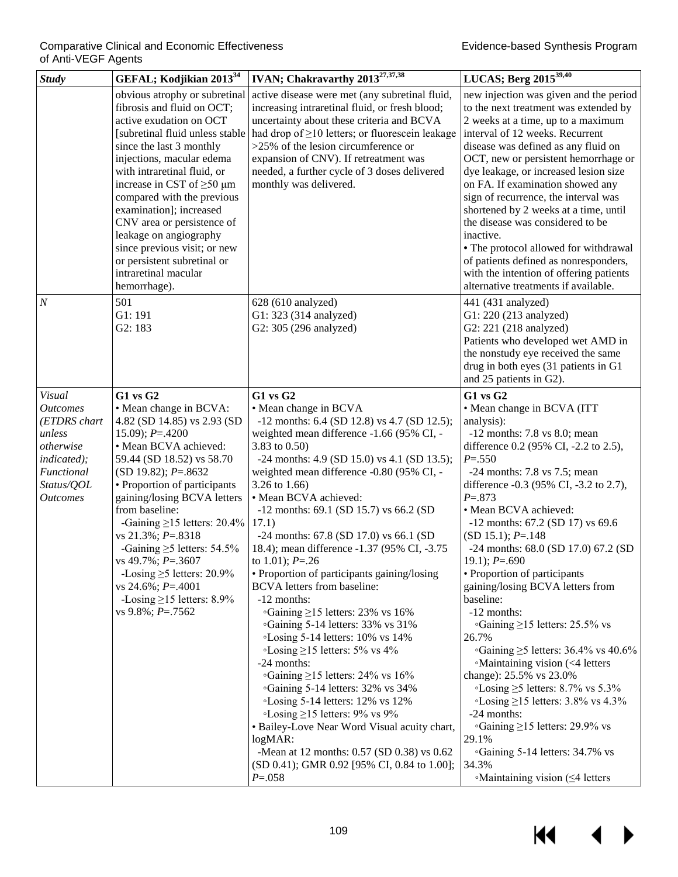| <b>Study</b>                                                                                                                   | GEFAL; Kodjikian 2013 <sup>34</sup>                                                                                                                                                                                                                                                                                                                                                                                                                                                                               | IVAN; Chakravarthy $201\overline{3^{27,37,38}}$                                                                                                                                                                                                                                                                                                                                                                                                                                                                                                                                                                                                                                                                                                                                                                                                                                                                                                                                                                                                                                              | LUCAS; Berg 2015 <sup>39,40</sup>                                                                                                                                                                                                                                                                                                                                                                                                                                                                                                                                                                                                                                                                                                                                                                                                                                                                                                              |
|--------------------------------------------------------------------------------------------------------------------------------|-------------------------------------------------------------------------------------------------------------------------------------------------------------------------------------------------------------------------------------------------------------------------------------------------------------------------------------------------------------------------------------------------------------------------------------------------------------------------------------------------------------------|----------------------------------------------------------------------------------------------------------------------------------------------------------------------------------------------------------------------------------------------------------------------------------------------------------------------------------------------------------------------------------------------------------------------------------------------------------------------------------------------------------------------------------------------------------------------------------------------------------------------------------------------------------------------------------------------------------------------------------------------------------------------------------------------------------------------------------------------------------------------------------------------------------------------------------------------------------------------------------------------------------------------------------------------------------------------------------------------|------------------------------------------------------------------------------------------------------------------------------------------------------------------------------------------------------------------------------------------------------------------------------------------------------------------------------------------------------------------------------------------------------------------------------------------------------------------------------------------------------------------------------------------------------------------------------------------------------------------------------------------------------------------------------------------------------------------------------------------------------------------------------------------------------------------------------------------------------------------------------------------------------------------------------------------------|
|                                                                                                                                | obvious atrophy or subretinal<br>fibrosis and fluid on OCT;<br>active exudation on OCT<br>[subretinal fluid unless stable<br>since the last 3 monthly<br>injections, macular edema<br>with intraretinal fluid, or<br>increase in CST of $\geq 50 \mu m$<br>compared with the previous<br>examination]; increased<br>CNV area or persistence of<br>leakage on angiography<br>since previous visit; or new<br>or persistent subretinal or<br>intraretinal macular<br>hemorrhage).                                   | active disease were met (any subretinal fluid,<br>increasing intraretinal fluid, or fresh blood;<br>uncertainty about these criteria and BCVA<br>had drop of $\geq$ 10 letters; or fluorescein leakage<br>$>25\%$ of the lesion circumference or<br>expansion of CNV). If retreatment was<br>needed, a further cycle of 3 doses delivered<br>monthly was delivered.                                                                                                                                                                                                                                                                                                                                                                                                                                                                                                                                                                                                                                                                                                                          | new injection was given and the period<br>to the next treatment was extended by<br>2 weeks at a time, up to a maximum<br>interval of 12 weeks. Recurrent<br>disease was defined as any fluid on<br>OCT, new or persistent hemorrhage or<br>dye leakage, or increased lesion size<br>on FA. If examination showed any<br>sign of recurrence, the interval was<br>shortened by 2 weeks at a time, until<br>the disease was considered to be<br>inactive.<br>• The protocol allowed for withdrawal<br>of patients defined as nonresponders,<br>with the intention of offering patients<br>alternative treatments if available.                                                                                                                                                                                                                                                                                                                    |
| $\boldsymbol{N}$                                                                                                               | 501<br>G1: 191<br>G2: 183                                                                                                                                                                                                                                                                                                                                                                                                                                                                                         | 628 (610 analyzed)<br>G1: 323 (314 analyzed)<br>G2: 305 (296 analyzed)                                                                                                                                                                                                                                                                                                                                                                                                                                                                                                                                                                                                                                                                                                                                                                                                                                                                                                                                                                                                                       | 441 (431 analyzed)<br>G1: 220 (213 analyzed)<br>G2: 221 (218 analyzed)<br>Patients who developed wet AMD in<br>the nonstudy eye received the same<br>drug in both eyes (31 patients in G1<br>and 25 patients in G2).                                                                                                                                                                                                                                                                                                                                                                                                                                                                                                                                                                                                                                                                                                                           |
| Visual<br><b>Outcomes</b><br>(ETDRS chart<br>unless<br>otherwise<br>indicated);<br>Functional<br>Status/QOL<br><b>Outcomes</b> | G1 vs G2<br>• Mean change in BCVA:<br>4.82 (SD 14.85) vs 2.93 (SD<br>15.09); $P = .4200$<br>• Mean BCVA achieved:<br>59.44 (SD 18.52) vs 58.70<br>$(SD 19.82); P = .8632$<br>• Proportion of participants<br>gaining/losing BCVA letters<br>from baseline:<br>-Gaining $\geq$ 15 letters: 20.4%<br>vs 21.3%; $P = .8318$<br>-Gaining $\geq$ 5 letters: 54.5%<br>vs 49.7%; $P = 0.3607$<br>-Losing $\geq$ 5 letters: 20.9%<br>vs 24.6%; $P = .4001$<br>-Losing $\geq$ 15 letters: 8.9%<br>vs $9.8\%$ ; $P = .7562$ | G1 vs G2<br>• Mean change in BCVA<br>$-12$ months: 6.4 (SD 12.8) vs 4.7 (SD 12.5);<br>weighted mean difference -1.66 (95% CI, -<br>3.83 to 0.50)<br>-24 months: 4.9 (SD 15.0) vs 4.1 (SD 13.5);<br>weighted mean difference -0.80 (95% CI, -<br>3.26 to 1.66)<br>· Mean BCVA achieved:<br>$-12$ months: 69.1 (SD 15.7) vs 66.2 (SD<br>17.1)<br>$-24$ months: 67.8 (SD 17.0) vs 66.1 (SD<br>18.4); mean difference -1.37 (95% CI, -3.75<br>to 1.01); $P = .26$<br>• Proportion of participants gaining/losing<br><b>BCVA</b> letters from baseline:<br>$-12$ months:<br>∘Gaining ≥15 letters: 23% vs 16%<br>•Gaining 5-14 letters: 33% vs 31%<br>∘Losing 5-14 letters: 10% vs 14%<br>$\circ$ Losing $\geq$ 15 letters: 5% vs 4%<br>-24 months:<br>$\circ$ Gaining $\geq$ 15 letters: 24% vs 16%<br>∘Gaining 5-14 letters: 32% vs 34%<br>∘Losing 5-14 letters: 12% vs 12%<br>$\circ$ Losing $\geq$ 15 letters: 9% vs 9%<br>• Bailey-Love Near Word Visual acuity chart,<br>logMAR:<br>-Mean at 12 months: 0.57 (SD 0.38) vs 0.62<br>(SD 0.41); GMR 0.92 [95% CI, 0.84 to 1.00];<br>$P = 0.058$ | $G1$ vs $G2$<br>· Mean change in BCVA (ITT<br>analysis):<br>$-12$ months: 7.8 vs 8.0; mean<br>difference 0.2 (95% CI, -2.2 to 2.5),<br>$P = 550$<br>$-24$ months: 7.8 vs 7.5; mean<br>difference -0.3 (95% CI, -3.2 to 2.7),<br>$P = 0.873$<br>• Mean BCVA achieved:<br>$-12$ months: 67.2 (SD 17) vs 69.6<br>$(SD 15.1); P=.148$<br>$-24$ months: 68.0 (SD 17.0) 67.2 (SD<br>$19.1$ ; $P = .690$<br>• Proportion of participants<br>gaining/losing BCVA letters from<br>baseline:<br>$-12$ months:<br>$\circ$ Gaining $\geq$ 15 letters: 25.5% vs<br>26.7%<br>∘Gaining $\geq$ 5 letters: 36.4% vs 40.6%<br><sup>o</sup> Maintaining vision (<4 letters<br>change): 25.5% vs 23.0%<br>$\circ$ Losing $\geq$ 5 letters: 8.7% vs 5.3%<br>$\degree$ Losing $\geq$ 15 letters: 3.8% vs 4.3%<br>-24 months:<br>∘Gaining ≥15 letters: 29.9% vs<br>29.1%<br>•Gaining 5-14 letters: 34.7% vs<br>34.3%<br>$\circ$ Maintaining vision ( $\leq$ 4 letters |

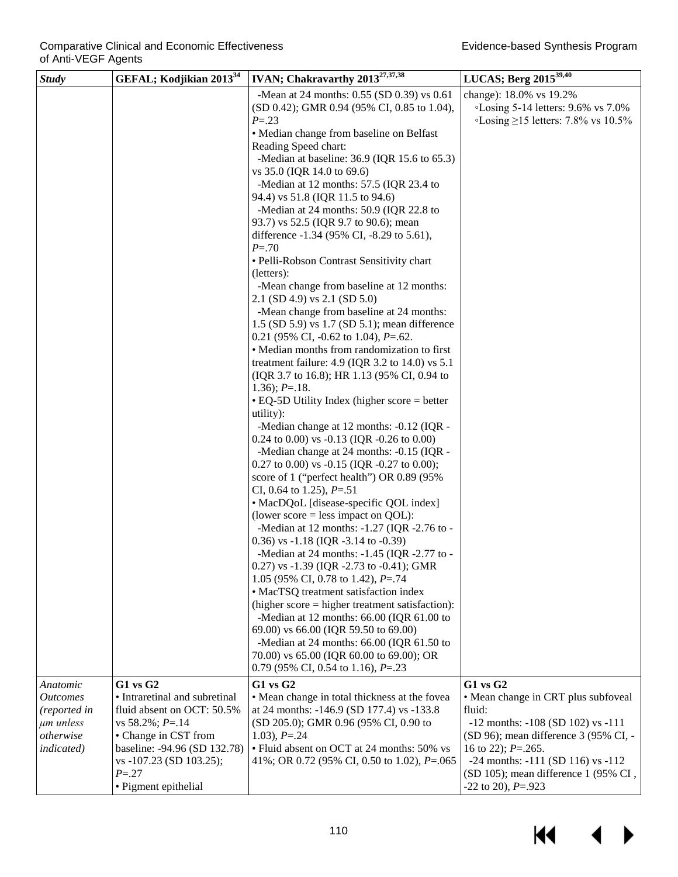| <b>Study</b>                                                                                | GEFAL; Kodjikian 2013 <sup>34</sup>                                                                                                                                                                                       | IVAN; Chakravarthy 2013 <sup>27,37,38</sup>                                                                                                                                                                                                                                                                                                                                                                                                                                                                                                                                                                                                                           | LUCAS; Berg 2015 <sup>39,40</sup>                                                                                                                                                                                                                                                |
|---------------------------------------------------------------------------------------------|---------------------------------------------------------------------------------------------------------------------------------------------------------------------------------------------------------------------------|-----------------------------------------------------------------------------------------------------------------------------------------------------------------------------------------------------------------------------------------------------------------------------------------------------------------------------------------------------------------------------------------------------------------------------------------------------------------------------------------------------------------------------------------------------------------------------------------------------------------------------------------------------------------------|----------------------------------------------------------------------------------------------------------------------------------------------------------------------------------------------------------------------------------------------------------------------------------|
|                                                                                             |                                                                                                                                                                                                                           | -Mean at 24 months: 0.55 (SD 0.39) vs 0.61<br>(SD 0.42); GMR 0.94 (95% CI, 0.85 to 1.04),<br>$P = .23$<br>• Median change from baseline on Belfast<br>Reading Speed chart:<br>-Median at baseline: 36.9 (IQR 15.6 to 65.3)<br>vs 35.0 (IQR 14.0 to 69.6)<br>-Median at 12 months: 57.5 (IQR 23.4 to<br>94.4) vs 51.8 (IQR 11.5 to 94.6)<br>-Median at 24 months: 50.9 (IQR 22.8 to<br>93.7) vs 52.5 (IQR 9.7 to 90.6); mean<br>difference -1.34 (95% CI, -8.29 to 5.61),<br>$P = .70$                                                                                                                                                                                 | change): 18.0% vs 19.2%<br>$\degree$ Losing 5-14 letters: 9.6% vs 7.0%<br>$\circ$ Losing $\geq$ 15 letters: 7.8% vs 10.5%                                                                                                                                                        |
|                                                                                             |                                                                                                                                                                                                                           | • Pelli-Robson Contrast Sensitivity chart<br>(letters):<br>-Mean change from baseline at 12 months:<br>2.1 (SD 4.9) vs 2.1 (SD 5.0)<br>-Mean change from baseline at 24 months:<br>1.5 (SD 5.9) vs 1.7 (SD 5.1); mean difference<br>0.21 (95% CI, -0.62 to 1.04), $P = .62$ .<br>• Median months from randomization to first<br>treatment failure: $4.9$ (IQR 3.2 to 14.0) vs $5.1$<br>(IQR 3.7 to 16.8); HR 1.13 (95% CI, 0.94 to<br>1.36); $P = .18$ .                                                                                                                                                                                                              |                                                                                                                                                                                                                                                                                  |
|                                                                                             |                                                                                                                                                                                                                           | $\bullet$ EQ-5D Utility Index (higher score = better<br>utility):<br>-Median change at 12 months: -0.12 (IQR -<br>0.24 to 0.00) vs -0.13 (IQR -0.26 to 0.00)<br>-Median change at 24 months: -0.15 (IQR -<br>0.27 to 0.00) vs -0.15 (IQR -0.27 to 0.00);<br>score of 1 ("perfect health") OR 0.89 (95%<br>CI, 0.64 to 1.25), $P = .51$<br>• MacDQoL [disease-specific QOL index]<br>(lower score = less impact on QOL):<br>-Median at 12 months: $-1.27$ (IQR $-2.76$ to $-$<br>0.36) vs $-1.18$ (IQR $-3.14$ to $-0.39$ )<br>-Median at 24 months: $-1.45$ (IQR $-2.77$ to $-$<br>0.27) vs -1.39 (IQR -2.73 to -0.41); GMR<br>1.05 (95% CI, 0.78 to 1.42), $P = .74$ |                                                                                                                                                                                                                                                                                  |
|                                                                                             |                                                                                                                                                                                                                           | • MacTSQ treatment satisfaction index<br>(higher score $=$ higher treatment satisfaction):<br>-Median at 12 months: 66.00 (IQR 61.00 to<br>69.00) vs 66.00 (IQR 59.50 to 69.00)<br>-Median at 24 months: 66.00 (IQR 61.50 to<br>70.00) vs 65.00 (IQR 60.00 to 69.00); OR<br>0.79 (95% CI, 0.54 to 1.16), $P = 23$                                                                                                                                                                                                                                                                                                                                                     |                                                                                                                                                                                                                                                                                  |
| Anatomic<br><i>Outcomes</i><br>(reported in<br>um unless<br>otherwise<br><i>indicated</i> ) | $G1$ vs $G2$<br>• Intraretinal and subretinal<br>fluid absent on OCT: 50.5%<br>vs 58.2%; $P = 14$<br>• Change in CST from<br>baseline: -94.96 (SD 132.78)<br>vs -107.23 (SD 103.25);<br>$P = .27$<br>· Pigment epithelial | $G1$ vs $G2$<br>• Mean change in total thickness at the fovea<br>at 24 months: -146.9 (SD 177.4) vs -133.8<br>(SD 205.0); GMR 0.96 (95% CI, 0.90 to<br>$1.03$ , $P = .24$<br>• Fluid absent on OCT at 24 months: 50% vs<br>41%; OR 0.72 (95% CI, 0.50 to 1.02), $P = 0.065$                                                                                                                                                                                                                                                                                                                                                                                           | G1 vs G2<br>• Mean change in CRT plus subfoveal<br>fluid:<br>$-12$ months: $-108$ (SD 102) vs $-111$<br>(SD 96); mean difference 3 (95% CI, -<br>16 to 22); $P = 265$ .<br>-24 months: -111 (SD 116) vs -112<br>(SD 105); mean difference 1 (95% CI,<br>$-22$ to 20), $P = .923$ |

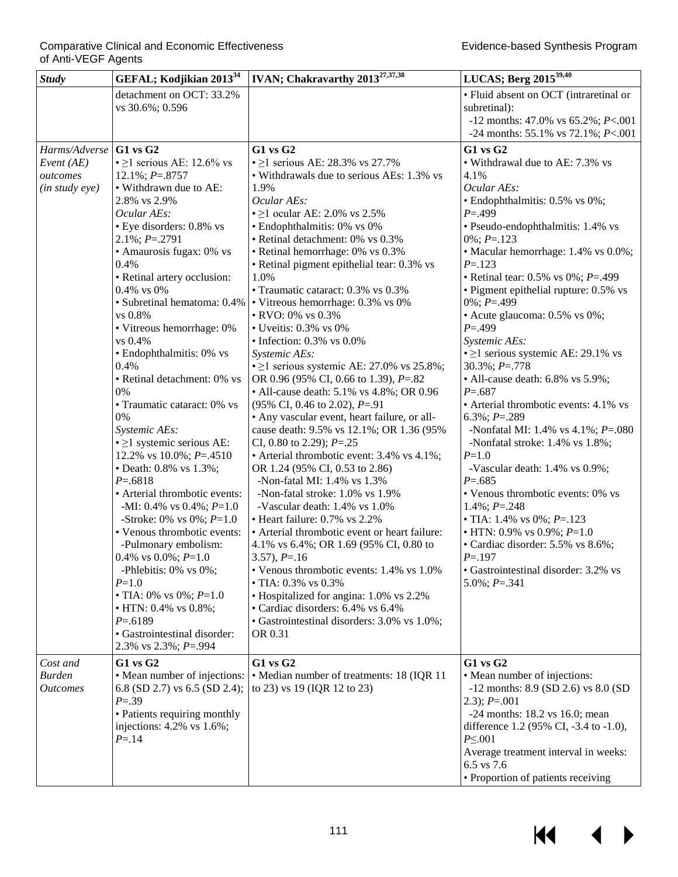| <b>Study</b>                                                                                | GEFAL; Kodjikian 2013 <sup>34</sup>                                                                                                                                                                                                                                                                                                                                                                                                                                                                                                                                                                                                                                                                                                                                                                                                                                                                                                 | IVAN; Chakravarthy 2013 <sup>27,37,38</sup>                                                                                                                                                                                                                                                                                                                                                                                                                                                                                                                                                                                                                                                                                                                                                                                                                                                                                                                                                                                                                                                                                                                                                                                                                                                                                                                                                                    | LUCAS; Berg 2015 <sup>39,40</sup>                                                                                                                                                                                                                                                                                                                                                                                                                                                                                                                                                                                                                                                                                                                                                                                                                                                                                                                                                                  |
|---------------------------------------------------------------------------------------------|-------------------------------------------------------------------------------------------------------------------------------------------------------------------------------------------------------------------------------------------------------------------------------------------------------------------------------------------------------------------------------------------------------------------------------------------------------------------------------------------------------------------------------------------------------------------------------------------------------------------------------------------------------------------------------------------------------------------------------------------------------------------------------------------------------------------------------------------------------------------------------------------------------------------------------------|----------------------------------------------------------------------------------------------------------------------------------------------------------------------------------------------------------------------------------------------------------------------------------------------------------------------------------------------------------------------------------------------------------------------------------------------------------------------------------------------------------------------------------------------------------------------------------------------------------------------------------------------------------------------------------------------------------------------------------------------------------------------------------------------------------------------------------------------------------------------------------------------------------------------------------------------------------------------------------------------------------------------------------------------------------------------------------------------------------------------------------------------------------------------------------------------------------------------------------------------------------------------------------------------------------------------------------------------------------------------------------------------------------------|----------------------------------------------------------------------------------------------------------------------------------------------------------------------------------------------------------------------------------------------------------------------------------------------------------------------------------------------------------------------------------------------------------------------------------------------------------------------------------------------------------------------------------------------------------------------------------------------------------------------------------------------------------------------------------------------------------------------------------------------------------------------------------------------------------------------------------------------------------------------------------------------------------------------------------------------------------------------------------------------------|
|                                                                                             | detachment on OCT: 33.2%<br>vs 30.6%; 0.596                                                                                                                                                                                                                                                                                                                                                                                                                                                                                                                                                                                                                                                                                                                                                                                                                                                                                         |                                                                                                                                                                                                                                                                                                                                                                                                                                                                                                                                                                                                                                                                                                                                                                                                                                                                                                                                                                                                                                                                                                                                                                                                                                                                                                                                                                                                                | • Fluid absent on OCT (intraretinal or<br>subretinal):<br>-12 months: $47.0\%$ vs $65.2\%$ ; $P < .001$<br>-24 months: 55.1% vs 72.1%; $P < 0.001$                                                                                                                                                                                                                                                                                                                                                                                                                                                                                                                                                                                                                                                                                                                                                                                                                                                 |
| Harms/Adverse $\boxed{G1 \text{ vs } G2}$<br>Event $(AE)$<br>outcomes<br>$(in$ study $eye)$ | • $\geq$ 1 serious AE: 12.6% vs<br>$12.1\%$ ; $P = .8757$<br>• Withdrawn due to AE:<br>2.8% vs 2.9%<br>Ocular AEs:<br>• Eye disorders: 0.8% vs<br>$2.1\%; P = .2791$<br>• Amaurosis fugax: 0% vs<br>0.4%<br>• Retinal artery occlusion:<br>0.4% vs 0%<br>· Subretinal hematoma: 0.4%<br>vs 0.8%<br>• Vitreous hemorrhage: 0%<br>vs 0.4%<br>· Endophthalmitis: 0% vs<br>0.4%<br>• Retinal detachment: 0% vs<br>0%<br>• Traumatic cataract: 0% vs<br>0%<br>Systemic AEs:<br>$\bullet \geq 1$ systemic serious AE:<br>12.2% vs 10.0%; $P = .4510$<br>• Death: 0.8% vs 1.3%;<br>$P = 6818$<br>• Arterial thrombotic events:<br>-MI: 0.4% vs 0.4%; $P=1.0$<br>-Stroke: $0\%$ vs $0\%$ ; $P=1.0$<br>• Venous thrombotic events:<br>-Pulmonary embolism:<br>0.4% vs $0.0\%$ ; $P=1.0$<br>-Phlebitis: 0% vs 0%;<br>$P=1.0$<br>• TIA: $0\%$ vs $0\%$ ; $P=1.0$<br>$\bullet$ HTN: 0.4% vs 0.8%;<br>$P = 6189$<br>• Gastrointestinal disorder: | $G1$ vs $G2$<br>$\cdot$ > 1 serious AE: 28.3% vs 27.7%<br>• Withdrawals due to serious AEs: 1.3% vs<br>1.9%<br>Ocular AEs:<br>$\cdot$ $\geq$ 1 ocular AE: 2.0% vs 2.5%<br>• Endophthalmitis: 0% vs 0%<br>• Retinal detachment: 0% vs 0.3%<br>• Retinal hemorrhage: 0% vs 0.3%<br>• Retinal pigment epithelial tear: 0.3% vs<br>1.0%<br>• Traumatic cataract: 0.3% vs 0.3%<br>• Vitreous hemorrhage: 0.3% vs 0%<br>• RVO: 0% vs 0.3%<br>$\bullet$ Uveitis: 0.3% vs 0%<br>$\bullet$ Infection: 0.3% vs 0.0%<br>Systemic AEs:<br>• $\geq$ 1 serious systemic AE: 27.0% vs 25.8%;<br>OR 0.96 (95% CI, 0.66 to 1.39), P=.82<br>• All-cause death: 5.1% vs 4.8%; OR 0.96<br>$(95\% \text{ CI}, 0.46 \text{ to } 2.02), P = .91$<br>• Any vascular event, heart failure, or all-<br>cause death: 9.5% vs 12.1%; OR 1.36 (95%)<br>CI, 0.80 to 2.29); $P = 0.25$<br>• Arterial thrombotic event: 3.4% vs 4.1%;<br>OR 1.24 (95% CI, 0.53 to 2.86)<br>-Non-fatal MI: 1.4% vs 1.3%<br>-Non-fatal stroke: 1.0% vs 1.9%<br>-Vascular death: 1.4% vs 1.0%<br>• Heart failure: 0.7% vs 2.2%<br>• Arterial thrombotic event or heart failure:<br>4.1% vs 6.4%; OR 1.69 (95% CI, 0.80 to<br>$3.57$ , $P = 16$<br>• Venous thrombotic events: 1.4% vs 1.0%<br>• TIA: $0.3\%$ vs $0.3\%$<br>• Hospitalized for angina: 1.0% vs 2.2%<br>• Cardiac disorders: 6.4% vs 6.4%<br>• Gastrointestinal disorders: 3.0% vs 1.0%;<br>OR 0.31 | $G1$ vs $G2$<br>• Withdrawal due to AE: 7.3% vs<br>4.1%<br>Ocular AEs:<br>• Endophthalmitis: 0.5% vs 0%;<br>$P = .499$<br>• Pseudo-endophthalmitis: 1.4% vs<br>$0\%$ ; $P = .123$<br>• Macular hemorrhage: 1.4% vs 0.0%;<br>$P = 123$<br>• Retinal tear: $0.5\%$ vs $0\%$ ; $P = .499$<br>• Pigment epithelial rupture: 0.5% vs<br>$0\%$ ; $P = .499$<br>• Acute glaucoma: 0.5% vs 0%;<br>$P = 0.499$<br>Systemic AEs:<br>$\cdot$ >1 serious systemic AE: 29.1% vs<br>$30.3\%$ ; $P = .778$<br>• All-cause death: 6.8% vs 5.9%;<br>$P = 687$<br>• Arterial thrombotic events: 4.1% vs<br>$6.3\%; P=.289$<br>-Nonfatal MI: 1.4% vs $4.1\%$ ; $P=.080$<br>-Nonfatal stroke: 1.4% vs 1.8%;<br>$P=1.0$<br>-Vascular death: 1.4% vs 0.9%;<br>$P = 685$<br>• Venous thrombotic events: 0% vs<br>$1.4\%$ ; $P = 0.248$<br>• TIA: 1.4% vs 0%; $P = 123$<br>• HTN: 0.9% vs 0.9%; $P=1.0$<br>• Cardiac disorder: 5.5% vs 8.6%;<br>$P = .197$<br>• Gastrointestinal disorder: 3.2% vs<br>$5.0\%$ ; $P = .341$ |
| Cost and<br><b>Burden</b><br><b>Outcomes</b>                                                | 2.3% vs 2.3%; $P = .994$<br>$G1$ vs $G2$<br>• Mean number of injections:<br>6.8 (SD 2.7) vs 6.5 (SD 2.4);<br>$P = .39$<br>• Patients requiring monthly<br>injections: $4.2\%$ vs $1.6\%$ ;<br>$P = .14$                                                                                                                                                                                                                                                                                                                                                                                                                                                                                                                                                                                                                                                                                                                             | $G1$ vs $G2$<br>• Median number of treatments: 18 (IQR 11<br>to 23) vs 19 (IQR 12 to 23)                                                                                                                                                                                                                                                                                                                                                                                                                                                                                                                                                                                                                                                                                                                                                                                                                                                                                                                                                                                                                                                                                                                                                                                                                                                                                                                       | $G1$ vs $G2$<br>• Mean number of injections:<br>$-12$ months: 8.9 (SD 2.6) vs 8.0 (SD<br>$2.3$ ; $P = .001$<br>$-24$ months: 18.2 vs 16.0; mean<br>difference 1.2 (95% CI, -3.4 to -1.0),<br>$P \le 0.001$<br>Average treatment interval in weeks:<br>6.5 vs 7.6<br>• Proportion of patients receiving                                                                                                                                                                                                                                                                                                                                                                                                                                                                                                                                                                                                                                                                                             |

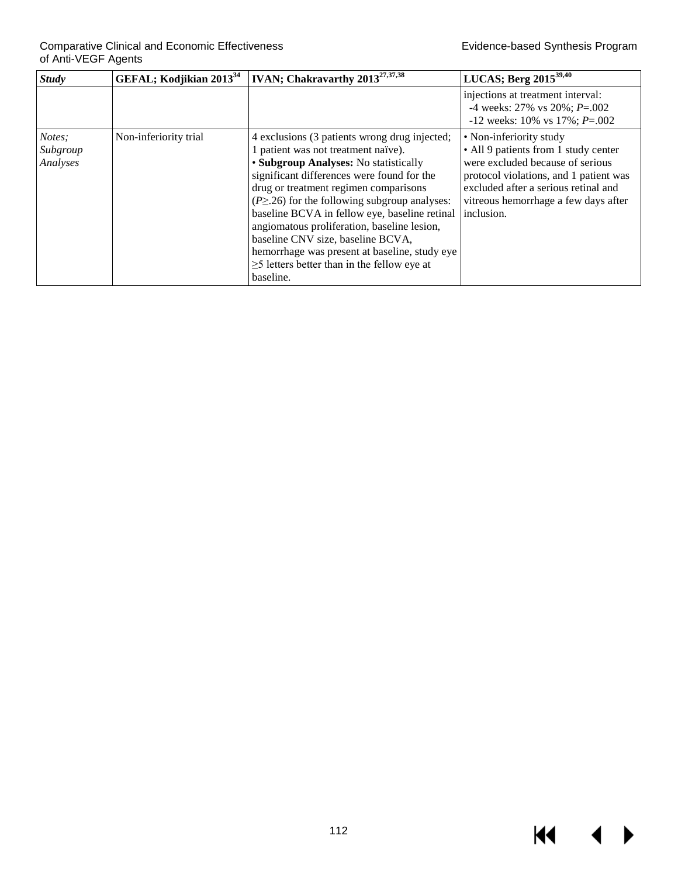$\leftrightarrow$ 

**K** 

| <b>Study</b>                   | GEFAL; Kodjikian 2013 <sup>34</sup> | <b>IVAN; Chakravarthy 2013</b> <sup>27,37,38</sup>                                                                                                                                                                                                                                                                                                                                                                                                                                                                                | LUCAS; Berg 2015 <sup>39,40</sup>                                                                                                                                                                                                           |
|--------------------------------|-------------------------------------|-----------------------------------------------------------------------------------------------------------------------------------------------------------------------------------------------------------------------------------------------------------------------------------------------------------------------------------------------------------------------------------------------------------------------------------------------------------------------------------------------------------------------------------|---------------------------------------------------------------------------------------------------------------------------------------------------------------------------------------------------------------------------------------------|
|                                |                                     |                                                                                                                                                                                                                                                                                                                                                                                                                                                                                                                                   | injections at treatment interval:<br>-4 weeks: $27\%$ vs $20\%$ ; $P=.002$<br>$-12$ weeks: 10% vs 17%; $P = .002$                                                                                                                           |
| Notes;<br>Subgroup<br>Analyses | Non-inferiority trial               | 4 exclusions (3 patients wrong drug injected;<br>1 patient was not treatment naïve).<br>• Subgroup Analyses: No statistically<br>significant differences were found for the<br>drug or treatment regimen comparisons<br>$(P \ge 26)$ for the following subgroup analyses:<br>baseline BCVA in fellow eye, baseline retinal<br>angiomatous proliferation, baseline lesion,<br>baseline CNV size, baseline BCVA,<br>hemorrhage was present at baseline, study eye<br>$\geq$ 5 letters better than in the fellow eye at<br>baseline. | • Non-inferiority study<br>• All 9 patients from 1 study center<br>were excluded because of serious<br>protocol violations, and 1 patient was<br>excluded after a serious retinal and<br>vitreous hemorrhage a few days after<br>inclusion. |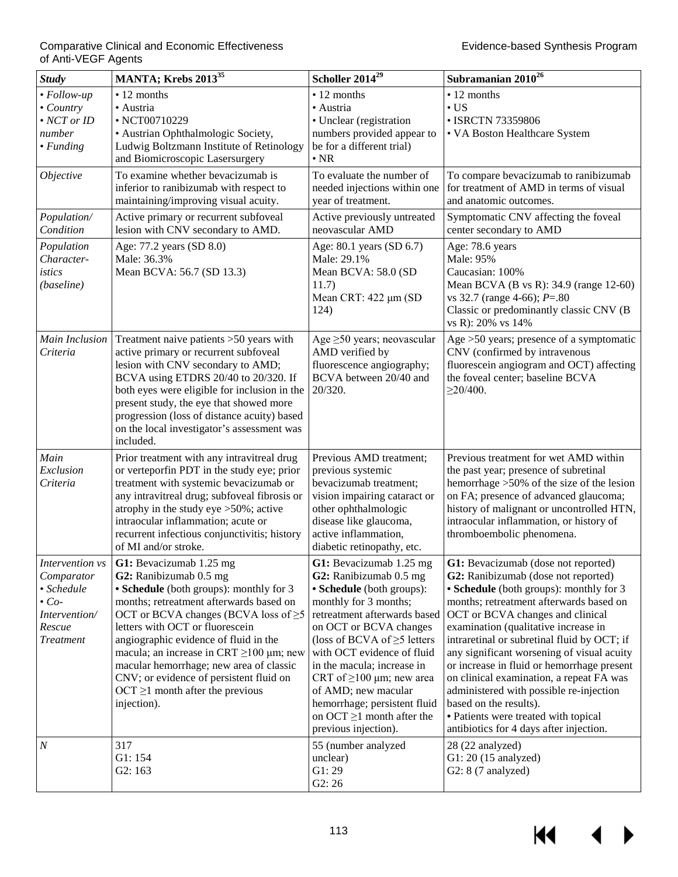| <b>Study</b>                                                                                              | MANTA; Krebs 2013 <sup>35</sup>                                                                                                                                                                                                                                                                                                                                                                                                                                 | Scholler 2014 <sup>29</sup>                                                                                                                                                                                                                                                                                                                                                                                            | Subramanian $2010^{26}$                                                                                                                                                                                                                                                                                                                                                                                                                                                                                                                                                                            |
|-----------------------------------------------------------------------------------------------------------|-----------------------------------------------------------------------------------------------------------------------------------------------------------------------------------------------------------------------------------------------------------------------------------------------------------------------------------------------------------------------------------------------------------------------------------------------------------------|------------------------------------------------------------------------------------------------------------------------------------------------------------------------------------------------------------------------------------------------------------------------------------------------------------------------------------------------------------------------------------------------------------------------|----------------------------------------------------------------------------------------------------------------------------------------------------------------------------------------------------------------------------------------------------------------------------------------------------------------------------------------------------------------------------------------------------------------------------------------------------------------------------------------------------------------------------------------------------------------------------------------------------|
| $\cdot$ Follow-up<br>• Country<br>$\bullet$ NCT or ID<br>number<br>$\cdot$ Funding                        | • 12 months<br>· Austria<br>• NCT00710229<br>· Austrian Ophthalmologic Society,<br>Ludwig Boltzmann Institute of Retinology<br>and Biomicroscopic Lasersurgery                                                                                                                                                                                                                                                                                                  | $\cdot$ 12 months<br>· Austria<br>• Unclear (registration<br>numbers provided appear to<br>be for a different trial)<br>$\cdot$ NR                                                                                                                                                                                                                                                                                     | $\cdot$ 12 months<br>$\bullet$ US<br>• ISRCTN 73359806<br>• VA Boston Healthcare System                                                                                                                                                                                                                                                                                                                                                                                                                                                                                                            |
| Objective                                                                                                 | To examine whether bevacizumab is<br>inferior to ranibizumab with respect to<br>maintaining/improving visual acuity.                                                                                                                                                                                                                                                                                                                                            | To evaluate the number of<br>needed injections within one<br>year of treatment.                                                                                                                                                                                                                                                                                                                                        | To compare bevacizumab to ranibizumab<br>for treatment of AMD in terms of visual<br>and anatomic outcomes.                                                                                                                                                                                                                                                                                                                                                                                                                                                                                         |
| Population/<br>Condition                                                                                  | Active primary or recurrent subfoveal<br>lesion with CNV secondary to AMD.                                                                                                                                                                                                                                                                                                                                                                                      | Active previously untreated<br>neovascular AMD                                                                                                                                                                                                                                                                                                                                                                         | Symptomatic CNV affecting the foveal<br>center secondary to AMD                                                                                                                                                                                                                                                                                                                                                                                                                                                                                                                                    |
| Population<br>Character-<br>istics<br>(baseline)                                                          | Age: 77.2 years (SD 8.0)<br>Male: 36.3%<br>Mean BCVA: 56.7 (SD 13.3)                                                                                                                                                                                                                                                                                                                                                                                            | Age: 80.1 years (SD 6.7)<br>Male: 29.1%<br>Mean BCVA: 58.0 (SD<br>11.7)<br>Mean CRT: 422 μm (SD<br>124)                                                                                                                                                                                                                                                                                                                | Age: 78.6 years<br>Male: 95%<br>Caucasian: 100%<br>Mean BCVA (B vs R): 34.9 (range 12-60)<br>vs 32.7 (range 4-66); $P = .80$<br>Classic or predominantly classic CNV (B<br>vs R): 20% vs 14%                                                                                                                                                                                                                                                                                                                                                                                                       |
| Main Inclusion<br>Criteria                                                                                | Treatment naive patients >50 years with<br>active primary or recurrent subfoveal<br>lesion with CNV secondary to AMD;<br>BCVA using ETDRS 20/40 to 20/320. If<br>both eyes were eligible for inclusion in the<br>present study, the eye that showed more<br>progression (loss of distance acuity) based<br>on the local investigator's assessment was<br>included.                                                                                              | Age $\geq 50$ years; neovascular<br>AMD verified by<br>fluorescence angiography;<br>BCVA between 20/40 and<br>20/320.                                                                                                                                                                                                                                                                                                  | Age $>50$ years; presence of a symptomatic<br>CNV (confirmed by intravenous<br>fluorescein angiogram and OCT) affecting<br>the foveal center; baseline BCVA<br>$\geq$ 20/400.                                                                                                                                                                                                                                                                                                                                                                                                                      |
| Main<br>Exclusion<br>Criteria                                                                             | Prior treatment with any intravitreal drug<br>or verteporfin PDT in the study eye; prior<br>treatment with systemic bevacizumab or<br>any intravitreal drug; subfoveal fibrosis or<br>atrophy in the study eye $>50\%$ ; active<br>intraocular inflammation; acute or<br>recurrent infectious conjunctivitis; history<br>of MI and/or stroke.                                                                                                                   | Previous AMD treatment;<br>previous systemic<br>bevacizumab treatment;<br>vision impairing cataract or<br>other ophthalmologic<br>disease like glaucoma,<br>active inflammation,<br>diabetic retinopathy, etc.                                                                                                                                                                                                         | Previous treatment for wet AMD within<br>the past year; presence of subretinal<br>hemorrhage $>50\%$ of the size of the lesion<br>on FA; presence of advanced glaucoma;<br>history of malignant or uncontrolled HTN,<br>intraocular inflammation, or history of<br>thromboembolic phenomena.                                                                                                                                                                                                                                                                                                       |
| Intervention vs<br>Comparator<br>• Schedule<br>$\cdot$ Co-<br>Intervention/<br>Rescue<br><b>Treatment</b> | G1: Bevacizumab 1.25 mg<br>G2: Ranibizumab 0.5 mg<br>• Schedule (both groups): monthly for 3<br>months; retreatment afterwards based on<br>OCT or BCVA changes (BCVA loss of $\geq$ 5<br>letters with OCT or fluorescein<br>angiographic evidence of fluid in the<br>macula; an increase in CRT $\geq$ 100 µm; new<br>macular hemorrhage; new area of classic<br>CNV; or evidence of persistent fluid on<br>$OCT \ge 1$ month after the previous<br>injection). | G1: Bevacizumab 1.25 mg<br>G2: Ranibizumab 0.5 mg<br>• Schedule (both groups):<br>monthly for 3 months;<br>retreatment afterwards based<br>on OCT or BCVA changes<br>(loss of BCVA of $\geq$ 5 letters<br>with OCT evidence of fluid<br>in the macula; increase in<br>CRT of $\geq$ 100 µm; new area<br>of AMD; new macular<br>hemorrhage; persistent fluid<br>on OCT $\geq$ 1 month after the<br>previous injection). | <b>G1:</b> Bevacizumab (dose not reported)<br>G2: Ranibizumab (dose not reported)<br>• Schedule (both groups): monthly for 3<br>months; retreatment afterwards based on<br>OCT or BCVA changes and clinical<br>examination (qualitative increase in<br>intraretinal or subretinal fluid by OCT; if<br>any significant worsening of visual acuity<br>or increase in fluid or hemorrhage present<br>on clinical examination, a repeat FA was<br>administered with possible re-injection<br>based on the results).<br>• Patients were treated with topical<br>antibiotics for 4 days after injection. |
| $\boldsymbol{N}$                                                                                          | 317<br>G1:154<br>G2:163                                                                                                                                                                                                                                                                                                                                                                                                                                         | 55 (number analyzed<br>unclear)<br>G1:29<br>G2:26                                                                                                                                                                                                                                                                                                                                                                      | 28 (22 analyzed)<br>G1: 20 (15 analyzed)<br>$G2: 8(7)$ analyzed)                                                                                                                                                                                                                                                                                                                                                                                                                                                                                                                                   |

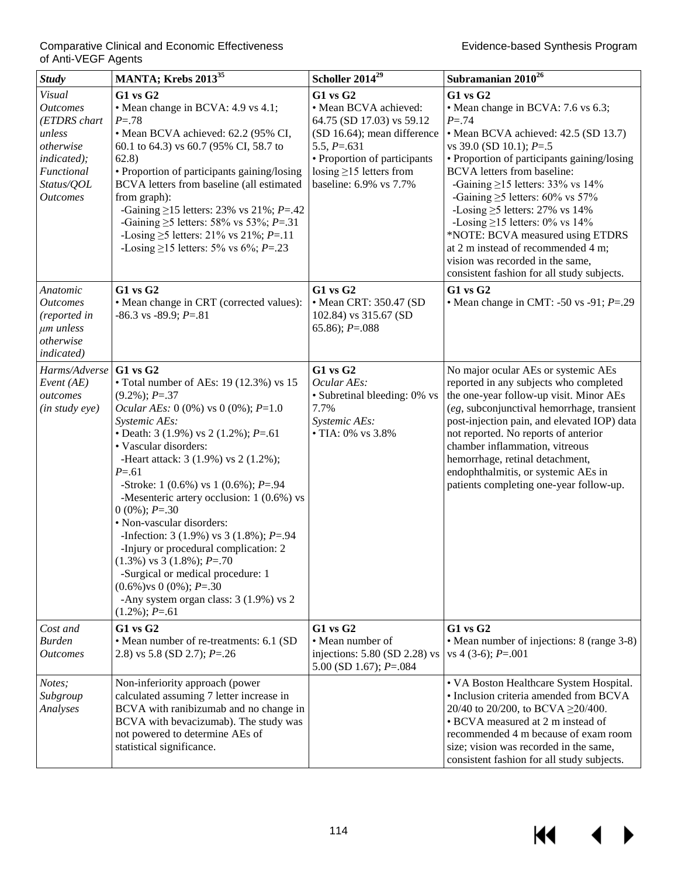#### Comparative Clinical and Economic Effectiveness Evidence-based Synthesis Program of Anti-VEGF Agents

| <b>Study</b>                                                                                                                   | MANTA; Krebs 2013 <sup>35</sup>                                                                                                                                                                                                                                                                                                                                                                                                                                                                                                                                                                                                                                                         | Scholler 2014 <sup>29</sup>                                                                                                                                                                                     | Subramanian $2010^{26}$                                                                                                                                                                                                                                                                                                                                                                                                                                                                                                                                    |
|--------------------------------------------------------------------------------------------------------------------------------|-----------------------------------------------------------------------------------------------------------------------------------------------------------------------------------------------------------------------------------------------------------------------------------------------------------------------------------------------------------------------------------------------------------------------------------------------------------------------------------------------------------------------------------------------------------------------------------------------------------------------------------------------------------------------------------------|-----------------------------------------------------------------------------------------------------------------------------------------------------------------------------------------------------------------|------------------------------------------------------------------------------------------------------------------------------------------------------------------------------------------------------------------------------------------------------------------------------------------------------------------------------------------------------------------------------------------------------------------------------------------------------------------------------------------------------------------------------------------------------------|
| Visual<br><b>Outcomes</b><br>(ETDRS chart<br>unless<br>otherwise<br>indicated);<br>Functional<br>Status/QOL<br><b>Outcomes</b> | $G1$ vs $G2$<br>• Mean change in BCVA: 4.9 vs 4.1;<br>$P = .78$<br>• Mean BCVA achieved: 62.2 (95% CI,<br>60.1 to 64.3) vs 60.7 (95% CI, 58.7 to<br>62.8)<br>• Proportion of participants gaining/losing<br>BCVA letters from baseline (all estimated<br>from graph):<br>-Gaining $\geq$ 15 letters: 23% vs 21%; P=.42<br>-Gaining $\geq$ 5 letters: 58% vs 53%; P=.31<br>-Losing $\geq$ 5 letters: 21% vs 21%; P=.11<br>-Losing $\geq$ 15 letters: 5% vs 6%; P=.23                                                                                                                                                                                                                     | $G1$ vs $G2$<br>· Mean BCVA achieved:<br>64.75 (SD 17.03) vs 59.12<br>(SD 16.64); mean difference<br>5.5, $P = .631$<br>• Proportion of participants<br>losing $\geq$ 15 letters from<br>baseline: 6.9% vs 7.7% | $G1$ vs $G2$<br>• Mean change in BCVA: 7.6 vs 6.3;<br>$P = .74$<br>• Mean BCVA achieved: 42.5 (SD 13.7)<br>vs 39.0 (SD 10.1); $P = .5$<br>• Proportion of participants gaining/losing<br><b>BCVA</b> letters from baseline:<br>-Gaining $\geq$ 15 letters: 33% vs 14%<br>-Gaining $\geq$ 5 letters: 60% vs 57%<br>-Losing $\geq$ 5 letters: 27% vs 14%<br>-Losing $\geq$ 15 letters: 0% vs 14%<br>*NOTE: BCVA measured using ETDRS<br>at 2 m instead of recommended 4 m;<br>vision was recorded in the same,<br>consistent fashion for all study subjects. |
| Anatomic<br><b>Outcomes</b><br>(reported in<br>um unless<br>otherwise<br>indicated)                                            | G1 vs G2<br>• Mean change in CRT (corrected values):<br>$-86.3$ vs $-89.9; P=.81$                                                                                                                                                                                                                                                                                                                                                                                                                                                                                                                                                                                                       | $G1$ vs $G2$<br>• Mean CRT: 350.47 (SD<br>102.84) vs 315.67 (SD<br>65.86); $P=.088$                                                                                                                             | $G1$ vs $G2$<br>• Mean change in CMT: -50 vs -91; $P = .29$                                                                                                                                                                                                                                                                                                                                                                                                                                                                                                |
| Harms/Adverse<br>Event(AE)<br>outcomes<br>$(in$ study $eye)$                                                                   | G1 vs G2<br>• Total number of AEs: 19 (12.3%) vs 15<br>$(9.2\%)$ ; $P = .37$<br><i>Ocular AEs:</i> 0 (0%) vs 0 (0%); $P=1.0$<br>Systemic AEs:<br>• Death: 3 (1.9%) vs 2 (1.2%); $P = 61$<br>• Vascular disorders:<br>-Heart attack: 3 (1.9%) vs 2 (1.2%);<br>$P = .61$<br>-Stroke: $1(0.6\%)$ vs $1(0.6\%)$ ; $P = .94$<br>-Mesenteric artery occlusion: 1 (0.6%) vs<br>$0(0\%)$ ; $P=.30$<br>• Non-vascular disorders:<br>-Infection: 3 (1.9%) vs 3 (1.8%); $P = .94$<br>-Injury or procedural complication: 2<br>$(1.3\%)$ vs 3 $(1.8\%)$ ; P=.70<br>-Surgical or medical procedure: 1<br>$(0.6\%)$ ys 0 (0%); P=.30<br>-Any system organ class: 3 (1.9%) vs 2<br>$(1.2\%)$ ; $P=.61$ | G1 vs G2<br>Ocular AEs:<br>• Subretinal bleeding: 0% vs<br>7.7%<br>Systemic AEs:<br>• TIA: 0% vs 3.8%                                                                                                           | No major ocular AEs or systemic AEs<br>reported in any subjects who completed<br>the one-year follow-up visit. Minor AEs<br>(eg, subconjunctival hemorrhage, transient<br>post-injection pain, and elevated IOP) data<br>not reported. No reports of anterior<br>chamber inflammation, vitreous<br>hemorrhage, retinal detachment,<br>endophthalmitis, or systemic AEs in<br>patients completing one-year follow-up.                                                                                                                                       |
| Cost and<br><b>Burden</b><br><b>Outcomes</b>                                                                                   | $G1$ vs $G2$<br>• Mean number of re-treatments: 6.1 (SD<br>2.8) vs 5.8 (SD 2.7); $P = 26$                                                                                                                                                                                                                                                                                                                                                                                                                                                                                                                                                                                               | $G1$ vs $G2$<br>• Mean number of<br>injections: $5.80$ (SD 2.28) vs<br>5.00 (SD 1.67); $P = 0.084$                                                                                                              | G1 vs G2<br>• Mean number of injections: 8 (range 3-8)<br>vs 4 (3-6); $P=.001$                                                                                                                                                                                                                                                                                                                                                                                                                                                                             |
| Notes;<br>Subgroup<br>Analyses                                                                                                 | Non-inferiority approach (power<br>calculated assuming 7 letter increase in<br>BCVA with ranibizumab and no change in<br>BCVA with bevacizumab). The study was<br>not powered to determine AEs of<br>statistical significance.                                                                                                                                                                                                                                                                                                                                                                                                                                                          |                                                                                                                                                                                                                 | • VA Boston Healthcare System Hospital.<br>• Inclusion criteria amended from BCVA<br>20/40 to 20/200, to BCVA $\geq$ 20/400.<br>• BCVA measured at 2 m instead of<br>recommended 4 m because of exam room<br>size; vision was recorded in the same,<br>consistent fashion for all study subjects.                                                                                                                                                                                                                                                          |

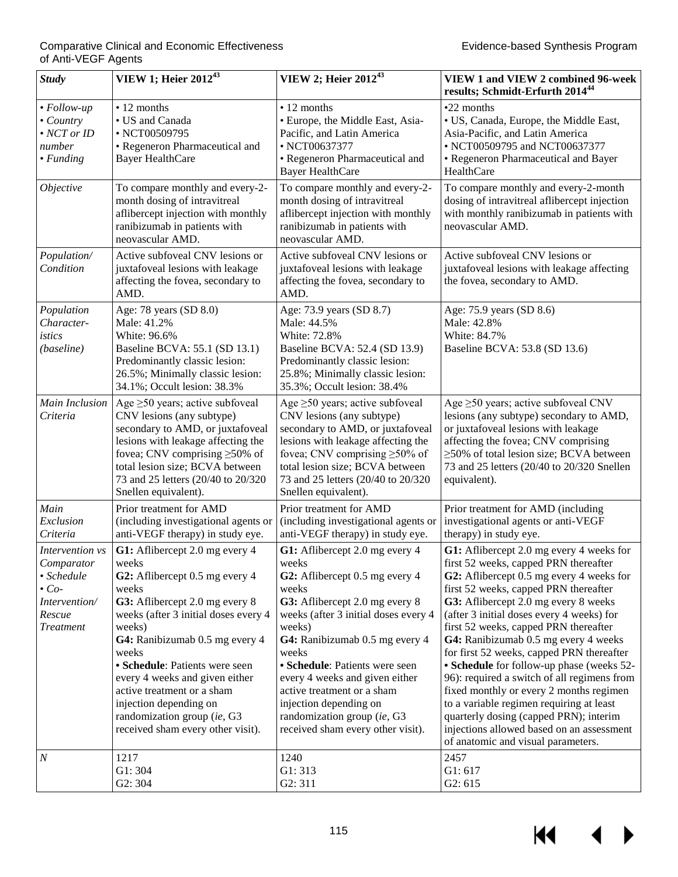| <b>Study</b>                                                                                                    | VIEW 1; Heier 2012 <sup>43</sup>                                                                                                                                                                                                                                                                                                                                                                                  | VIEW 2; Heier 2012 <sup>43</sup>                                                                                                                                                                                                                                                                                                                                                                                  | VIEW 1 and VIEW 2 combined 96-week<br>results; Schmidt-Erfurth 2014 <sup>44</sup>                                                                                                                                                                                                                                                                                                                                                                                                                                                                                                                                                                                                                         |
|-----------------------------------------------------------------------------------------------------------------|-------------------------------------------------------------------------------------------------------------------------------------------------------------------------------------------------------------------------------------------------------------------------------------------------------------------------------------------------------------------------------------------------------------------|-------------------------------------------------------------------------------------------------------------------------------------------------------------------------------------------------------------------------------------------------------------------------------------------------------------------------------------------------------------------------------------------------------------------|-----------------------------------------------------------------------------------------------------------------------------------------------------------------------------------------------------------------------------------------------------------------------------------------------------------------------------------------------------------------------------------------------------------------------------------------------------------------------------------------------------------------------------------------------------------------------------------------------------------------------------------------------------------------------------------------------------------|
| $\cdot$ Follow-up<br>• Country<br>$\bullet$ NCT or ID<br>number<br>$\cdot$ Funding                              | • 12 months<br>• US and Canada<br>• NCT00509795<br>• Regeneron Pharmaceutical and<br><b>Bayer HealthCare</b>                                                                                                                                                                                                                                                                                                      | • 12 months<br>• Europe, the Middle East, Asia-<br>Pacific, and Latin America<br>• NCT00637377<br>• Regeneron Pharmaceutical and<br><b>Bayer HealthCare</b>                                                                                                                                                                                                                                                       | $•22$ months<br>• US, Canada, Europe, the Middle East,<br>Asia-Pacific, and Latin America<br>• NCT00509795 and NCT00637377<br>• Regeneron Pharmaceutical and Bayer<br>HealthCare                                                                                                                                                                                                                                                                                                                                                                                                                                                                                                                          |
| Objective                                                                                                       | To compare monthly and every-2-<br>month dosing of intravitreal<br>aflibercept injection with monthly<br>ranibizumab in patients with<br>neovascular AMD.                                                                                                                                                                                                                                                         | To compare monthly and every-2-<br>month dosing of intravitreal<br>aflibercept injection with monthly<br>ranibizumab in patients with<br>neovascular AMD.                                                                                                                                                                                                                                                         | To compare monthly and every-2-month<br>dosing of intravitreal aflibercept injection<br>with monthly ranibizumab in patients with<br>neovascular AMD.                                                                                                                                                                                                                                                                                                                                                                                                                                                                                                                                                     |
| Population/<br>Condition                                                                                        | Active subfoveal CNV lesions or<br>juxtafoveal lesions with leakage<br>affecting the fovea, secondary to<br>AMD.                                                                                                                                                                                                                                                                                                  | Active subfoveal CNV lesions or<br>juxtafoveal lesions with leakage<br>affecting the fovea, secondary to<br>AMD.                                                                                                                                                                                                                                                                                                  | Active subfoveal CNV lesions or<br>juxtafoveal lesions with leakage affecting<br>the fovea, secondary to AMD.                                                                                                                                                                                                                                                                                                                                                                                                                                                                                                                                                                                             |
| Population<br>Character-<br>istics<br>(baseline)                                                                | Age: $78$ years $(SD 8.0)$<br>Male: 41.2%<br>White: 96.6%<br>Baseline BCVA: 55.1 (SD 13.1)<br>Predominantly classic lesion:<br>26.5%; Minimally classic lesion:<br>34.1%; Occult lesion: 38.3%                                                                                                                                                                                                                    | Age: 73.9 years (SD 8.7)<br>Male: 44.5%<br>White: 72.8%<br>Baseline BCVA: 52.4 (SD 13.9)<br>Predominantly classic lesion:<br>25.8%; Minimally classic lesion:<br>35.3%; Occult lesion: 38.4%                                                                                                                                                                                                                      | Age: 75.9 years (SD 8.6)<br>Male: 42.8%<br>White: 84.7%<br>Baseline BCVA: 53.8 (SD 13.6)                                                                                                                                                                                                                                                                                                                                                                                                                                                                                                                                                                                                                  |
| Main Inclusion<br>Criteria                                                                                      | Age $\geq$ 50 years; active subfoveal<br>CNV lesions (any subtype)<br>secondary to AMD, or juxtafoveal<br>lesions with leakage affecting the<br>fovea; CNV comprising $\geq 50\%$ of<br>total lesion size; BCVA between<br>73 and 25 letters (20/40 to 20/320<br>Snellen equivalent).                                                                                                                             | Age $\geq$ 50 years; active subfoveal<br>CNV lesions (any subtype)<br>secondary to AMD, or juxtafoveal<br>lesions with leakage affecting the<br>fovea; CNV comprising $\geq 50\%$ of<br>total lesion size; BCVA between<br>73 and 25 letters (20/40 to 20/320<br>Snellen equivalent).                                                                                                                             | Age $\geq$ 50 years; active subfoveal CNV<br>lesions (any subtype) secondary to AMD,<br>or juxtafoveal lesions with leakage<br>affecting the fovea; CNV comprising<br>$\geq$ 50% of total lesion size; BCVA between<br>73 and 25 letters (20/40 to 20/320 Snellen<br>equivalent).                                                                                                                                                                                                                                                                                                                                                                                                                         |
| Main<br>Exclusion<br>Criteria                                                                                   | Prior treatment for AMD<br>(including investigational agents or<br>anti-VEGF therapy) in study eye.                                                                                                                                                                                                                                                                                                               | Prior treatment for AMD<br>(including investigational agents or<br>anti-VEGF therapy) in study eye.                                                                                                                                                                                                                                                                                                               | Prior treatment for AMD (including<br>investigational agents or anti-VEGF<br>therapy) in study eye.                                                                                                                                                                                                                                                                                                                                                                                                                                                                                                                                                                                                       |
| Intervention vs<br>Comparator<br>$\cdot$ Schedule<br>$\cdot$ Co-<br>Intervention/<br>Rescue<br><b>Treatment</b> | G1: Aflibercept 2.0 mg every 4<br>weeks<br>G2: Aflibercept 0.5 mg every 4<br>weeks<br>G3: Aflibercept 2.0 mg every 8<br>weeks (after 3 initial doses every 4<br>weeks)<br>G4: Ranibizumab 0.5 mg every 4<br>weeks<br>• Schedule: Patients were seen<br>every 4 weeks and given either<br>active treatment or a sham<br>injection depending on<br>randomization group (ie, G3<br>received sham every other visit). | G1: Aflibercept 2.0 mg every 4<br>weeks<br>G2: Aflibercept 0.5 mg every 4<br>weeks<br>G3: Aflibercept 2.0 mg every 8<br>weeks (after 3 initial doses every 4<br>weeks)<br>G4: Ranibizumab 0.5 mg every 4<br>weeks<br>• Schedule: Patients were seen<br>every 4 weeks and given either<br>active treatment or a sham<br>injection depending on<br>randomization group (ie, G3<br>received sham every other visit). | G1: Aflibercept 2.0 mg every 4 weeks for<br>first 52 weeks, capped PRN thereafter<br>G2: Aflibercept 0.5 mg every 4 weeks for<br>first 52 weeks, capped PRN thereafter<br>G3: Aflibercept 2.0 mg every 8 weeks<br>(after 3 initial doses every 4 weeks) for<br>first 52 weeks, capped PRN thereafter<br>G4: Ranibizumab 0.5 mg every 4 weeks<br>for first 52 weeks, capped PRN thereafter<br>• Schedule for follow-up phase (weeks 52-<br>96): required a switch of all regimens from<br>fixed monthly or every 2 months regimen<br>to a variable regimen requiring at least<br>quarterly dosing (capped PRN); interim<br>injections allowed based on an assessment<br>of anatomic and visual parameters. |
| $\boldsymbol{N}$                                                                                                | 1217<br>G1: 304<br>G2: 304                                                                                                                                                                                                                                                                                                                                                                                        | 1240<br>G1: 313<br>G2: 311                                                                                                                                                                                                                                                                                                                                                                                        | 2457<br>G1:617<br>G2:615                                                                                                                                                                                                                                                                                                                                                                                                                                                                                                                                                                                                                                                                                  |

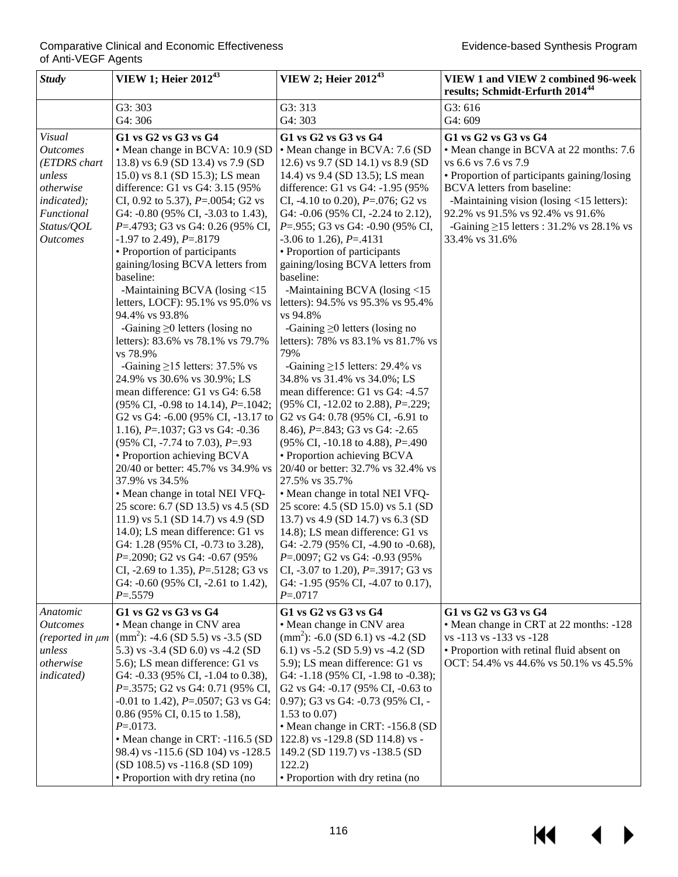|                                                                                                                                                                                                                                                                                                                                                                                                                                                                                                                                                                                                                                                                                                                                                                                                                                                                                                                                                                                                                                                                                                                                                                                                                                                   |                                                                                                                                                                                                                                                                                                                                                                                                                                                                                                                                                                                                                                                                                                                                                                                                                                                                                                                                                                                                                                                                                                                                                                                                                                                | VIEW 1 and VIEW 2 combined 96-week<br>results; Schmidt-Erfurth 201444                                                                                                                                                                                                                                                      |
|---------------------------------------------------------------------------------------------------------------------------------------------------------------------------------------------------------------------------------------------------------------------------------------------------------------------------------------------------------------------------------------------------------------------------------------------------------------------------------------------------------------------------------------------------------------------------------------------------------------------------------------------------------------------------------------------------------------------------------------------------------------------------------------------------------------------------------------------------------------------------------------------------------------------------------------------------------------------------------------------------------------------------------------------------------------------------------------------------------------------------------------------------------------------------------------------------------------------------------------------------|------------------------------------------------------------------------------------------------------------------------------------------------------------------------------------------------------------------------------------------------------------------------------------------------------------------------------------------------------------------------------------------------------------------------------------------------------------------------------------------------------------------------------------------------------------------------------------------------------------------------------------------------------------------------------------------------------------------------------------------------------------------------------------------------------------------------------------------------------------------------------------------------------------------------------------------------------------------------------------------------------------------------------------------------------------------------------------------------------------------------------------------------------------------------------------------------------------------------------------------------|----------------------------------------------------------------------------------------------------------------------------------------------------------------------------------------------------------------------------------------------------------------------------------------------------------------------------|
| G3: 303<br>G4: 306                                                                                                                                                                                                                                                                                                                                                                                                                                                                                                                                                                                                                                                                                                                                                                                                                                                                                                                                                                                                                                                                                                                                                                                                                                | G3: 313<br>G4: 303                                                                                                                                                                                                                                                                                                                                                                                                                                                                                                                                                                                                                                                                                                                                                                                                                                                                                                                                                                                                                                                                                                                                                                                                                             | G3:616<br>G4: 609                                                                                                                                                                                                                                                                                                          |
| G1 vs G2 vs G3 vs G4<br>• Mean change in BCVA: 10.9 (SD<br>13.8) vs 6.9 (SD 13.4) vs 7.9 (SD<br>15.0) vs 8.1 (SD 15.3); LS mean<br>difference: G1 vs G4: 3.15 (95%)<br>CI, 0.92 to 5.37), $P = .0054$ ; G2 vs<br>G4: -0.80 (95% CI, -3.03 to 1.43),<br>P=.4793; G3 vs G4: 0.26 (95% CI,<br>$-1.97$ to 2.49), $P = .8179$<br>• Proportion of participants<br>gaining/losing BCVA letters from<br>baseline:<br>-Maintaining BCVA (losing <15<br>letters, LOCF): 95.1% vs 95.0% vs<br>94.4% vs 93.8%<br>-Gaining $\geq 0$ letters (losing no<br>letters): 83.6% vs 78.1% vs 79.7%<br>vs 78.9%<br>-Gaining $\geq$ 15 letters: 37.5% vs<br>24.9% vs 30.6% vs 30.9%; LS<br>mean difference: G1 vs G4: 6.58<br>(95% CI, -0.98 to 14.14), $P = 1042$ ;<br>1.16), $P = 1037$ ; G3 vs G4: -0.36<br>$(95\% \text{ CI}, -7.74 \text{ to } 7.03), P = .93$<br>• Proportion achieving BCVA<br>20/40 or better: 45.7% vs 34.9% vs<br>37.9% vs 34.5%<br>• Mean change in total NEI VFQ-<br>25 score: 6.7 (SD 13.5) vs 4.5 (SD<br>11.9) vs 5.1 (SD 14.7) vs 4.9 (SD<br>14.0); LS mean difference: G1 vs<br>G4: 1.28 (95% CI, -0.73 to 3.28),<br>$P = 2090$ ; G2 vs G4: -0.67 (95%)<br>CI, -2.69 to 1.35), $P = 5128$ ; G3 vs<br>G4: -0.60 (95% CI, -2.61 to 1.42), | G1 vs G2 vs G3 vs G4<br>• Mean change in BCVA: 7.6 (SD<br>12.6) vs 9.7 (SD 14.1) vs 8.9 (SD<br>14.4) vs 9.4 (SD 13.5); LS mean<br>difference: G1 vs G4: -1.95 (95%)<br>CI, -4.10 to 0.20), $P = 0.076$ ; G2 vs<br>G4: $-0.06$ (95% CI, $-2.24$ to 2.12),<br>P=.955; G3 vs G4: -0.90 (95% CI,<br>$-3.06$ to 1.26), P=.4131<br>• Proportion of participants<br>gaining/losing BCVA letters from<br>baseline:<br>-Maintaining BCVA (losing <15<br>letters): 94.5% vs 95.3% vs 95.4%<br>vs 94.8%<br>-Gaining $\geq 0$ letters (losing no<br>letters): 78% vs 83.1% vs 81.7% vs<br>79%<br>-Gaining $\geq$ 15 letters: 29.4% vs<br>34.8% vs 31.4% vs 34.0%; LS<br>mean difference: G1 vs G4: -4.57<br>$(95\% \text{ CI}, -12.02 \text{ to } 2.88), P = 229;$<br>8.46), $P = 843$ ; G3 vs G4: -2.65<br>(95% CI, -10.18 to 4.88), $P = .490$<br>• Proportion achieving BCVA<br>20/40 or better: 32.7% vs 32.4% vs<br>27.5% vs 35.7%<br>• Mean change in total NEI VFQ-<br>25 score: 4.5 (SD 15.0) vs 5.1 (SD<br>13.7) vs 4.9 (SD 14.7) vs 6.3 (SD<br>14.8); LS mean difference: G1 vs<br>G4: -2.79 (95% CI, -4.90 to -0.68),<br>$P = 0.0097$ ; G2 vs G4: -0.93 (95%)<br>CI, -3.07 to 1.20), $P = 0.3917$ ; G3 vs<br>G4: -1.95 (95% CI, -4.07 to 0.17), | G1 vs G2 vs G3 vs G4<br>• Mean change in BCVA at 22 months: 7.6<br>vs 6.6 vs 7.6 vs 7.9<br>• Proportion of participants gaining/losing<br>BCVA letters from baseline:<br>-Maintaining vision (losing <15 letters):<br>92.2% vs 91.5% vs 92.4% vs 91.6%<br>-Gaining $\geq$ 15 letters : 31.2% vs 28.1% vs<br>33.4% vs 31.6% |
| G1 vs G2 vs G3 vs G4<br>• Mean change in CNV area<br>$(mm2)$ : -4.6 (SD 5.5) vs -3.5 (SD<br>5.3) vs -3.4 (SD 6.0) vs -4.2 (SD<br>5.6); LS mean difference: G1 vs<br>G4: -0.33 (95% CI, -1.04 to 0.38),<br>P=.3575; G2 vs G4: 0.71 (95% CI,<br>$-0.01$ to 1.42), $P = 0.0507$ ; G3 vs G4:<br>0.86 (95% CI, 0.15 to 1.58),<br>$P = 0173.$<br>• Mean change in CRT: -116.5 (SD<br>98.4) vs -115.6 (SD 104) vs -128.5                                                                                                                                                                                                                                                                                                                                                                                                                                                                                                                                                                                                                                                                                                                                                                                                                                 | G1 vs G2 vs G3 vs G4<br>• Mean change in CNV area<br>$(mm^2)$ : -6.0 (SD 6.1) vs -4.2 (SD<br>6.1) vs $-5.2$ (SD 5.9) vs $-4.2$ (SD<br>5.9); LS mean difference: G1 vs<br>G4: -1.18 (95% CI, -1.98 to -0.38);<br>G2 vs G4: -0.17 (95% CI, -0.63 to<br>1.53 to $0.07$ )<br>• Mean change in CRT: -156.8 (SD<br>122.8) vs -129.8 (SD 114.8) vs -<br>149.2 (SD 119.7) vs -138.5 (SD                                                                                                                                                                                                                                                                                                                                                                                                                                                                                                                                                                                                                                                                                                                                                                                                                                                                | G1 vs G2 vs G3 vs G4<br>• Mean change in CRT at 22 months: -128<br>vs -113 vs -133 vs -128<br>• Proportion with retinal fluid absent on<br>OCT: 54.4% vs 44.6% vs 50.1% vs 45.5%                                                                                                                                           |
|                                                                                                                                                                                                                                                                                                                                                                                                                                                                                                                                                                                                                                                                                                                                                                                                                                                                                                                                                                                                                                                                                                                                                                                                                                                   | $P = 0.5579$<br>(SD 108.5) vs -116.8 (SD 109)<br>• Proportion with dry retina (no                                                                                                                                                                                                                                                                                                                                                                                                                                                                                                                                                                                                                                                                                                                                                                                                                                                                                                                                                                                                                                                                                                                                                              | G2 vs G4: -6.00 (95% CI, -13.17 to G2 vs G4: 0.78 (95% CI, -6.91 to<br>$P = 0717$<br>0.97); G3 vs G4: -0.73 (95% CI, -<br>122.2)<br>• Proportion with dry retina (no                                                                                                                                                       |

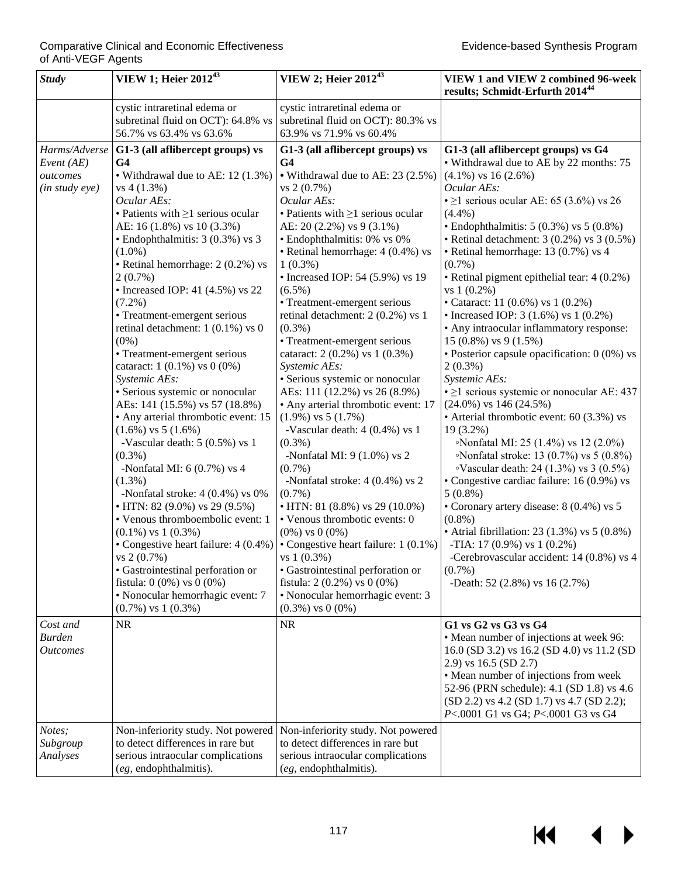| <b>Study</b>                                                    | VIEW 1; Heier 2012 <sup>43</sup>                                                                                                                                                                                                                                                                                                                                                                                                                                                                                                                                                                                                                                                                                                                                                                                                                                                                                                                                                                                                                                                                         | VIEW 2; Heier 201243                                                                                                                                                                                                                                                                                                                                                                                                                                                                                                                                                                                                                                                                                                                                                                                                                                                                                                                                                                                                                                                                                    | VIEW 1 and VIEW 2 combined 96-week<br>results; Schmidt-Erfurth 2014 <sup>44</sup>                                                                                                                                                                                                                                                                                                                                                                                                                                                                                                                                                                                                                                                                                                                                                                                                                                                                                                                                                                                                                                                                                                                                                                                 |
|-----------------------------------------------------------------|----------------------------------------------------------------------------------------------------------------------------------------------------------------------------------------------------------------------------------------------------------------------------------------------------------------------------------------------------------------------------------------------------------------------------------------------------------------------------------------------------------------------------------------------------------------------------------------------------------------------------------------------------------------------------------------------------------------------------------------------------------------------------------------------------------------------------------------------------------------------------------------------------------------------------------------------------------------------------------------------------------------------------------------------------------------------------------------------------------|---------------------------------------------------------------------------------------------------------------------------------------------------------------------------------------------------------------------------------------------------------------------------------------------------------------------------------------------------------------------------------------------------------------------------------------------------------------------------------------------------------------------------------------------------------------------------------------------------------------------------------------------------------------------------------------------------------------------------------------------------------------------------------------------------------------------------------------------------------------------------------------------------------------------------------------------------------------------------------------------------------------------------------------------------------------------------------------------------------|-------------------------------------------------------------------------------------------------------------------------------------------------------------------------------------------------------------------------------------------------------------------------------------------------------------------------------------------------------------------------------------------------------------------------------------------------------------------------------------------------------------------------------------------------------------------------------------------------------------------------------------------------------------------------------------------------------------------------------------------------------------------------------------------------------------------------------------------------------------------------------------------------------------------------------------------------------------------------------------------------------------------------------------------------------------------------------------------------------------------------------------------------------------------------------------------------------------------------------------------------------------------|
|                                                                 | cystic intraretinal edema or<br>subretinal fluid on OCT): 64.8% vs<br>56.7% vs 63.4% vs 63.6%                                                                                                                                                                                                                                                                                                                                                                                                                                                                                                                                                                                                                                                                                                                                                                                                                                                                                                                                                                                                            | cystic intraretinal edema or<br>subretinal fluid on OCT): 80.3% vs<br>63.9% vs 71.9% vs 60.4%                                                                                                                                                                                                                                                                                                                                                                                                                                                                                                                                                                                                                                                                                                                                                                                                                                                                                                                                                                                                           |                                                                                                                                                                                                                                                                                                                                                                                                                                                                                                                                                                                                                                                                                                                                                                                                                                                                                                                                                                                                                                                                                                                                                                                                                                                                   |
| Harms/Adverse<br>Event $(AE)$<br>outcomes<br>$(in$ study $eye)$ | G1-3 (all aflibercept groups) vs<br>G <sub>4</sub><br>• Withdrawal due to AE: 12 (1.3%)<br>vs 4(1.3%)<br>Ocular AEs:<br>• Patients with $\geq 1$ serious ocular<br>AE: 16 (1.8%) vs 10 (3.3%)<br>• Endophthalmitis: 3 (0.3%) vs 3<br>$(1.0\%)$<br>• Retinal hemorrhage: 2 (0.2%) vs<br>$2(0.7\%)$<br>$\bullet$ Increased IOP: 41 (4.5%) vs 22<br>$(7.2\%)$<br>• Treatment-emergent serious<br>retinal detachment: $1(0.1\%)$ vs 0<br>$(0\%)$<br>• Treatment-emergent serious<br>cataract: $1(0.1\%)$ vs $0(0\%)$<br>Systemic AEs:<br>· Serious systemic or nonocular<br>AEs: 141 (15.5%) vs 57 (18.8%)<br>• Any arterial thrombotic event: 15<br>$(1.6\%)$ vs 5 $(1.6\%)$<br>-Vascular death: $5(0.5\%)$ vs 1<br>$(0.3\%)$<br>-Nonfatal MI: $6(0.7%)$ vs 4<br>(1.3%)<br>-Nonfatal stroke: $4(0.4\%)$ vs 0%<br>• HTN: 82 (9.0%) vs 29 (9.5%)<br>• Venous thromboembolic event: 1<br>$(0.1\%)$ vs 1 $(0.3\%)$<br>· Congestive heart failure: 4 (0.4%)<br>vs 2 (0.7%)<br>· Gastrointestinal perforation or<br>fistula: $0(0\%)$ vs $0(0\%)$<br>• Nonocular hemorrhagic event: 7<br>$(0.7\%)$ vs 1 $(0.3\%)$ | G1-3 (all aflibercept groups) vs<br>G <sub>4</sub><br>• Withdrawal due to AE: 23 (2.5%)<br>vs 2 (0.7%)<br>Ocular AEs:<br>• Patients with $\geq 1$ serious ocular<br>AE: $20(2.2\%)$ vs $9(3.1\%)$<br>• Endophthalmitis: 0% vs 0%<br>• Retinal hemorrhage: 4 (0.4%) vs<br>$1(0.3\%)$<br>$\bullet$ Increased IOP: 54 (5.9%) vs 19<br>$(6.5\%)$<br>• Treatment-emergent serious<br>retinal detachment: 2 (0.2%) vs 1<br>$(0.3\%)$<br>• Treatment-emergent serious<br>cataract: 2 (0.2%) vs 1 (0.3%)<br>Systemic AEs:<br>• Serious systemic or nonocular<br>AEs: 111 (12.2%) vs 26 (8.9%)<br>• Any arterial thrombotic event: 17<br>$(1.9\%)$ vs 5 $(1.7\%)$<br>-Vascular death: $4(0.4\%)$ vs 1<br>$(0.3\%)$<br>-Nonfatal MI: $9(1.0\%)$ vs 2<br>$(0.7\%)$<br>-Nonfatal stroke: $4(0.4\%)$ vs 2<br>$(0.7\%)$<br>$\bullet$ HTN: 81 (8.8%) vs 29 (10.0%)<br>• Venous thrombotic events: 0<br>$(0\%)$ vs $0(0\%)$<br>• Congestive heart failure: 1 (0.1%)<br>vs 1 (0.3%)<br>· Gastrointestinal perforation or<br>fistula: $2(0.2\%)$ vs $0(0\%)$<br>• Nonocular hemorrhagic event: 3<br>$(0.3\%)$ vs $0(0\%)$ | G1-3 (all aflibercept groups) vs G4<br>• Withdrawal due to AE by 22 months: 75<br>$(4.1\%)$ vs 16 $(2.6\%)$<br>Ocular AEs:<br>• $\geq$ 1 serious ocular AE: 65 (3.6%) vs 26<br>$(4.4\%)$<br>• Endophthalmitis: $5(0.3\%)$ vs $5(0.8\%)$<br>• Retinal detachment: $3(0.2\%)$ vs $3(0.5\%)$<br>• Retinal hemorrhage: 13 (0.7%) vs 4<br>$(0.7\%)$<br>• Retinal pigment epithelial tear: 4 (0.2%)<br>vs $1(0.2\%)$<br>• Cataract: 11 $(0.6\%)$ vs 1 $(0.2\%)$<br>• Increased IOP: $3(1.6%)$ vs $1(0.2%)$<br>• Any intraocular inflammatory response:<br>15 (0.8%) vs 9 (1.5%)<br>$\bullet$ Posterior capsule opacification: 0 (0%) vs<br>$2(0.3\%)$<br>Systemic AEs:<br>$\cdot$ >1 serious systemic or nonocular AE: 437<br>$(24.0\%)$ vs 146 $(24.5\%)$<br>• Arterial thrombotic event: 60 (3.3%) vs<br>19 (3.2%)<br>. Nonfatal MI: 25 (1.4%) vs 12 (2.0%)<br>•Nonfatal stroke: 13 (0.7%) vs 5 (0.8%)<br>$\cdot$ Vascular death: 24 (1.3%) vs 3 (0.5%)<br>• Congestive cardiac failure: 16 (0.9%) vs<br>$5(0.8\%)$<br>• Coronary artery disease: 8 (0.4%) vs 5<br>$(0.8\%)$<br>• Atrial fibrillation: 23 $(1.3\%)$ vs 5 $(0.8\%)$<br>-TIA: $17(0.9\%)$ vs $1(0.2\%)$<br>-Cerebrovascular accident: 14 (0.8%) vs 4<br>$(0.7\%)$<br>-Death: $52(2.8\%)$ vs $16(2.7\%)$ |
| Cost and<br><b>Burden</b><br><b>Outcomes</b>                    | NR                                                                                                                                                                                                                                                                                                                                                                                                                                                                                                                                                                                                                                                                                                                                                                                                                                                                                                                                                                                                                                                                                                       | <b>NR</b>                                                                                                                                                                                                                                                                                                                                                                                                                                                                                                                                                                                                                                                                                                                                                                                                                                                                                                                                                                                                                                                                                               | G1 vs G2 vs G3 vs G4<br>• Mean number of injections at week 96:<br>16.0 (SD 3.2) vs 16.2 (SD 4.0) vs 11.2 (SD<br>2.9) vs 16.5 (SD 2.7)<br>• Mean number of injections from week<br>52-96 (PRN schedule): 4.1 (SD 1.8) vs 4.6<br>(SD 2.2) vs 4.2 (SD 1.7) vs 4.7 (SD 2.2);<br>P<.0001 G1 vs G4; P<.0001 G3 vs G4                                                                                                                                                                                                                                                                                                                                                                                                                                                                                                                                                                                                                                                                                                                                                                                                                                                                                                                                                   |
| Notes;<br>Subgroup<br>Analyses                                  | Non-inferiority study. Not powered<br>to detect differences in rare but<br>serious intraocular complications<br>(eg, endophthalmitis).                                                                                                                                                                                                                                                                                                                                                                                                                                                                                                                                                                                                                                                                                                                                                                                                                                                                                                                                                                   | Non-inferiority study. Not powered<br>to detect differences in rare but<br>serious intraocular complications<br>(eg, endophthalmitis).                                                                                                                                                                                                                                                                                                                                                                                                                                                                                                                                                                                                                                                                                                                                                                                                                                                                                                                                                                  |                                                                                                                                                                                                                                                                                                                                                                                                                                                                                                                                                                                                                                                                                                                                                                                                                                                                                                                                                                                                                                                                                                                                                                                                                                                                   |

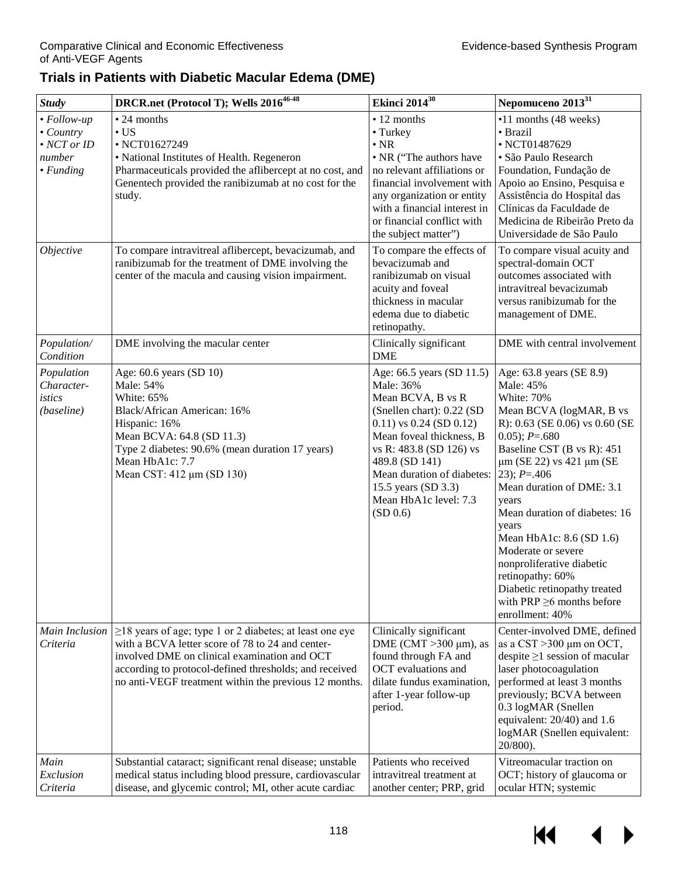# **Trials in Patients with Diabetic Macular Edema (DME)**

| <b>Study</b>                                                                       | DRCR.net (Protocol T); Wells 2016 <sup>46-48</sup>                                                                                                                                                                                                                                    | Ekinci 2014 <sup>30</sup>                                                                                                                                                                                                                                                                       | Nepomuceno 2013 <sup>31</sup>                                                                                                                                                                                                                                                                                                                                                                                                                                                                           |
|------------------------------------------------------------------------------------|---------------------------------------------------------------------------------------------------------------------------------------------------------------------------------------------------------------------------------------------------------------------------------------|-------------------------------------------------------------------------------------------------------------------------------------------------------------------------------------------------------------------------------------------------------------------------------------------------|---------------------------------------------------------------------------------------------------------------------------------------------------------------------------------------------------------------------------------------------------------------------------------------------------------------------------------------------------------------------------------------------------------------------------------------------------------------------------------------------------------|
| $\cdot$ Follow-up<br>• Country<br>$\bullet$ NCT or ID<br>number<br>$\cdot$ Funding | $\bullet$ 24 months<br>$\cdot$ US<br>• NCT01627249<br>• National Institutes of Health. Regeneron<br>Pharmaceuticals provided the aflibercept at no cost, and<br>Genentech provided the ranibizumab at no cost for the<br>study.                                                       | $\cdot$ 12 months<br>• Turkey<br>$\bullet$ NR<br>• NR ("The authors have<br>no relevant affiliations or<br>financial involvement with<br>any organization or entity<br>with a financial interest in<br>or financial conflict with<br>the subject matter")                                       | $\cdot$ 11 months (48 weeks)<br>• Brazil<br>• NCT01487629<br>• São Paulo Research<br>Foundation, Fundação de<br>Apoio ao Ensino, Pesquisa e<br>Assistência do Hospital das<br>Clínicas da Faculdade de<br>Medicina de Ribeirão Preto da<br>Universidade de São Paulo                                                                                                                                                                                                                                    |
| Objective                                                                          | To compare intravitreal aflibercept, bevacizumab, and<br>ranibizumab for the treatment of DME involving the<br>center of the macula and causing vision impairment.                                                                                                                    | To compare the effects of<br>bevacizumab and<br>ranibizumab on visual<br>acuity and foveal<br>thickness in macular<br>edema due to diabetic<br>retinopathy.                                                                                                                                     | To compare visual acuity and<br>spectral-domain OCT<br>outcomes associated with<br>intravitreal bevacizumab<br>versus ranibizumab for the<br>management of DME.                                                                                                                                                                                                                                                                                                                                         |
| Population/<br>Condition                                                           | DME involving the macular center                                                                                                                                                                                                                                                      | Clinically significant<br><b>DME</b>                                                                                                                                                                                                                                                            | DME with central involvement                                                                                                                                                                                                                                                                                                                                                                                                                                                                            |
| Population<br>Character-<br>istics<br>(baseline)                                   | Age: 60.6 years (SD 10)<br>Male: 54%<br>White: 65%<br>Black/African American: 16%<br>Hispanic: 16%<br>Mean BCVA: 64.8 (SD 11.3)<br>Type 2 diabetes: 90.6% (mean duration 17 years)<br>Mean HbA1c: 7.7<br>Mean CST: 412 μm (SD 130)                                                    | Age: 66.5 years (SD 11.5)<br>Male: 36%<br>Mean BCVA, B vs R<br>(Snellen chart): 0.22 (SD)<br>$0.11$ ) vs $0.24$ (SD $0.12$ )<br>Mean foveal thickness, B<br>vs R: 483.8 (SD 126) vs<br>489.8 (SD 141)<br>Mean duration of diabetes:<br>15.5 years (SD 3.3)<br>Mean HbA1c level: 7.3<br>(SD 0.6) | Age: 63.8 years (SE 8.9)<br>Male: 45%<br>White: 70%<br>Mean BCVA (logMAR, B vs<br>R): 0.63 (SE 0.06) vs 0.60 (SE<br>$0.05$ ; $P = .680$<br>Baseline CST (B vs R): 451<br>$\mu$ m (SE 22) vs 421 $\mu$ m (SE<br>23); $P = .406$<br>Mean duration of DME: 3.1<br>years<br>Mean duration of diabetes: 16<br>years<br>Mean HbA1c: 8.6 (SD 1.6)<br>Moderate or severe<br>nonproliferative diabetic<br>retinopathy: 60%<br>Diabetic retinopathy treated<br>with PRP $\geq$ 6 months before<br>enrollment: 40% |
| Main Inclusion<br>Criteria                                                         | $\geq$ 18 years of age; type 1 or 2 diabetes; at least one eye<br>with a BCVA letter score of 78 to 24 and center-<br>involved DME on clinical examination and OCT<br>according to protocol-defined thresholds; and received<br>no anti-VEGF treatment within the previous 12 months. | Clinically significant<br>DME (CMT $>300 \mu m$ ), as<br>found through FA and<br>OCT evaluations and<br>dilate fundus examination.<br>after 1-year follow-up<br>period.                                                                                                                         | Center-involved DME, defined<br>as a CST $>300 \mu m$ on OCT,<br>despite $\geq$ 1 session of macular<br>laser photocoagulation<br>performed at least 3 months<br>previously; BCVA between<br>0.3 logMAR (Snellen<br>equivalent: 20/40) and 1.6<br>logMAR (Snellen equivalent:<br>20/800).                                                                                                                                                                                                               |
| Main<br>Exclusion<br>Criteria                                                      | Substantial cataract; significant renal disease; unstable<br>medical status including blood pressure, cardiovascular<br>disease, and glycemic control; MI, other acute cardiac                                                                                                        | Patients who received<br>intravitreal treatment at<br>another center; PRP, grid                                                                                                                                                                                                                 | Vitreomacular traction on<br>OCT; history of glaucoma or<br>ocular HTN; systemic                                                                                                                                                                                                                                                                                                                                                                                                                        |

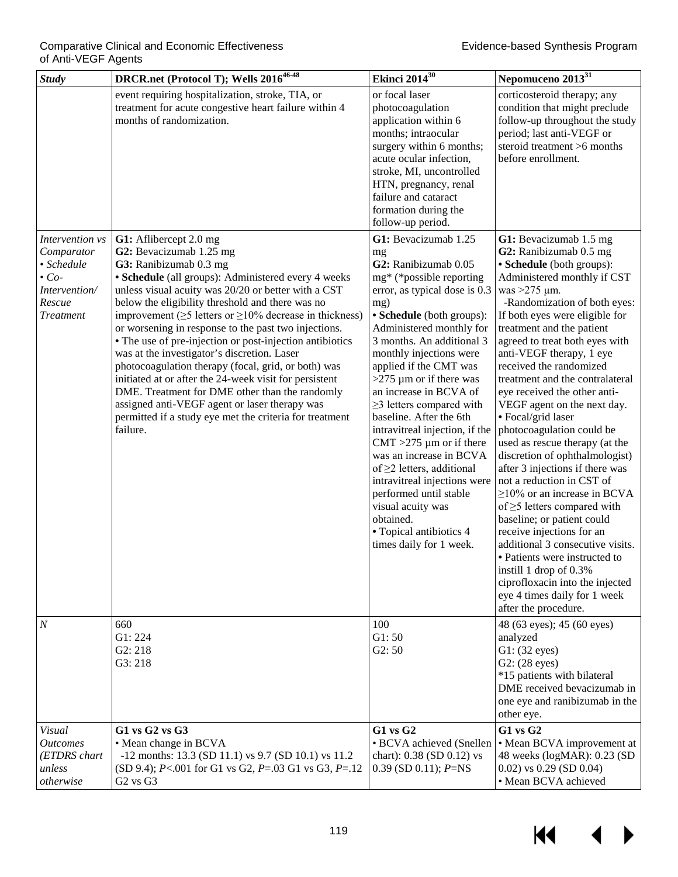| <b>Study</b>                                                                                              | DRCR.net (Protocol T); Wells 2016 <sup>46-48</sup>                                                                                                                                                                                                                                                                                                                                                                                                                                                                                                                                                                                                                                                                                                                                 | Ekinci 2014 <sup>30</sup>                                                                                                                                                                                                                                                                                                                                                                                                                                                                                                                                                                                                                                                  | Nepomuceno 2013 <sup>31</sup>                                                                                                                                                                                                                                                                                                                                                                                                                                                                                                                                                                                                                                                                                                                                                                                                                                                                                                                  |
|-----------------------------------------------------------------------------------------------------------|------------------------------------------------------------------------------------------------------------------------------------------------------------------------------------------------------------------------------------------------------------------------------------------------------------------------------------------------------------------------------------------------------------------------------------------------------------------------------------------------------------------------------------------------------------------------------------------------------------------------------------------------------------------------------------------------------------------------------------------------------------------------------------|----------------------------------------------------------------------------------------------------------------------------------------------------------------------------------------------------------------------------------------------------------------------------------------------------------------------------------------------------------------------------------------------------------------------------------------------------------------------------------------------------------------------------------------------------------------------------------------------------------------------------------------------------------------------------|------------------------------------------------------------------------------------------------------------------------------------------------------------------------------------------------------------------------------------------------------------------------------------------------------------------------------------------------------------------------------------------------------------------------------------------------------------------------------------------------------------------------------------------------------------------------------------------------------------------------------------------------------------------------------------------------------------------------------------------------------------------------------------------------------------------------------------------------------------------------------------------------------------------------------------------------|
|                                                                                                           | event requiring hospitalization, stroke, TIA, or<br>treatment for acute congestive heart failure within 4<br>months of randomization.                                                                                                                                                                                                                                                                                                                                                                                                                                                                                                                                                                                                                                              | or focal laser<br>photocoagulation<br>application within 6<br>months; intraocular<br>surgery within 6 months;<br>acute ocular infection,<br>stroke, MI, uncontrolled<br>HTN, pregnancy, renal<br>failure and cataract<br>formation during the<br>follow-up period.                                                                                                                                                                                                                                                                                                                                                                                                         | corticosteroid therapy; any<br>condition that might preclude<br>follow-up throughout the study<br>period; last anti-VEGF or<br>steroid treatment >6 months<br>before enrollment.                                                                                                                                                                                                                                                                                                                                                                                                                                                                                                                                                                                                                                                                                                                                                               |
| Intervention vs<br>Comparator<br>• Schedule<br>$\cdot$ Co-<br>Intervention/<br>Rescue<br><b>Treatment</b> | G1: Aflibercept 2.0 mg<br>G2: Bevacizumab 1.25 mg<br>G3: Ranibizumab 0.3 mg<br>• Schedule (all groups): Administered every 4 weeks<br>unless visual acuity was 20/20 or better with a CST<br>below the eligibility threshold and there was no<br>improvement ( $\geq$ 5 letters or $\geq$ 10% decrease in thickness)<br>or worsening in response to the past two injections.<br>• The use of pre-injection or post-injection antibiotics<br>was at the investigator's discretion. Laser<br>photocoagulation therapy (focal, grid, or both) was<br>initiated at or after the 24-week visit for persistent<br>DME. Treatment for DME other than the randomly<br>assigned anti-VEGF agent or laser therapy was<br>permitted if a study eye met the criteria for treatment<br>failure. | G1: Bevacizumab 1.25<br>mg<br>G2: Ranibizumab 0.05<br>mg* (*possible reporting<br>error, as typical dose is 0.3<br>mg)<br>• Schedule (both groups):<br>Administered monthly for<br>3 months. An additional 3<br>monthly injections were<br>applied if the CMT was<br>$>275 \mu m$ or if there was<br>an increase in BCVA of<br>$\geq$ 3 letters compared with<br>baseline. After the 6th<br>intravitreal injection, if the<br>CMT >275 $\mu$ m or if there<br>was an increase in BCVA<br>of $\geq$ 2 letters, additional<br>intravitreal injections were<br>performed until stable<br>visual acuity was<br>obtained.<br>• Topical antibiotics 4<br>times daily for 1 week. | G1: Bevacizumab 1.5 mg<br>G2: Ranibizumab 0.5 mg<br>• Schedule (both groups):<br>Administered monthly if CST<br>was $>275$ µm.<br>-Randomization of both eyes:<br>If both eyes were eligible for<br>treatment and the patient<br>agreed to treat both eyes with<br>anti-VEGF therapy, 1 eye<br>received the randomized<br>treatment and the contralateral<br>eye received the other anti-<br>VEGF agent on the next day.<br>• Focal/grid laser<br>photocoagulation could be<br>used as rescue therapy (at the<br>discretion of ophthalmologist)<br>after 3 injections if there was<br>not a reduction in CST of<br>$\geq$ 10% or an increase in BCVA<br>of $\geq$ 5 letters compared with<br>baseline; or patient could<br>receive injections for an<br>additional 3 consecutive visits.<br>• Patients were instructed to<br>instill 1 drop of 0.3%<br>ciprofloxacin into the injected<br>eye 4 times daily for 1 week<br>after the procedure. |
| $\boldsymbol{N}$                                                                                          | 660<br>G1:224<br>G2: 218<br>G3: 218                                                                                                                                                                                                                                                                                                                                                                                                                                                                                                                                                                                                                                                                                                                                                | 100<br>G1:50<br>G2:50                                                                                                                                                                                                                                                                                                                                                                                                                                                                                                                                                                                                                                                      | 48 (63 eyes); 45 (60 eyes)<br>analyzed<br>$G1: (32$ eyes)<br>G2: (28 eyes)<br>*15 patients with bilateral<br>DME received bevacizumab in<br>one eye and ranibizumab in the<br>other eye.                                                                                                                                                                                                                                                                                                                                                                                                                                                                                                                                                                                                                                                                                                                                                       |
| Visual<br><b>Outcomes</b><br>(ETDRS chart<br>unless<br>otherwise                                          | G1 vs G2 vs G3<br>• Mean change in BCVA<br>$-12$ months: 13.3 (SD 11.1) vs 9.7 (SD 10.1) vs 11.2<br>(SD 9.4); $P < .001$ for G1 vs G2, $P = .03$ G1 vs G3, $P = .12$<br>G <sub>2</sub> vs G <sub>3</sub>                                                                                                                                                                                                                                                                                                                                                                                                                                                                                                                                                                           | G1 vs G2<br>• BCVA achieved (Snellen<br>chart): 0.38 (SD 0.12) vs<br>0.39 (SD 0.11); $P=NS$                                                                                                                                                                                                                                                                                                                                                                                                                                                                                                                                                                                | G1 vs G2<br>• Mean BCVA improvement at<br>48 weeks (logMAR): 0.23 (SD<br>$0.02$ ) vs $0.29$ (SD $0.04$ )<br>· Mean BCVA achieved                                                                                                                                                                                                                                                                                                                                                                                                                                                                                                                                                                                                                                                                                                                                                                                                               |

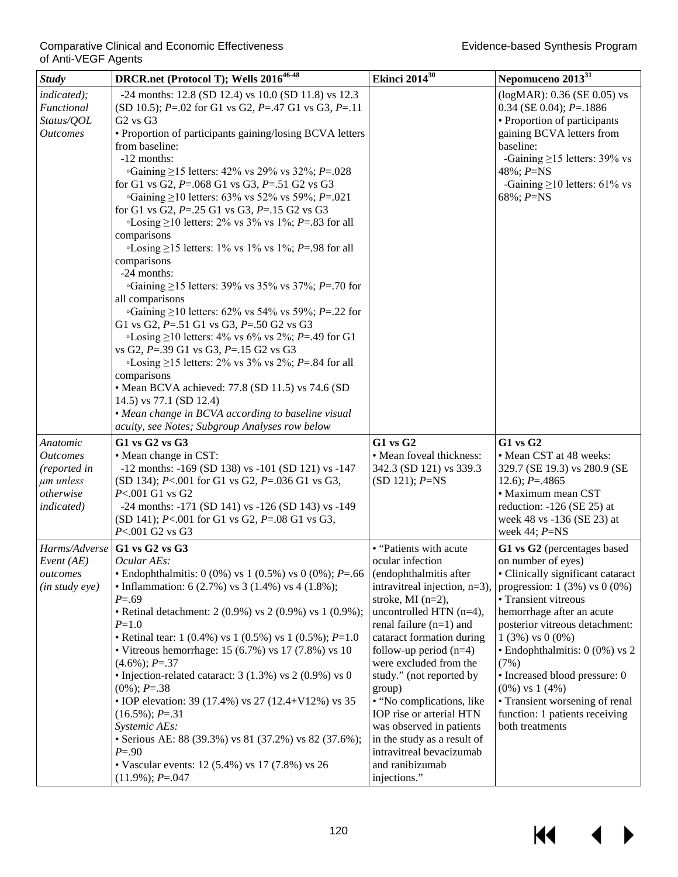#### Comparative Clinical and Economic Effectiveness Evidence-based Synthesis Program of Anti-VEGF Agents

| <b>Study</b>                                                                                | DRCR.net (Protocol T); Wells 2016 <sup>46-48</sup>                                                                                                                                                                                                                                                                                                                                                                                                                                                                                                                                                                                                                                                                                                                                                                                                                                                                                                                                                                 | Ekinci 2014 <sup>30</sup>                                                                                                                                                                                                                                             | Nepomuceno 2013 <sup>31</sup>                                                                                                                                                                                                                                                            |
|---------------------------------------------------------------------------------------------|--------------------------------------------------------------------------------------------------------------------------------------------------------------------------------------------------------------------------------------------------------------------------------------------------------------------------------------------------------------------------------------------------------------------------------------------------------------------------------------------------------------------------------------------------------------------------------------------------------------------------------------------------------------------------------------------------------------------------------------------------------------------------------------------------------------------------------------------------------------------------------------------------------------------------------------------------------------------------------------------------------------------|-----------------------------------------------------------------------------------------------------------------------------------------------------------------------------------------------------------------------------------------------------------------------|------------------------------------------------------------------------------------------------------------------------------------------------------------------------------------------------------------------------------------------------------------------------------------------|
| indicated);                                                                                 | $-24$ months: 12.8 (SD 12.4) vs 10.0 (SD 11.8) vs 12.3                                                                                                                                                                                                                                                                                                                                                                                                                                                                                                                                                                                                                                                                                                                                                                                                                                                                                                                                                             |                                                                                                                                                                                                                                                                       | (logMAR): 0.36 (SE 0.05) vs                                                                                                                                                                                                                                                              |
| Functional                                                                                  | (SD 10.5); $P = .02$ for G1 vs G2, $P = .47$ G1 vs G3, $P = .11$                                                                                                                                                                                                                                                                                                                                                                                                                                                                                                                                                                                                                                                                                                                                                                                                                                                                                                                                                   |                                                                                                                                                                                                                                                                       | 0.34 (SE 0.04); $P = 1886$                                                                                                                                                                                                                                                               |
| Status/QOL                                                                                  | $G2$ vs $G3$                                                                                                                                                                                                                                                                                                                                                                                                                                                                                                                                                                                                                                                                                                                                                                                                                                                                                                                                                                                                       |                                                                                                                                                                                                                                                                       | • Proportion of participants                                                                                                                                                                                                                                                             |
| <b>Outcomes</b>                                                                             | • Proportion of participants gaining/losing BCVA letters<br>from baseline:<br>-12 months:<br>∘Gaining ≥15 letters: 42% vs 29% vs 32%; <i>P</i> =.028<br>for G1 vs G2, $P = .068$ G1 vs G3, $P = .51$ G2 vs G3<br>∘Gaining ≥10 letters: 63% vs 52% vs 59%; P=.021<br>for G1 vs G2, $P = .25$ G1 vs G3, $P = .15$ G2 vs G3<br>$\circ$ Losing $\geq$ 10 letters: 2% vs 3% vs 1%; P=.83 for all<br>comparisons<br>∘Losing ≥15 letters: 1% vs 1% vs 1%; P=.98 for all<br>comparisons<br>-24 months:<br>∘Gaining ≥15 letters: 39% vs 35% vs 37%; P=.70 for<br>all comparisons<br>∘Gaining ≥10 letters: 62% vs 54% vs 59%; P=.22 for<br>G1 vs G2, $P = .51$ G1 vs G3, $P = .50$ G2 vs G3<br>$\circ$ Losing $\geq$ 10 letters: 4% vs 6% vs 2%; P=.49 for G1<br>vs G2, P=.39 G1 vs G3, P=.15 G2 vs G3<br>$\circ$ Losing $\ge$ 15 letters: 2% vs 3% vs 2%; P=.84 for all<br>comparisons<br>• Mean BCVA achieved: 77.8 (SD 11.5) vs 74.6 (SD<br>14.5) vs 77.1 (SD 12.4)<br>• Mean change in BCVA according to baseline visual |                                                                                                                                                                                                                                                                       | gaining BCVA letters from<br>baseline:<br>-Gaining $\geq$ 15 letters: 39% vs<br>48%; $P=NS$<br>-Gaining $\geq$ 10 letters: 61% vs<br>68%; $P=NS$                                                                                                                                         |
| Anatomic<br><b>Outcomes</b><br>(reported in<br>um unless<br>otherwise<br><i>indicated</i> ) | acuity, see Notes; Subgroup Analyses row below<br>G1 vs G2 vs G3<br>• Mean change in CST:<br>-12 months: -169 (SD 138) vs -101 (SD 121) vs -147<br>(SD 134); $P < 0.001$ for G1 vs G2, $P = 0.036$ G1 vs G3,<br>$P<.001$ G1 vs G2<br>-24 months: -171 (SD 141) vs -126 (SD 143) vs -149<br>(SD 141); P<.001 for G1 vs G2, P=.08 G1 vs G3,<br>P<.001 G2 vs G3                                                                                                                                                                                                                                                                                                                                                                                                                                                                                                                                                                                                                                                       | $G1$ vs $G2$<br>• Mean foveal thickness:<br>342.3 (SD 121) vs 339.3<br>$(SD 121); P=NS$                                                                                                                                                                               | $G1$ vs $G2$<br>• Mean CST at 48 weeks:<br>329.7 (SE 19.3) vs 280.9 (SE<br>12.6); $P = 0.4865$<br>• Maximum mean CST<br>reduction: $-126$ (SE 25) at<br>week 48 vs -136 (SE 23) at<br>week 44; $P=NS$                                                                                    |
|                                                                                             | Harms/Adverse G1 vs G2 vs G3                                                                                                                                                                                                                                                                                                                                                                                                                                                                                                                                                                                                                                                                                                                                                                                                                                                                                                                                                                                       | • "Patients with acute"                                                                                                                                                                                                                                               |                                                                                                                                                                                                                                                                                          |
| Event (AE)                                                                                  | Ocular AEs:                                                                                                                                                                                                                                                                                                                                                                                                                                                                                                                                                                                                                                                                                                                                                                                                                                                                                                                                                                                                        | ocular infection                                                                                                                                                                                                                                                      | G1 vs G2 (percentages based<br>on number of eyes)                                                                                                                                                                                                                                        |
| outcomes<br>$(in$ study $eye)$                                                              | • Endophthalmitis: 0 (0%) vs 1 (0.5%) vs 0 (0%); $P = .66$<br>• Inflammation: 6 (2.7%) vs 3 (1.4%) vs 4 (1.8%);<br>$P = .69$<br>• Retinal detachment: $2(0.9\%)$ vs $2(0.9\%)$ vs $1(0.9\%)$ ;<br>$P=1.0$<br>• Retinal tear: 1 (0.4%) vs 1 (0.5%) vs 1 (0.5%); $P=1.0$<br>• Vitreous hemorrhage: $15 (6.7%)$ vs $17 (7.8%)$ vs $10$<br>$(4.6\%)$ ; P=.37<br>• Injection-related cataract: $3(1.3\%)$ vs $2(0.9\%)$ vs $0$<br>$(0\%)$ ; P=.38                                                                                                                                                                                                                                                                                                                                                                                                                                                                                                                                                                       | (endophthalmitis after<br>intravitreal injection, $n=3$ )<br>stroke, MI $(n=2)$ ,<br>uncontrolled HTN $(n=4)$ ,<br>renal failure $(n=1)$ and<br>cataract formation during<br>follow-up period $(n=4)$<br>were excluded from the<br>study." (not reported by<br>group) | • Clinically significant cataract<br>progression: $1(3%)$ vs $0(0%)$<br>• Transient vitreous<br>hemorrhage after an acute<br>posterior vitreous detachment:<br>$1(3\%)$ vs $0(0\%)$<br>• Endophthalmitis: $0(0\%)$ vs 2<br>(7%)<br>• Increased blood pressure: 0<br>$(0\%)$ vs 1 $(4\%)$ |
|                                                                                             | • IOP elevation: 39 (17.4%) vs 27 (12.4+V12%) vs 35<br>$(16.5\%)$ ; P=.31<br>Systemic AEs:                                                                                                                                                                                                                                                                                                                                                                                                                                                                                                                                                                                                                                                                                                                                                                                                                                                                                                                         | • "No complications, like<br>IOP rise or arterial HTN<br>was observed in patients                                                                                                                                                                                     | • Transient worsening of renal<br>function: 1 patients receiving<br>both treatments                                                                                                                                                                                                      |
|                                                                                             | • Serious AE: 88 (39.3%) vs 81 (37.2%) vs 82 (37.6%);                                                                                                                                                                                                                                                                                                                                                                                                                                                                                                                                                                                                                                                                                                                                                                                                                                                                                                                                                              | in the study as a result of                                                                                                                                                                                                                                           |                                                                                                                                                                                                                                                                                          |
|                                                                                             | $P = .90$                                                                                                                                                                                                                                                                                                                                                                                                                                                                                                                                                                                                                                                                                                                                                                                                                                                                                                                                                                                                          | intravitreal bevacizumab                                                                                                                                                                                                                                              |                                                                                                                                                                                                                                                                                          |
|                                                                                             | • Vascular events: $12 (5.4%)$ vs $17 (7.8%)$ vs $26$<br>$(11.9\%)$ ; P=.047                                                                                                                                                                                                                                                                                                                                                                                                                                                                                                                                                                                                                                                                                                                                                                                                                                                                                                                                       | and ranibizumab<br>injections."                                                                                                                                                                                                                                       |                                                                                                                                                                                                                                                                                          |

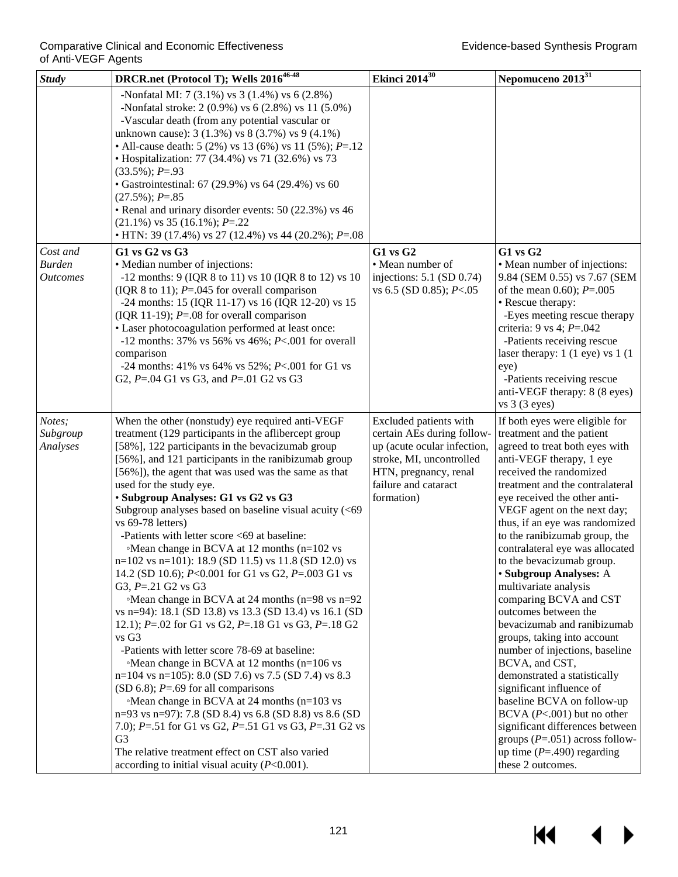| <b>Study</b>                                 | DRCR.net (Protocol T); Wells 2016 <sup>46-48</sup>                                                                                                                                                                                                                                                                                                                                                                                                                                                                                                                                                                                                                                                                                                                                                                                                                                                                                                                                                                                                                                                                                                                                                                                                                                                                                                                     | Ekinci 2014 <sup>30</sup>                                                                                                                                                      | Nepomuceno 2013 <sup>31</sup>                                                                                                                                                                                                                                                                                                                                                                                                                                                                                                                                                                                                                                                                                                                                                                                                                                         |
|----------------------------------------------|------------------------------------------------------------------------------------------------------------------------------------------------------------------------------------------------------------------------------------------------------------------------------------------------------------------------------------------------------------------------------------------------------------------------------------------------------------------------------------------------------------------------------------------------------------------------------------------------------------------------------------------------------------------------------------------------------------------------------------------------------------------------------------------------------------------------------------------------------------------------------------------------------------------------------------------------------------------------------------------------------------------------------------------------------------------------------------------------------------------------------------------------------------------------------------------------------------------------------------------------------------------------------------------------------------------------------------------------------------------------|--------------------------------------------------------------------------------------------------------------------------------------------------------------------------------|-----------------------------------------------------------------------------------------------------------------------------------------------------------------------------------------------------------------------------------------------------------------------------------------------------------------------------------------------------------------------------------------------------------------------------------------------------------------------------------------------------------------------------------------------------------------------------------------------------------------------------------------------------------------------------------------------------------------------------------------------------------------------------------------------------------------------------------------------------------------------|
|                                              | -Nonfatal MI: 7 (3.1%) vs 3 (1.4%) vs 6 (2.8%)<br>-Nonfatal stroke: $2(0.9\%)$ vs $6(2.8\%)$ vs $11(5.0\%)$<br>-Vascular death (from any potential vascular or<br>unknown cause): $3(1.3\%)$ vs $8(3.7\%)$ vs $9(4.1\%)$<br>• All-cause death: 5 (2%) vs 13 (6%) vs 11 (5%); $P = 12$<br>• Hospitalization: 77 (34.4%) vs 71 (32.6%) vs 73<br>$(33.5\%)$ ; P=.93<br>• Gastrointestinal: 67 (29.9%) vs 64 (29.4%) vs 60<br>$(27.5\%)$ ; P=.85<br>• Renal and urinary disorder events: 50 (22.3%) vs 46<br>$(21.1\%)$ vs 35 (16.1%); P=.22<br>• HTN: 39 (17.4%) vs 27 (12.4%) vs 44 (20.2%); $P=.08$                                                                                                                                                                                                                                                                                                                                                                                                                                                                                                                                                                                                                                                                                                                                                                     |                                                                                                                                                                                |                                                                                                                                                                                                                                                                                                                                                                                                                                                                                                                                                                                                                                                                                                                                                                                                                                                                       |
| Cost and<br><b>Burden</b><br><b>Outcomes</b> | $G1$ vs $G2$ vs $G3$<br>• Median number of injections:<br>$-12$ months: 9 (IQR 8 to 11) vs 10 (IQR 8 to 12) vs 10<br>(IQR 8 to 11); $P = 0.045$ for overall comparison<br>-24 months: 15 (IQR 11-17) vs 16 (IQR 12-20) vs 15<br>(IQR 11-19); $P = .08$ for overall comparison<br>• Laser photocoagulation performed at least once:<br>-12 months: 37% vs 56% vs 46%; $P < .001$ for overall<br>comparison<br>-24 months: 41% vs 64% vs 52%; $P<.001$ for G1 vs<br>G2, $P = .04$ G1 vs G3, and $P = .01$ G2 vs G3                                                                                                                                                                                                                                                                                                                                                                                                                                                                                                                                                                                                                                                                                                                                                                                                                                                       | $G1$ vs $G2$<br>• Mean number of<br>injections: $5.1$ (SD 0.74)<br>vs 6.5 (SD 0.85); $P<.05$                                                                                   | G1 vs G2<br>• Mean number of injections:<br>9.84 (SEM 0.55) vs 7.67 (SEM<br>of the mean 0.60); $P = .005$<br>• Rescue therapy:<br>-Eyes meeting rescue therapy<br>criteria: 9 vs 4; $P = 0.042$<br>-Patients receiving rescue<br>laser therapy: $1(1$ eye) vs $1(1)$<br>eye)<br>-Patients receiving rescue<br>anti-VEGF therapy: 8 (8 eyes)<br>vs 3 (3 eyes)                                                                                                                                                                                                                                                                                                                                                                                                                                                                                                          |
| Notes;<br>Subgroup<br>Analyses               | When the other (nonstudy) eye required anti-VEGF<br>treatment (129 participants in the aflibercept group<br>[58%], 122 participants in the bevacizumab group<br>[56%], and 121 participants in the ranibizumab group<br>[56%]), the agent that was used was the same as that<br>used for the study eye.<br>· Subgroup Analyses: G1 vs G2 vs G3<br>Subgroup analyses based on baseline visual acuity (<69<br>vs 69-78 letters)<br>-Patients with letter score <69 at baseline:<br>•Mean change in BCVA at 12 months (n=102 vs<br>$n=102$ vs $n=101$ : 18.9 (SD 11.5) vs 11.8 (SD 12.0) vs<br>14.2 (SD 10.6); $P<0.001$ for G1 vs G2, $P=.003$ G1 vs<br>G3, $P = 21$ G2 vs G3<br>•Mean change in BCVA at 24 months (n=98 vs n=92<br>vs n=94): 18.1 (SD 13.8) vs 13.3 (SD 13.4) vs 16.1 (SD<br>12.1); $P = .02$ for G1 vs G2, $P = .18$ G1 vs G3, $P = .18$ G2<br>vs G3<br>-Patients with letter score 78-69 at baseline:<br>•Mean change in BCVA at 12 months (n=106 vs<br>$n=104$ vs $n=105$ : 8.0 (SD 7.6) vs 7.5 (SD 7.4) vs 8.3<br>(SD 6.8); $P=.69$ for all comparisons<br>•Mean change in BCVA at 24 months (n=103 vs<br>n=93 vs n=97): 7.8 (SD 8.4) vs 6.8 (SD 8.8) vs 8.6 (SD<br>7.0); P=.51 for G1 vs G2, P=.51 G1 vs G3, P=.31 G2 vs<br>G <sub>3</sub><br>The relative treatment effect on CST also varied<br>according to initial visual acuity $(P<0.001)$ . | Excluded patients with<br>certain AEs during follow-<br>up (acute ocular infection,<br>stroke, MI, uncontrolled<br>HTN, pregnancy, renal<br>failure and cataract<br>formation) | If both eyes were eligible for<br>treatment and the patient<br>agreed to treat both eyes with<br>anti-VEGF therapy, 1 eye<br>received the randomized<br>treatment and the contralateral<br>eye received the other anti-<br>VEGF agent on the next day;<br>thus, if an eye was randomized<br>to the ranibizumab group, the<br>contralateral eye was allocated<br>to the bevacizumab group.<br>• Subgroup Analyses: A<br>multivariate analysis<br>comparing BCVA and CST<br>outcomes between the<br>bevacizumab and ranibizumab<br>groups, taking into account<br>number of injections, baseline<br>BCVA, and CST,<br>demonstrated a statistically<br>significant influence of<br>baseline BCVA on follow-up<br>$BCVA (P<.001)$ but no other<br>significant differences between<br>groups $(P=.051)$ across follow-<br>up time $(P=490)$ regarding<br>these 2 outcomes. |

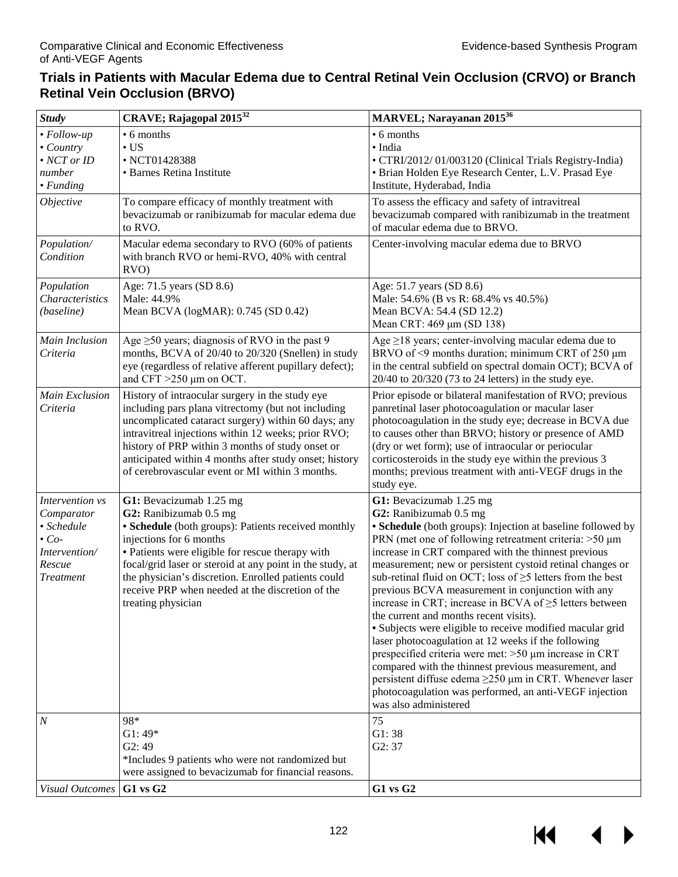# **Trials in Patients with Macular Edema due to Central Retinal Vein Occlusion (CRVO) or Branch Retinal Vein Occlusion (BRVO)**

| <b>Study</b>                                                                                              | CRAVE; Rajagopal 2015 <sup>32</sup>                                                                                                                                                                                                                                                                                                                                                   | MARVEL; Narayanan 2015 <sup>36</sup>                                                                                                                                                                                                                                                                                                                                                                                                                                                                                                                                                                                                                                                                                                                                                                                                                                                                                         |
|-----------------------------------------------------------------------------------------------------------|---------------------------------------------------------------------------------------------------------------------------------------------------------------------------------------------------------------------------------------------------------------------------------------------------------------------------------------------------------------------------------------|------------------------------------------------------------------------------------------------------------------------------------------------------------------------------------------------------------------------------------------------------------------------------------------------------------------------------------------------------------------------------------------------------------------------------------------------------------------------------------------------------------------------------------------------------------------------------------------------------------------------------------------------------------------------------------------------------------------------------------------------------------------------------------------------------------------------------------------------------------------------------------------------------------------------------|
| $\cdot$ Follow-up<br>• Country<br>$\cdot$ NCT or ID<br>number<br>$\cdot$ Funding                          | $\bullet$ 6 months<br>$\cdot$ US<br>• NCT01428388<br>• Barnes Retina Institute                                                                                                                                                                                                                                                                                                        | $\bullet$ 6 months<br>$\bullet$ India<br>• CTRI/2012/ 01/003120 (Clinical Trials Registry-India)<br>· Brian Holden Eye Research Center, L.V. Prasad Eye<br>Institute, Hyderabad, India                                                                                                                                                                                                                                                                                                                                                                                                                                                                                                                                                                                                                                                                                                                                       |
| Objective                                                                                                 | To compare efficacy of monthly treatment with<br>bevacizumab or ranibizumab for macular edema due<br>to RVO.                                                                                                                                                                                                                                                                          | To assess the efficacy and safety of intravitreal<br>bevacizumab compared with ranibizumab in the treatment<br>of macular edema due to BRVO.                                                                                                                                                                                                                                                                                                                                                                                                                                                                                                                                                                                                                                                                                                                                                                                 |
| Population/<br>Condition                                                                                  | Macular edema secondary to RVO (60% of patients<br>with branch RVO or hemi-RVO, 40% with central<br>RVO)                                                                                                                                                                                                                                                                              | Center-involving macular edema due to BRVO                                                                                                                                                                                                                                                                                                                                                                                                                                                                                                                                                                                                                                                                                                                                                                                                                                                                                   |
| Population<br><b>Characteristics</b><br>(baseline)                                                        | Age: 71.5 years (SD 8.6)<br>Male: 44.9%<br>Mean BCVA (logMAR): 0.745 (SD 0.42)                                                                                                                                                                                                                                                                                                        | Age: 51.7 years (SD 8.6)<br>Male: 54.6% (B vs R: 68.4% vs 40.5%)<br>Mean BCVA: 54.4 (SD 12.2)<br>Mean CRT: 469 μm (SD 138)                                                                                                                                                                                                                                                                                                                                                                                                                                                                                                                                                                                                                                                                                                                                                                                                   |
| Main Inclusion<br>Criteria                                                                                | Age $\geq$ 50 years; diagnosis of RVO in the past 9<br>months, BCVA of 20/40 to 20/320 (Snellen) in study<br>eye (regardless of relative afferent pupillary defect);<br>and CFT $>250 \mu m$ on OCT.                                                                                                                                                                                  | Age $\geq$ 18 years; center-involving macular edema due to<br>BRVO of <9 months duration; minimum CRT of 250 µm<br>in the central subfield on spectral domain OCT); BCVA of<br>20/40 to 20/320 (73 to 24 letters) in the study eye.                                                                                                                                                                                                                                                                                                                                                                                                                                                                                                                                                                                                                                                                                          |
| Main Exclusion<br>Criteria                                                                                | History of intraocular surgery in the study eye<br>including pars plana vitrectomy (but not including<br>uncomplicated cataract surgery) within 60 days; any<br>intravitreal injections within 12 weeks; prior RVO;<br>history of PRP within 3 months of study onset or<br>anticipated within 4 months after study onset; history<br>of cerebrovascular event or MI within 3 months.  | Prior episode or bilateral manifestation of RVO; previous<br>panretinal laser photocoagulation or macular laser<br>photocoagulation in the study eye; decrease in BCVA due<br>to causes other than BRVO; history or presence of AMD<br>(dry or wet form); use of intraocular or periocular<br>corticosteroids in the study eye within the previous 3<br>months; previous treatment with anti-VEGF drugs in the<br>study eye.                                                                                                                                                                                                                                                                                                                                                                                                                                                                                                 |
| Intervention vs<br>Comparator<br>• Schedule<br>$\cdot$ Co-<br>Intervention/<br>Rescue<br><b>Treatment</b> | G1: Bevacizumab 1.25 mg<br>G2: Ranibizumab 0.5 mg<br>· Schedule (both groups): Patients received monthly<br>injections for 6 months<br>• Patients were eligible for rescue therapy with<br>focal/grid laser or steroid at any point in the study, at<br>the physician's discretion. Enrolled patients could<br>receive PRP when needed at the discretion of the<br>treating physician | G1: Bevacizumab 1.25 mg<br>G2: Ranibizumab 0.5 mg<br>• Schedule (both groups): Injection at baseline followed by<br>PRN (met one of following retreatment criteria: >50 µm<br>increase in CRT compared with the thinnest previous<br>measurement; new or persistent cystoid retinal changes or<br>sub-retinal fluid on OCT; loss of $\geq$ 5 letters from the best<br>previous BCVA measurement in conjunction with any<br>increase in CRT; increase in BCVA of $\geq$ 5 letters between<br>the current and months recent visits).<br>• Subjects were eligible to receive modified macular grid<br>laser photocoagulation at 12 weeks if the following<br>prespecified criteria were met: >50 µm increase in CRT<br>compared with the thinnest previous measurement, and<br>persistent diffuse edema $\geq$ 250 µm in CRT. Whenever laser<br>photocoagulation was performed, an anti-VEGF injection<br>was also administered |
| $\boldsymbol{N}$                                                                                          | 98*<br>$G1:49*$<br>G2:49<br>*Includes 9 patients who were not randomized but<br>were assigned to bevacizumab for financial reasons.                                                                                                                                                                                                                                                   | 75<br>G1:38<br>G <sub>2</sub> : 37                                                                                                                                                                                                                                                                                                                                                                                                                                                                                                                                                                                                                                                                                                                                                                                                                                                                                           |
| Visual Outcomes                                                                                           | G1 vs G2                                                                                                                                                                                                                                                                                                                                                                              | G1 vs G2                                                                                                                                                                                                                                                                                                                                                                                                                                                                                                                                                                                                                                                                                                                                                                                                                                                                                                                     |